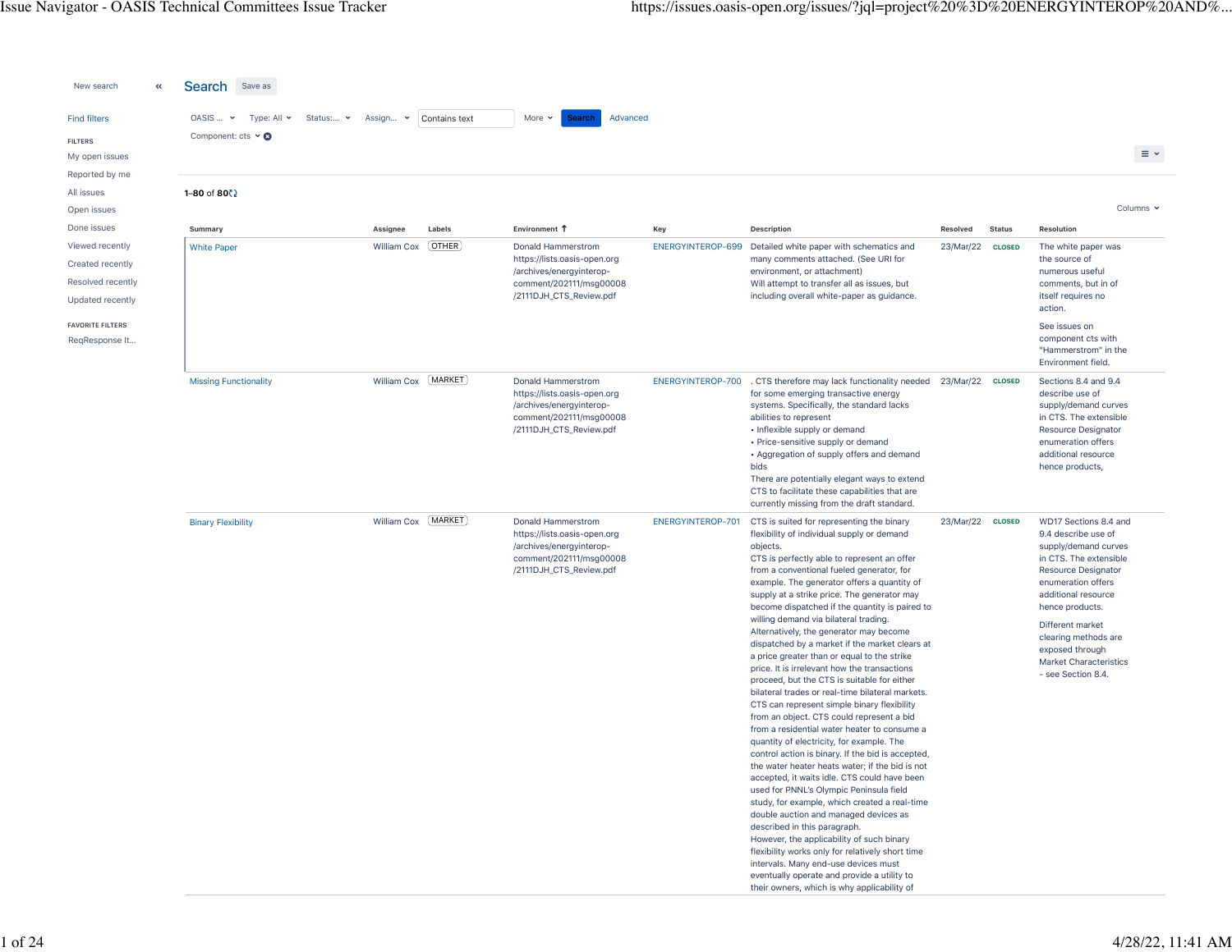| New search<br>«                                                                                                                          | Search Save as                                                                                      |                         |                        |                                                                                                                                                       |                          |                                                                                                                                                                                                                                                                                                                                                                                                                                                                                                                                                                                                                                                                                                                                                                                                                                                                                                                                                                                                                                                                                                                                                                                                                                                                                                                                                                                                                                                      |                       |                                |                                                                                                                                                                                                                                                                                                             |                 |
|------------------------------------------------------------------------------------------------------------------------------------------|-----------------------------------------------------------------------------------------------------|-------------------------|------------------------|-------------------------------------------------------------------------------------------------------------------------------------------------------|--------------------------|------------------------------------------------------------------------------------------------------------------------------------------------------------------------------------------------------------------------------------------------------------------------------------------------------------------------------------------------------------------------------------------------------------------------------------------------------------------------------------------------------------------------------------------------------------------------------------------------------------------------------------------------------------------------------------------------------------------------------------------------------------------------------------------------------------------------------------------------------------------------------------------------------------------------------------------------------------------------------------------------------------------------------------------------------------------------------------------------------------------------------------------------------------------------------------------------------------------------------------------------------------------------------------------------------------------------------------------------------------------------------------------------------------------------------------------------------|-----------------------|--------------------------------|-------------------------------------------------------------------------------------------------------------------------------------------------------------------------------------------------------------------------------------------------------------------------------------------------------------|-----------------|
| <b>Find filters</b><br><b>FILTERS</b><br>My open issues                                                                                  | $OASIS $ $\sim$<br>Type: All $\sim$<br>Status: v<br>Component: cts $\vee$ <b><math>\odot</math></b> | Assign v                | Contains text          | More $\sim$<br>Advanced<br>Search                                                                                                                     |                          |                                                                                                                                                                                                                                                                                                                                                                                                                                                                                                                                                                                                                                                                                                                                                                                                                                                                                                                                                                                                                                                                                                                                                                                                                                                                                                                                                                                                                                                      |                       |                                |                                                                                                                                                                                                                                                                                                             | $\equiv$ $\sim$ |
| Reported by me<br>All issues                                                                                                             | $1 - 80$ of $80$ $\frac{1}{2}$                                                                      |                         |                        |                                                                                                                                                       |                          |                                                                                                                                                                                                                                                                                                                                                                                                                                                                                                                                                                                                                                                                                                                                                                                                                                                                                                                                                                                                                                                                                                                                                                                                                                                                                                                                                                                                                                                      |                       |                                |                                                                                                                                                                                                                                                                                                             |                 |
| Open issues                                                                                                                              |                                                                                                     |                         |                        |                                                                                                                                                       |                          |                                                                                                                                                                                                                                                                                                                                                                                                                                                                                                                                                                                                                                                                                                                                                                                                                                                                                                                                                                                                                                                                                                                                                                                                                                                                                                                                                                                                                                                      |                       |                                |                                                                                                                                                                                                                                                                                                             | Columns v       |
| Done issues<br>Viewed recently<br>Created recently<br>Resolved recently<br>Updated recently<br><b>FAVORITE FILTERS</b><br>ReqResponse It | Summary<br><b>White Paper</b>                                                                       | Assignee<br>William Cox | Labels<br><b>OTHER</b> | Environment T<br>Donald Hammerstrom<br>https://lists.oasis-open.org<br>/archives/energyinterop-<br>comment/202111/msg00008<br>/2111DJH_CTS_Review.pdf | Key<br>ENERGYINTEROP-699 | Description<br>Detailed white paper with schematics and<br>many comments attached. (See URI for<br>environment, or attachment)<br>Will attempt to transfer all as issues, but<br>including overall white-paper as guidance.                                                                                                                                                                                                                                                                                                                                                                                                                                                                                                                                                                                                                                                                                                                                                                                                                                                                                                                                                                                                                                                                                                                                                                                                                          | Resolved<br>23/Mar/22 | <b>Status</b><br><b>CLOSED</b> | Resolution<br>The white paper was<br>the source of<br>numerous useful<br>comments, but in of<br>itself requires no<br>action.<br>See issues on<br>component cts with<br>"Hammerstrom" in the<br>Environment field.                                                                                          |                 |
|                                                                                                                                          | <b>Missing Functionality</b>                                                                        | William Cox [MARKET]    |                        | Donald Hammerstrom<br>https://lists.oasis-open.org<br>/archives/energyinterop-<br>comment/202111/msg00008<br>/2111DJH_CTS_Review.pdf                  | ENERGYINTEROP-700        | . CTS therefore may lack functionality needed 23/Mar/22 cLOSED<br>for some emerging transactive energy<br>systems. Specifically, the standard lacks<br>abilities to represent<br>• Inflexible supply or demand<br>• Price-sensitive supply or demand<br>• Aggregation of supply offers and demand<br>bids<br>There are potentially elegant ways to extend<br>CTS to facilitate these capabilities that are<br>currently missing from the draft standard.                                                                                                                                                                                                                                                                                                                                                                                                                                                                                                                                                                                                                                                                                                                                                                                                                                                                                                                                                                                             |                       |                                | Sections 8.4 and 9.4<br>describe use of<br>supply/demand curves<br>in CTS. The extensible<br><b>Resource Designator</b><br>enumeration offers<br>additional resource<br>hence products,                                                                                                                     |                 |
|                                                                                                                                          | <b>Binary Flexibility</b>                                                                           | William Cox [MARKET]    |                        | Donald Hammerstrom<br>https://lists.oasis-open.org<br>/archives/energyinterop-<br>comment/202111/msg00008<br>/2111DJH_CTS_Review.pdf                  | ENERGYINTEROP-701        | CTS is suited for representing the binary<br>flexibility of individual supply or demand<br>objects.<br>CTS is perfectly able to represent an offer<br>from a conventional fueled generator, for<br>example. The generator offers a quantity of<br>supply at a strike price. The generator may<br>become dispatched if the quantity is paired to<br>willing demand via bilateral trading.<br>Alternatively, the generator may become<br>dispatched by a market if the market clears at<br>a price greater than or equal to the strike<br>price. It is irrelevant how the transactions<br>proceed, but the CTS is suitable for either<br>bilateral trades or real-time bilateral markets.<br>CTS can represent simple binary flexibility<br>from an object. CTS could represent a bid<br>from a residential water heater to consume a<br>quantity of electricity, for example. The<br>control action is binary. If the bid is accepted,<br>the water heater heats water; if the bid is not<br>accepted, it waits idle. CTS could have been<br>used for PNNL's Olympic Peninsula field<br>study, for example, which created a real-time<br>double auction and managed devices as<br>described in this paragraph.<br>However, the applicability of such binary<br>flexibility works only for relatively short time<br>intervals. Many end-use devices must<br>eventually operate and provide a utility to<br>their owners, which is why applicability of | 23/Mar/22             | <b>CLOSED</b>                  | WD17 Sections 8.4 and<br>9.4 describe use of<br>supply/demand curves<br>in CTS. The extensible<br><b>Resource Designator</b><br>enumeration offers<br>additional resource<br>hence products.<br>Different market<br>clearing methods are<br>exposed through<br>Market Characteristics<br>- see Section 8.4. |                 |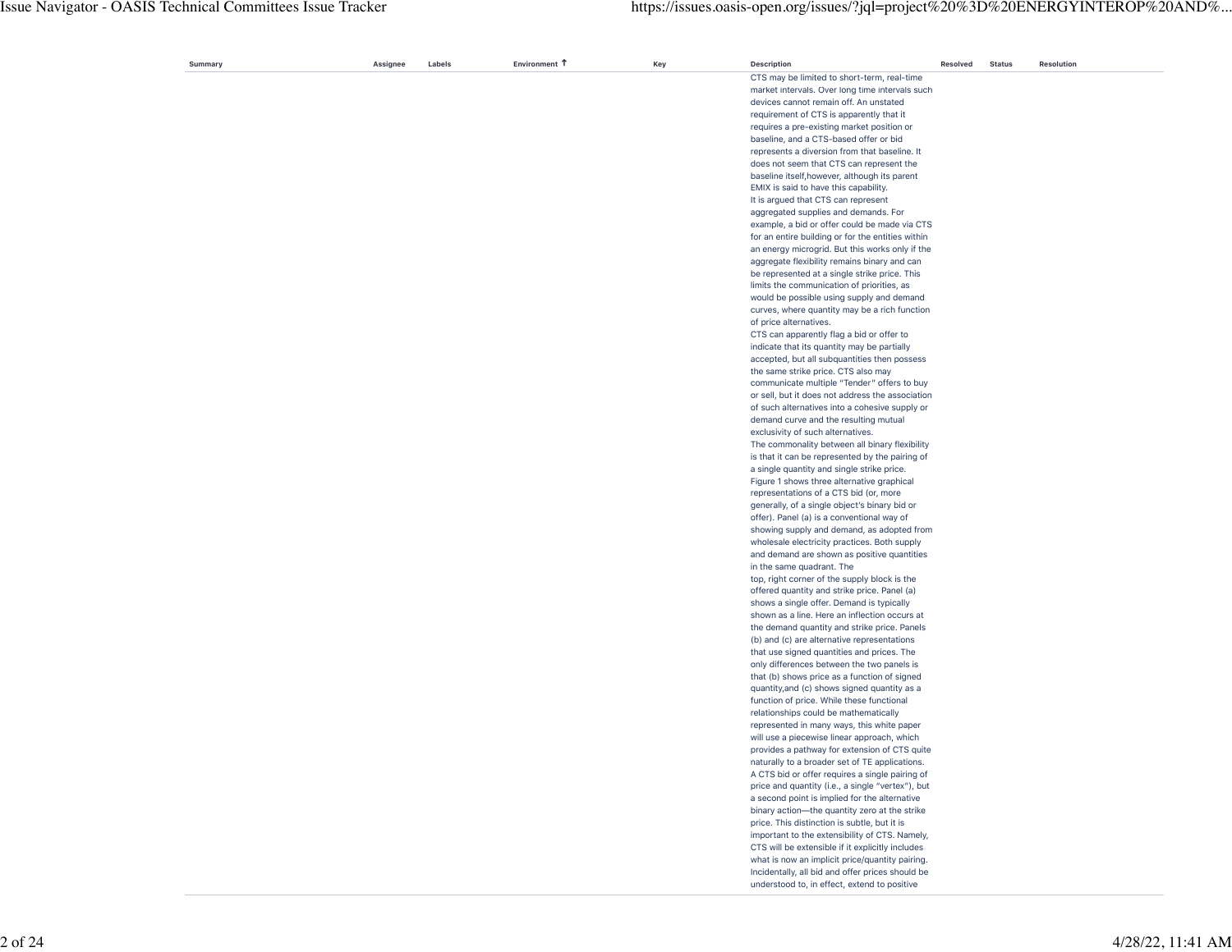| Summary | Assignee | Labels | Environment 1 | Key | <b>Description</b>                                                                              | Resolved | <b>Status</b> | Resolution |
|---------|----------|--------|---------------|-----|-------------------------------------------------------------------------------------------------|----------|---------------|------------|
|         |          |        |               |     | CTS may be limited to short-term, real-time                                                     |          |               |            |
|         |          |        |               |     | market intervals. Over long time intervals such                                                 |          |               |            |
|         |          |        |               |     | devices cannot remain off. An unstated                                                          |          |               |            |
|         |          |        |               |     | requirement of CTS is apparently that it                                                        |          |               |            |
|         |          |        |               |     | requires a pre-existing market position or                                                      |          |               |            |
|         |          |        |               |     | baseline, and a CTS-based offer or bid                                                          |          |               |            |
|         |          |        |               |     | represents a diversion from that baseline. It                                                   |          |               |            |
|         |          |        |               |     | does not seem that CTS can represent the                                                        |          |               |            |
|         |          |        |               |     | baseline itself, however, although its parent                                                   |          |               |            |
|         |          |        |               |     | EMIX is said to have this capability.                                                           |          |               |            |
|         |          |        |               |     | It is argued that CTS can represent                                                             |          |               |            |
|         |          |        |               |     | aggregated supplies and demands. For                                                            |          |               |            |
|         |          |        |               |     | example, a bid or offer could be made via CTS                                                   |          |               |            |
|         |          |        |               |     | for an entire building or for the entities within                                               |          |               |            |
|         |          |        |               |     | an energy microgrid. But this works only if the                                                 |          |               |            |
|         |          |        |               |     |                                                                                                 |          |               |            |
|         |          |        |               |     | aggregate flexibility remains binary and can                                                    |          |               |            |
|         |          |        |               |     | be represented at a single strike price. This                                                   |          |               |            |
|         |          |        |               |     | limits the communication of priorities, as                                                      |          |               |            |
|         |          |        |               |     | would be possible using supply and demand                                                       |          |               |            |
|         |          |        |               |     | curves, where quantity may be a rich function                                                   |          |               |            |
|         |          |        |               |     | of price alternatives.                                                                          |          |               |            |
|         |          |        |               |     | CTS can apparently flag a bid or offer to                                                       |          |               |            |
|         |          |        |               |     | indicate that its quantity may be partially                                                     |          |               |            |
|         |          |        |               |     | accepted, but all subquantities then possess                                                    |          |               |            |
|         |          |        |               |     | the same strike price. CTS also may                                                             |          |               |            |
|         |          |        |               |     | communicate multiple "Tender" offers to buy                                                     |          |               |            |
|         |          |        |               |     | or sell, but it does not address the association                                                |          |               |            |
|         |          |        |               |     | of such alternatives into a cohesive supply or                                                  |          |               |            |
|         |          |        |               |     | demand curve and the resulting mutual                                                           |          |               |            |
|         |          |        |               |     | exclusivity of such alternatives.                                                               |          |               |            |
|         |          |        |               |     | The commonality between all binary flexibility                                                  |          |               |            |
|         |          |        |               |     | is that it can be represented by the pairing of                                                 |          |               |            |
|         |          |        |               |     | a single quantity and single strike price.                                                      |          |               |            |
|         |          |        |               |     | Figure 1 shows three alternative graphical                                                      |          |               |            |
|         |          |        |               |     | representations of a CTS bid (or, more                                                          |          |               |            |
|         |          |        |               |     | generally, of a single object's binary bid or                                                   |          |               |            |
|         |          |        |               |     | offer). Panel (a) is a conventional way of                                                      |          |               |            |
|         |          |        |               |     |                                                                                                 |          |               |            |
|         |          |        |               |     | showing supply and demand, as adopted from<br>wholesale electricity practices. Both supply      |          |               |            |
|         |          |        |               |     |                                                                                                 |          |               |            |
|         |          |        |               |     | and demand are shown as positive quantities                                                     |          |               |            |
|         |          |        |               |     | in the same quadrant. The                                                                       |          |               |            |
|         |          |        |               |     | top, right corner of the supply block is the                                                    |          |               |            |
|         |          |        |               |     | offered quantity and strike price. Panel (a)                                                    |          |               |            |
|         |          |        |               |     | shows a single offer. Demand is typically                                                       |          |               |            |
|         |          |        |               |     | shown as a line. Here an inflection occurs at                                                   |          |               |            |
|         |          |        |               |     | the demand quantity and strike price. Panels                                                    |          |               |            |
|         |          |        |               |     | (b) and (c) are alternative representations                                                     |          |               |            |
|         |          |        |               |     | that use signed quantities and prices. The                                                      |          |               |            |
|         |          |        |               |     | only differences between the two panels is                                                      |          |               |            |
|         |          |        |               |     | that (b) shows price as a function of signed                                                    |          |               |            |
|         |          |        |               |     | quantity, and (c) shows signed quantity as a                                                    |          |               |            |
|         |          |        |               |     | function of price. While these functional                                                       |          |               |            |
|         |          |        |               |     | relationships could be mathematically                                                           |          |               |            |
|         |          |        |               |     | represented in many ways, this white paper                                                      |          |               |            |
|         |          |        |               |     | will use a piecewise linear approach, which                                                     |          |               |            |
|         |          |        |               |     |                                                                                                 |          |               |            |
|         |          |        |               |     | provides a pathway for extension of CTS quite<br>naturally to a broader set of TE applications. |          |               |            |
|         |          |        |               |     | A CTS bid or offer requires a single pairing of                                                 |          |               |            |
|         |          |        |               |     |                                                                                                 |          |               |            |
|         |          |        |               |     | price and quantity (i.e., a single "vertex"), but                                               |          |               |            |
|         |          |        |               |     | a second point is implied for the alternative                                                   |          |               |            |
|         |          |        |               |     | binary action-the quantity zero at the strike                                                   |          |               |            |
|         |          |        |               |     | price. This distinction is subtle, but it is                                                    |          |               |            |
|         |          |        |               |     | important to the extensibility of CTS. Namely,                                                  |          |               |            |
|         |          |        |               |     | CTS will be extensible if it explicitly includes                                                |          |               |            |
|         |          |        |               |     | what is now an implicit price/quantity pairing.                                                 |          |               |            |
|         |          |        |               |     |                                                                                                 |          |               |            |
|         |          |        |               |     | Incidentally, all bid and offer prices should be                                                |          |               |            |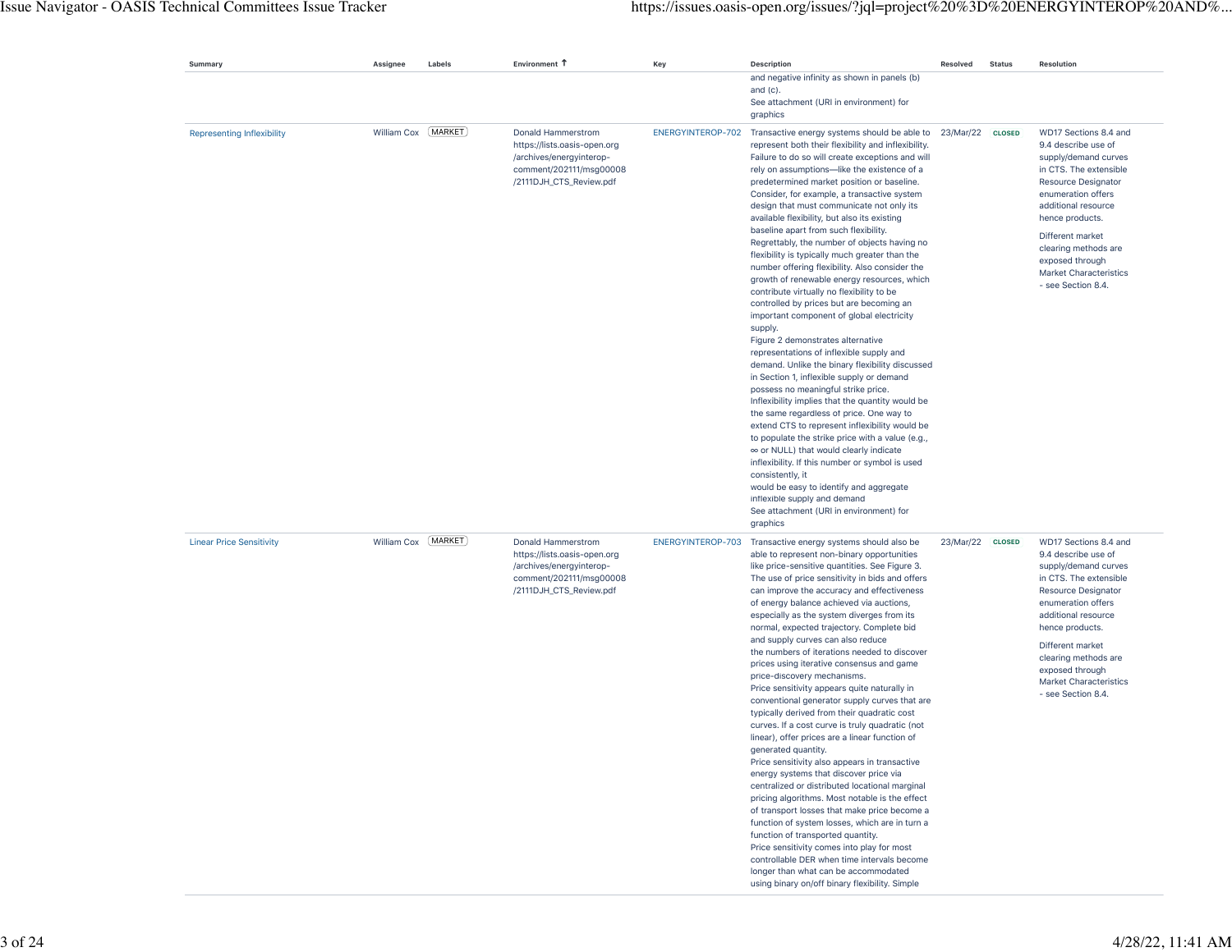| Summary                           | Assignee             | Labels | Environment 1                                                                                                                        | Key               | Description                                                                                                                                                                                                                                                                                                                                                                                                                                                                                                                                                                                                                                                                                                                                                                                                                                                                                                                                                                                                                                                                                                                                                                                                                                                                                                                                                                                                                                                                    | Resolved         | <b>Status</b> | <b>Resolution</b>                                                                                                                                                                                                                                                                                           |
|-----------------------------------|----------------------|--------|--------------------------------------------------------------------------------------------------------------------------------------|-------------------|--------------------------------------------------------------------------------------------------------------------------------------------------------------------------------------------------------------------------------------------------------------------------------------------------------------------------------------------------------------------------------------------------------------------------------------------------------------------------------------------------------------------------------------------------------------------------------------------------------------------------------------------------------------------------------------------------------------------------------------------------------------------------------------------------------------------------------------------------------------------------------------------------------------------------------------------------------------------------------------------------------------------------------------------------------------------------------------------------------------------------------------------------------------------------------------------------------------------------------------------------------------------------------------------------------------------------------------------------------------------------------------------------------------------------------------------------------------------------------|------------------|---------------|-------------------------------------------------------------------------------------------------------------------------------------------------------------------------------------------------------------------------------------------------------------------------------------------------------------|
|                                   |                      |        |                                                                                                                                      |                   | and negative infinity as shown in panels (b)<br>and $(c)$ .<br>See attachment (URI in environment) for<br>graphics                                                                                                                                                                                                                                                                                                                                                                                                                                                                                                                                                                                                                                                                                                                                                                                                                                                                                                                                                                                                                                                                                                                                                                                                                                                                                                                                                             |                  |               |                                                                                                                                                                                                                                                                                                             |
| <b>Representing Inflexibility</b> | William Cox [MARKET] |        | Donald Hammerstrom<br>https://lists.oasis-open.org<br>/archives/energyinterop-<br>comment/202111/msg00008<br>/2111DJH_CTS_Review.pdf | ENERGYINTEROP-702 | Transactive energy systems should be able to<br>represent both their flexibility and inflexibility.<br>Failure to do so will create exceptions and will<br>rely on assumptions-like the existence of a<br>predetermined market position or baseline.<br>Consider, for example, a transactive system<br>design that must communicate not only its<br>available flexibility, but also its existing<br>baseline apart from such flexibility.<br>Regrettably, the number of objects having no<br>flexibility is typically much greater than the<br>number offering flexibility. Also consider the<br>growth of renewable energy resources, which<br>contribute virtually no flexibility to be<br>controlled by prices but are becoming an<br>important component of global electricity<br>supply.<br>Figure 2 demonstrates alternative<br>representations of inflexible supply and<br>demand. Unlike the binary flexibility discussed<br>in Section 1, inflexible supply or demand<br>possess no meaningful strike price.<br>Inflexibility implies that the quantity would be<br>the same regardless of price. One way to<br>extend CTS to represent inflexibility would be<br>to populate the strike price with a value (e.g.,<br>∞ or NULL) that would clearly indicate<br>inflexibility. If this number or symbol is used<br>consistently, it<br>would be easy to identify and aggregate<br>inflexible supply and demand<br>See attachment (URI in environment) for<br>graphics | 23/Mar/22 CLOSED |               | WD17 Sections 8.4 and<br>9.4 describe use of<br>supply/demand curves<br>in CTS. The extensible<br>Resource Designator<br>enumeration offers<br>additional resource<br>hence products.<br>Different market<br>clearing methods are<br>exposed through<br>Market Characteristics<br>- see Section 8.4.        |
| <b>Linear Price Sensitivity</b>   | William Cox [MARKET] |        | Donald Hammerstrom<br>https://lists.oasis-open.org<br>/archives/energyinterop-<br>comment/202111/msg00008<br>/2111DJH_CTS_Review.pdf | ENERGYINTEROP-703 | Transactive energy systems should also be<br>able to represent non-binary opportunities<br>like price-sensitive quantities. See Figure 3.<br>The use of price sensitivity in bids and offers<br>can improve the accuracy and effectiveness<br>of energy balance achieved via auctions,<br>especially as the system diverges from its<br>normal, expected trajectory. Complete bid<br>and supply curves can also reduce<br>the numbers of iterations needed to discover<br>prices using iterative consensus and game<br>price-discovery mechanisms.<br>Price sensitivity appears quite naturally in<br>conventional generator supply curves that are<br>typically derived from their quadratic cost<br>curves. If a cost curve is truly quadratic (not<br>linear), offer prices are a linear function of<br>generated quantity.<br>Price sensitivity also appears in transactive<br>energy systems that discover price via<br>centralized or distributed locational marginal<br>pricing algorithms. Most notable is the effect<br>of transport losses that make price become a<br>function of system losses, which are in turn a<br>function of transported quantity.<br>Price sensitivity comes into play for most<br>controllable DER when time intervals become<br>longer than what can be accommodated<br>using binary on/off binary flexibility. Simple                                                                                                                    | 23/Mar/22 CLOSED |               | WD17 Sections 8.4 and<br>9.4 describe use of<br>supply/demand curves<br>in CTS. The extensible<br>Resource Designator<br>enumeration offers<br>additional resource<br>hence products.<br>Different market<br>clearing methods are<br>exposed through<br><b>Market Characteristics</b><br>- see Section 8.4. |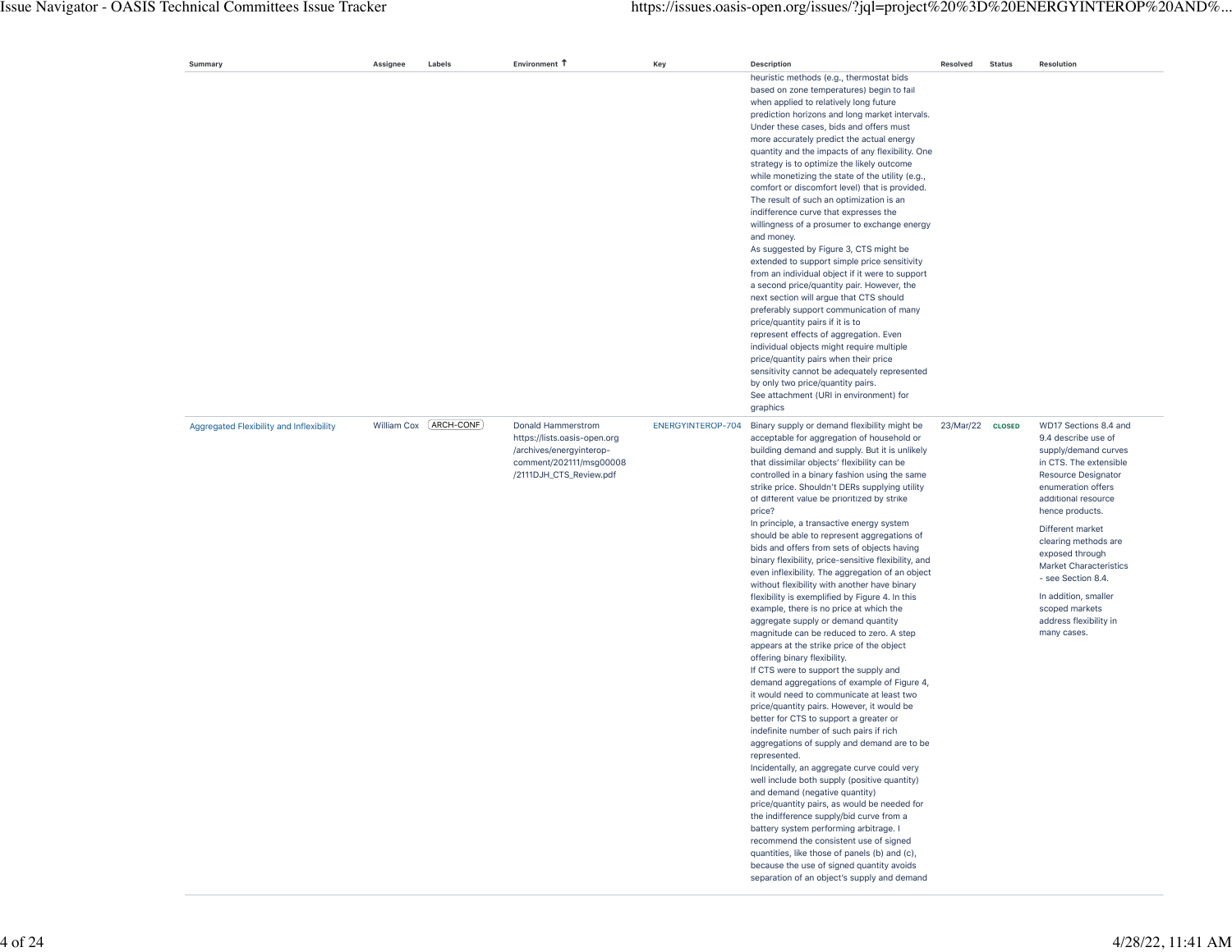| Summary                                  | Assignee    | Labels      | Environment 1                                                                                                                        | Key               | <b>Description</b>                                                                                                                                                                                                                                                                                                                                                                                                                                                                                                                                                                                                                                                                                                                                                                                                                                                                                                                                                                                                                                                                                                                                                                                                                                                                                                                                                                                                                                                                                                                                                                                                                                                                                                                | Resolved         | <b>Status</b> | <b>Resolution</b>                                                                                                                                                                                                                                                                                                                                                                              |
|------------------------------------------|-------------|-------------|--------------------------------------------------------------------------------------------------------------------------------------|-------------------|-----------------------------------------------------------------------------------------------------------------------------------------------------------------------------------------------------------------------------------------------------------------------------------------------------------------------------------------------------------------------------------------------------------------------------------------------------------------------------------------------------------------------------------------------------------------------------------------------------------------------------------------------------------------------------------------------------------------------------------------------------------------------------------------------------------------------------------------------------------------------------------------------------------------------------------------------------------------------------------------------------------------------------------------------------------------------------------------------------------------------------------------------------------------------------------------------------------------------------------------------------------------------------------------------------------------------------------------------------------------------------------------------------------------------------------------------------------------------------------------------------------------------------------------------------------------------------------------------------------------------------------------------------------------------------------------------------------------------------------|------------------|---------------|------------------------------------------------------------------------------------------------------------------------------------------------------------------------------------------------------------------------------------------------------------------------------------------------------------------------------------------------------------------------------------------------|
|                                          |             |             |                                                                                                                                      |                   | heuristic methods (e.g., thermostat bids<br>based on zone temperatures) begin to fail<br>when applied to relatively long future<br>prediction horizons and long market intervals.<br>Under these cases, bids and offers must<br>more accurately predict the actual energy<br>quantity and the impacts of any flexibility. One<br>strategy is to optimize the likely outcome<br>while monetizing the state of the utility (e.g.,<br>comfort or discomfort level) that is provided.<br>The result of such an optimization is an<br>indifference curve that expresses the<br>willingness of a prosumer to exchange energy<br>and money.<br>As suggested by Figure 3, CTS might be<br>extended to support simple price sensitivity<br>from an individual object if it were to support<br>a second price/quantity pair. However, the<br>next section will argue that CTS should<br>preferably support communication of many<br>price/quantity pairs if it is to<br>represent effects of aggregation. Even<br>individual objects might require multiple<br>price/quantity pairs when their price<br>sensitivity cannot be adequately represented<br>by only two price/quantity pairs.<br>See attachment (URI in environment) for<br>graphics                                                                                                                                                                                                                                                                                                                                                                                                                                                                                            |                  |               |                                                                                                                                                                                                                                                                                                                                                                                                |
| Aggregated Flexibility and Inflexibility | William Cox | [ARCH-CONF] | Donald Hammerstrom<br>https://lists.oasis-open.org<br>/archives/energyinterop-<br>comment/202111/msg00008<br>/2111DJH_CTS_Review.pdf | ENERGYINTEROP-704 | Binary supply or demand flexibility might be<br>acceptable for aggregation of household or<br>building demand and supply. But it is unlikely<br>that dissimilar objects' flexibility can be<br>controlled in a binary fashion using the same<br>strike price. Shouldn't DERs supplying utility<br>of different value be prioritized by strike<br>price?<br>In principle, a transactive energy system<br>should be able to represent aggregations of<br>bids and offers from sets of objects having<br>binary flexibility, price-sensitive flexibility, and<br>even inflexibility. The aggregation of an object<br>without flexibility with another have binary<br>flexibility is exemplified by Figure 4. In this<br>example, there is no price at which the<br>aggregate supply or demand quantity<br>magnitude can be reduced to zero. A step<br>appears at the strike price of the object<br>offering binary flexibility.<br>If CTS were to support the supply and<br>demand aggregations of example of Figure 4,<br>it would need to communicate at least two<br>price/quantity pairs. However, it would be<br>better for CTS to support a greater or<br>indefinite number of such pairs if rich<br>aggregations of supply and demand are to be<br>represented.<br>Incidentally, an aggregate curve could very<br>well include both supply (positive quantity)<br>and demand (negative quantity)<br>price/quantity pairs, as would be needed for<br>the indifference supply/bid curve from a<br>battery system performing arbitrage. I<br>recommend the consistent use of signed<br>quantities, like those of panels (b) and (c),<br>because the use of signed quantity avoids<br>separation of an object's supply and demand | 23/Mar/22 CLOSED |               | WD17 Sections 8.4 and<br>9.4 describe use of<br>supply/demand curves<br>in CTS. The extensible<br>Resource Designator<br>enumeration offers<br>additional resource<br>hence products.<br>Different market<br>clearing methods are<br>exposed through<br><b>Market Characteristics</b><br>- see Section 8.4.<br>In addition, smaller<br>scoped markets<br>address flexibility in<br>many cases. |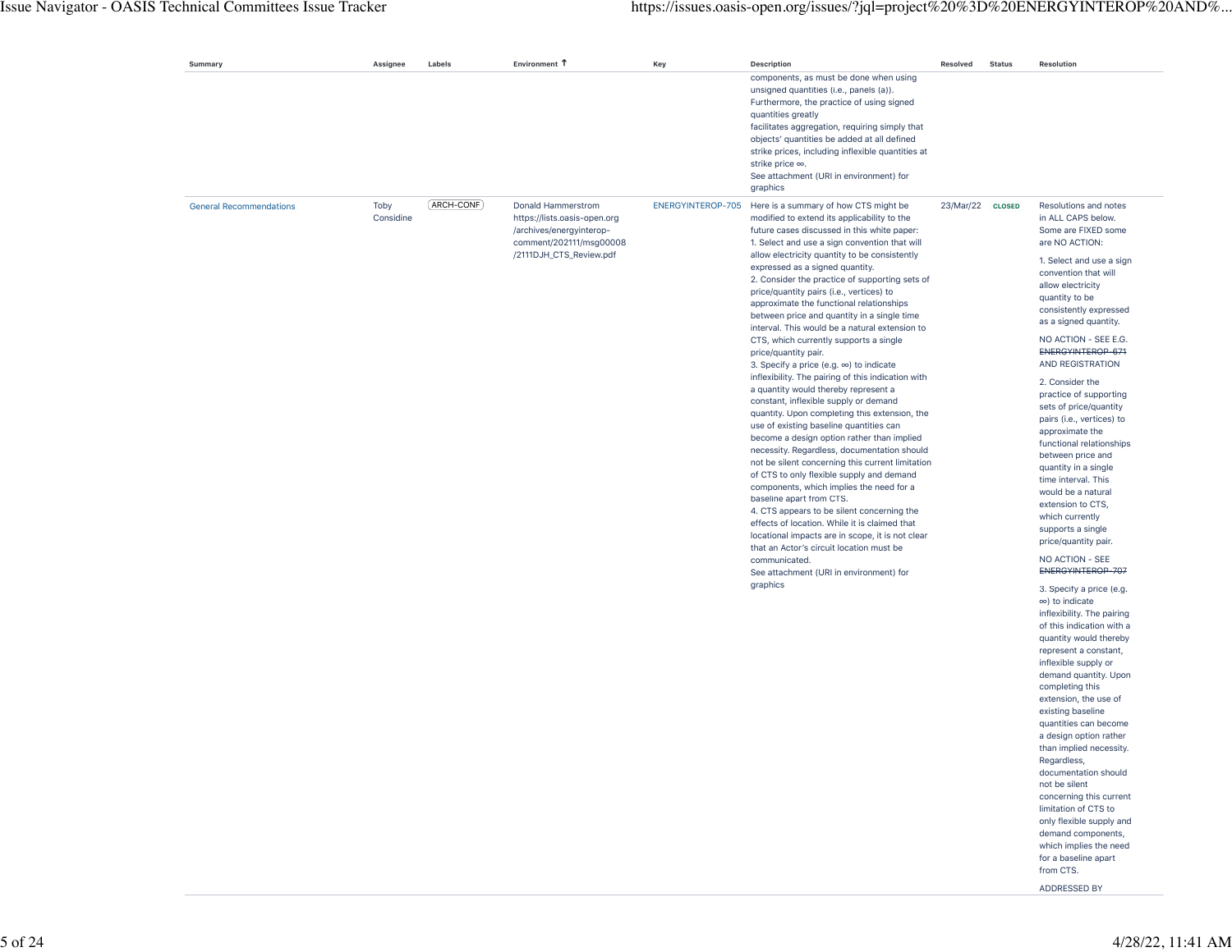| Summary                        | Assignee          | Labels      | Environment 1                                                                                                                        | Key               | <b>Description</b>                                                                                                                                                                                                                                                                                                                                                                                                                                                                                                                                                                                                                                                                                                                                                                                                                                                                                                                                                                                                                                                                                                                                                                                                                                                                                                                                                                                                       | Resolved         | <b>Status</b> | Resolution                                                                                                                                                                                                                                                                                                                                                                                                                                                                                                                                                                                                                                                                                                                                                                                                                                                                                                                                                                                                                                                                                                                                                                                                                                                                                    |
|--------------------------------|-------------------|-------------|--------------------------------------------------------------------------------------------------------------------------------------|-------------------|--------------------------------------------------------------------------------------------------------------------------------------------------------------------------------------------------------------------------------------------------------------------------------------------------------------------------------------------------------------------------------------------------------------------------------------------------------------------------------------------------------------------------------------------------------------------------------------------------------------------------------------------------------------------------------------------------------------------------------------------------------------------------------------------------------------------------------------------------------------------------------------------------------------------------------------------------------------------------------------------------------------------------------------------------------------------------------------------------------------------------------------------------------------------------------------------------------------------------------------------------------------------------------------------------------------------------------------------------------------------------------------------------------------------------|------------------|---------------|-----------------------------------------------------------------------------------------------------------------------------------------------------------------------------------------------------------------------------------------------------------------------------------------------------------------------------------------------------------------------------------------------------------------------------------------------------------------------------------------------------------------------------------------------------------------------------------------------------------------------------------------------------------------------------------------------------------------------------------------------------------------------------------------------------------------------------------------------------------------------------------------------------------------------------------------------------------------------------------------------------------------------------------------------------------------------------------------------------------------------------------------------------------------------------------------------------------------------------------------------------------------------------------------------|
|                                |                   |             |                                                                                                                                      |                   | components, as must be done when using<br>unsigned quantities (i.e., panels (a)).<br>Furthermore, the practice of using signed<br>quantities greatly<br>facilitates aggregation, requiring simply that<br>objects' quantities be added at all defined<br>strike prices, including inflexible quantities at<br>strike price ∞.<br>See attachment (URI in environment) for<br>graphics                                                                                                                                                                                                                                                                                                                                                                                                                                                                                                                                                                                                                                                                                                                                                                                                                                                                                                                                                                                                                                     |                  |               |                                                                                                                                                                                                                                                                                                                                                                                                                                                                                                                                                                                                                                                                                                                                                                                                                                                                                                                                                                                                                                                                                                                                                                                                                                                                                               |
| <b>General Recommendations</b> | Toby<br>Considine | (ARCH-CONF) | Donald Hammerstrom<br>https://lists.oasis-open.org<br>/archives/energyinterop-<br>comment/202111/msg00008<br>/2111DJH_CTS_Review.pdf | ENERGYINTEROP-705 | Here is a summary of how CTS might be<br>modified to extend its applicability to the<br>future cases discussed in this white paper:<br>1. Select and use a sign convention that will<br>allow electricity quantity to be consistently<br>expressed as a signed quantity.<br>2. Consider the practice of supporting sets of<br>price/quantity pairs (i.e., vertices) to<br>approximate the functional relationships<br>between price and quantity in a single time<br>interval. This would be a natural extension to<br>CTS, which currently supports a single<br>price/quantity pair.<br>3. Specify a price (e.g. $\infty$ ) to indicate<br>inflexibility. The pairing of this indication with<br>a quantity would thereby represent a<br>constant, inflexible supply or demand<br>quantity. Upon completing this extension, the<br>use of existing baseline quantities can<br>become a design option rather than implied<br>necessity. Regardless, documentation should<br>not be silent concerning this current limitation<br>of CTS to only flexible supply and demand<br>components, which implies the need for a<br>baseline apart from CTS.<br>4. CTS appears to be silent concerning the<br>effects of location. While it is claimed that<br>locational impacts are in scope, it is not clear<br>that an Actor's circuit location must be<br>communicated.<br>See attachment (URI in environment) for<br>graphics | 23/Mar/22 CLOSED |               | Resolutions and notes<br>in ALL CAPS below.<br>Some are FIXED some<br>are NO ACTION:<br>1. Select and use a sign<br>convention that will<br>allow electricity<br>quantity to be<br>consistently expressed<br>as a signed quantity.<br>NO ACTION - SEE E.G.<br>ENERGYINTEROP-671<br>AND REGISTRATION<br>2. Consider the<br>practice of supporting<br>sets of price/quantity<br>pairs (i.e., vertices) to<br>approximate the<br>functional relationships<br>between price and<br>quantity in a single<br>time interval. This<br>would be a natural<br>extension to CTS,<br>which currently<br>supports a single<br>price/quantity pair.<br>NO ACTION - SEE<br>ENERGYINTEROP-707<br>3. Specify a price (e.g.<br>$\infty$ ) to indicate<br>inflexibility. The pairing<br>of this indication with a<br>quantity would thereby<br>represent a constant,<br>inflexible supply or<br>demand quantity. Upon<br>completing this<br>extension, the use of<br>existing baseline<br>quantities can become<br>a design option rather<br>than implied necessity.<br>Regardless,<br>documentation should<br>not be silent<br>concerning this current<br>limitation of CTS to<br>only flexible supply and<br>demand components,<br>which implies the need<br>for a baseline apart<br>from CTS.<br>ADDRESSED BY |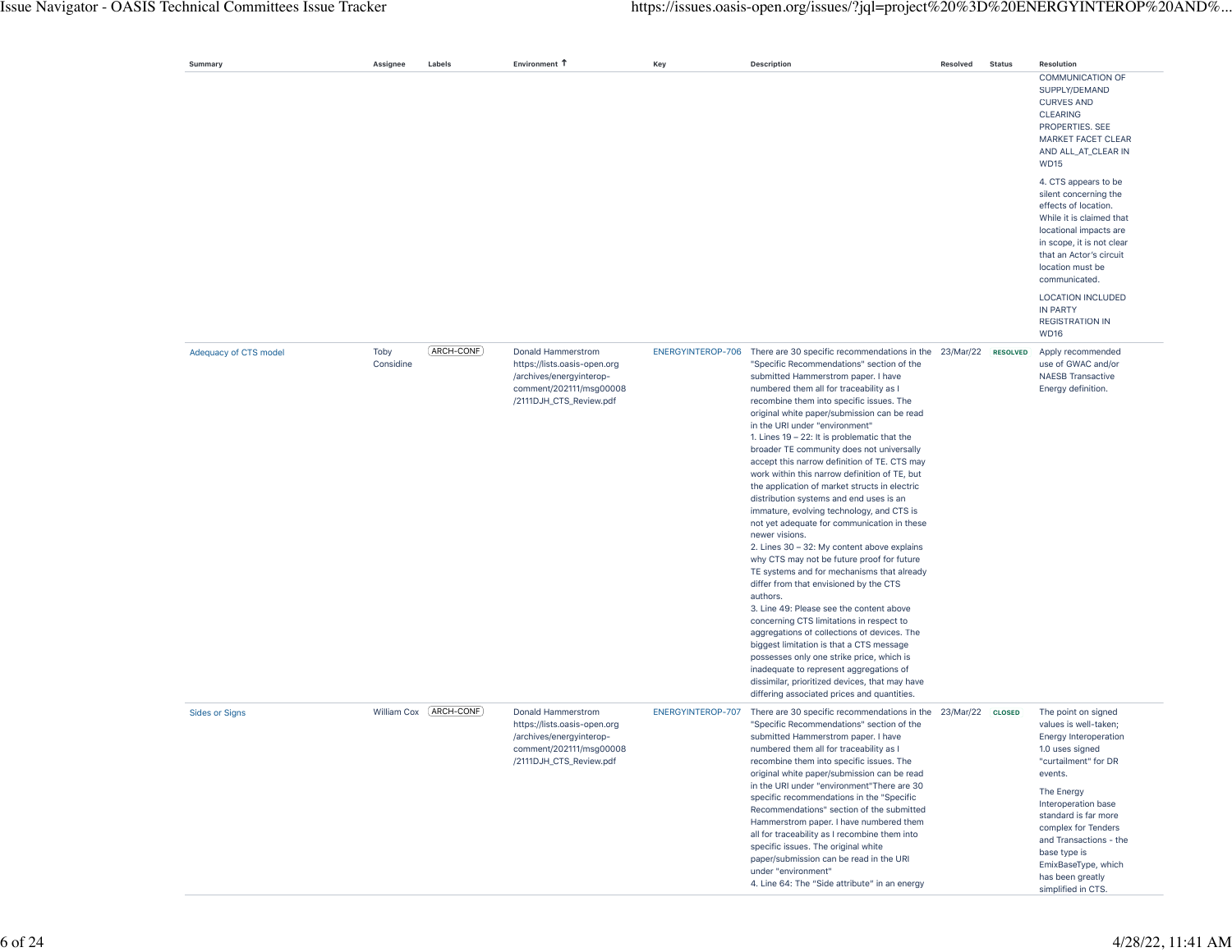|                       |                   |               | Environment T                                                                                                                        |                   |                                                                                                                                                                                                                                                                                                                                                                                                                                                                                                                                                                                                                                                                                                                                                                                                                                                                                                                                                                                                                                                                                                                                                                                                                                                                                                                                       |          |               | Resolution                                                                                                                                                                                                                                                                                                                        |
|-----------------------|-------------------|---------------|--------------------------------------------------------------------------------------------------------------------------------------|-------------------|---------------------------------------------------------------------------------------------------------------------------------------------------------------------------------------------------------------------------------------------------------------------------------------------------------------------------------------------------------------------------------------------------------------------------------------------------------------------------------------------------------------------------------------------------------------------------------------------------------------------------------------------------------------------------------------------------------------------------------------------------------------------------------------------------------------------------------------------------------------------------------------------------------------------------------------------------------------------------------------------------------------------------------------------------------------------------------------------------------------------------------------------------------------------------------------------------------------------------------------------------------------------------------------------------------------------------------------|----------|---------------|-----------------------------------------------------------------------------------------------------------------------------------------------------------------------------------------------------------------------------------------------------------------------------------------------------------------------------------|
| Summary               | Assignee          | Labels        |                                                                                                                                      | Key               | Description                                                                                                                                                                                                                                                                                                                                                                                                                                                                                                                                                                                                                                                                                                                                                                                                                                                                                                                                                                                                                                                                                                                                                                                                                                                                                                                           | Resolved | <b>Status</b> | COMMUNICATION OF<br>SUPPLY/DEMAND<br><b>CURVES AND</b><br><b>CLEARING</b><br>PROPERTIES. SEE<br>MARKET FACET CLEAR<br>AND ALL_AT_CLEAR IN<br><b>WD15</b>                                                                                                                                                                          |
|                       |                   |               |                                                                                                                                      |                   |                                                                                                                                                                                                                                                                                                                                                                                                                                                                                                                                                                                                                                                                                                                                                                                                                                                                                                                                                                                                                                                                                                                                                                                                                                                                                                                                       |          |               | 4. CTS appears to be<br>silent concerning the<br>effects of location.<br>While it is claimed that<br>locational impacts are<br>in scope, it is not clear<br>that an Actor's circuit<br>location must be<br>communicated.                                                                                                          |
|                       |                   |               |                                                                                                                                      |                   |                                                                                                                                                                                                                                                                                                                                                                                                                                                                                                                                                                                                                                                                                                                                                                                                                                                                                                                                                                                                                                                                                                                                                                                                                                                                                                                                       |          |               | <b>LOCATION INCLUDED</b><br><b>IN PARTY</b><br><b>REGISTRATION IN</b><br><b>WD16</b>                                                                                                                                                                                                                                              |
| Adequacy of CTS model | Toby<br>Considine | $(ARCH-CONE)$ | Donald Hammerstrom<br>https://lists.oasis-open.org<br>/archives/energyinterop-<br>comment/202111/msg00008<br>/2111DJH_CTS_Review.pdf |                   | ENERGYINTEROP-706 There are 30 specific recommendations in the 23/Mar/22 RESOLVED<br>"Specific Recommendations" section of the<br>submitted Hammerstrom paper. I have<br>numbered them all for traceability as I<br>recombine them into specific issues. The<br>original white paper/submission can be read<br>in the URI under "environment"<br>1. Lines $19 - 22$ : It is problematic that the<br>broader TE community does not universally<br>accept this narrow definition of TE. CTS may<br>work within this narrow definition of TE, but<br>the application of market structs in electric<br>distribution systems and end uses is an<br>immature, evolving technology, and CTS is<br>not yet adequate for communication in these<br>newer visions.<br>2. Lines 30 - 32: My content above explains<br>why CTS may not be future proof for future<br>TE systems and for mechanisms that already<br>differ from that envisioned by the CTS<br>authors.<br>3. Line 49: Please see the content above<br>concerning CTS limitations in respect to<br>aggregations of collections of devices. The<br>biggest limitation is that a CTS message<br>possesses only one strike price, which is<br>inadequate to represent aggregations of<br>dissimilar, prioritized devices, that may have<br>differing associated prices and quantities. |          |               | Apply recommended<br>use of GWAC and/or<br><b>NAESB Transactive</b><br>Energy definition.                                                                                                                                                                                                                                         |
| <b>Sides or Signs</b> | William Cox       | ARCH-CONF     | Donald Hammerstrom<br>https://lists.oasis-open.org<br>/archives/energyinterop-<br>comment/202111/msg00008<br>/2111DJH_CTS_Review.pdf | ENERGYINTEROP-707 | There are 30 specific recommendations in the 23/Mar/22 CLOSED<br>"Specific Recommendations" section of the<br>submitted Hammerstrom paper. I have<br>numbered them all for traceability as I<br>recombine them into specific issues. The<br>original white paper/submission can be read<br>in the URI under "environment"There are 30<br>specific recommendations in the "Specific<br>Recommendations" section of the submitted<br>Hammerstrom paper. I have numbered them<br>all for traceability as I recombine them into<br>specific issues. The original white<br>paper/submission can be read in the URI<br>under "environment"<br>4. Line 64: The "Side attribute" in an energy                                                                                                                                                                                                                                                                                                                                                                                                                                                                                                                                                                                                                                                 |          |               | The point on signed<br>values is well-taken;<br><b>Energy Interoperation</b><br>1.0 uses signed<br>"curtailment" for DR<br>events.<br>The Energy<br>Interoperation base<br>standard is far more<br>complex for Tenders<br>and Transactions - the<br>base type is<br>EmixBaseType, which<br>has been greatly<br>simplified in CTS. |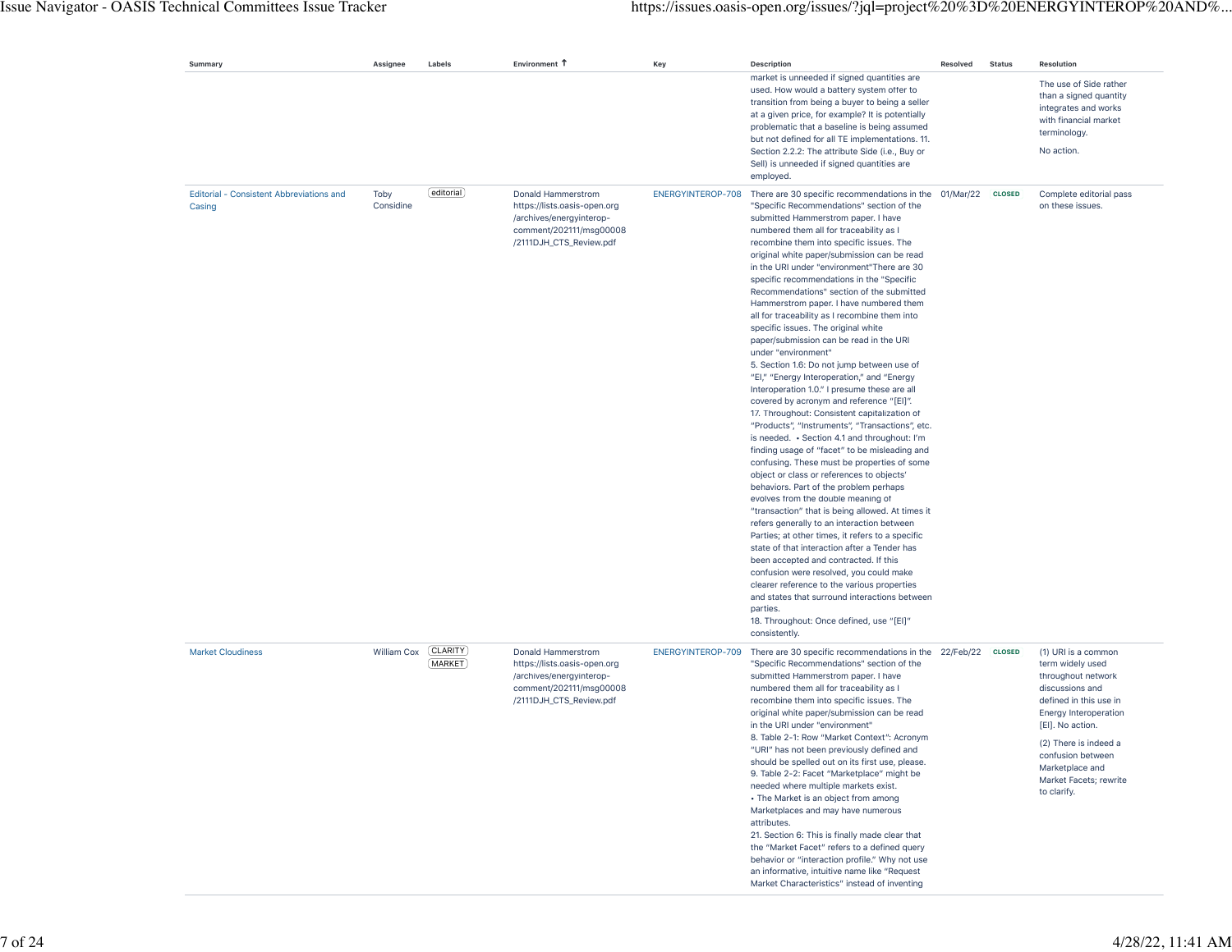## Issue Navigator - OASIS Technical Committees Issue Tracker https://issues.oasis-open.org/issues/?jql=project%20%3D%20ENERGYINTEROP%20AND%...

| Summary                                            | Assignee          | Labels                     | Environment T                                                                                                                        | Key               | <b>Description</b>                                                                                                                                                                                                                                                                                                                                                                                                                                                                                                                                                                                                                                                                                                                                                                                                                                                                                                                                                                                                                                                                                                                                                                                                                                                                                                                                                                                                                                                                                                                                                                                                                                                        | <b>Resolved</b> | <b>Status</b> | Resolution                                                                                                                                                                                                                                                        |
|----------------------------------------------------|-------------------|----------------------------|--------------------------------------------------------------------------------------------------------------------------------------|-------------------|---------------------------------------------------------------------------------------------------------------------------------------------------------------------------------------------------------------------------------------------------------------------------------------------------------------------------------------------------------------------------------------------------------------------------------------------------------------------------------------------------------------------------------------------------------------------------------------------------------------------------------------------------------------------------------------------------------------------------------------------------------------------------------------------------------------------------------------------------------------------------------------------------------------------------------------------------------------------------------------------------------------------------------------------------------------------------------------------------------------------------------------------------------------------------------------------------------------------------------------------------------------------------------------------------------------------------------------------------------------------------------------------------------------------------------------------------------------------------------------------------------------------------------------------------------------------------------------------------------------------------------------------------------------------------|-----------------|---------------|-------------------------------------------------------------------------------------------------------------------------------------------------------------------------------------------------------------------------------------------------------------------|
|                                                    |                   |                            |                                                                                                                                      |                   | market is unneeded if signed quantities are<br>used. How would a battery system offer to<br>transition from being a buyer to being a seller<br>at a given price, for example? It is potentially<br>problematic that a baseline is being assumed<br>but not defined for all TE implementations. 11.<br>Section 2.2.2: The attribute Side (i.e., Buy or<br>Sell) is unneeded if signed quantities are<br>employed.                                                                                                                                                                                                                                                                                                                                                                                                                                                                                                                                                                                                                                                                                                                                                                                                                                                                                                                                                                                                                                                                                                                                                                                                                                                          |                 |               | The use of Side rather<br>than a signed quantity<br>integrates and works<br>with financial market<br>terminology.<br>No action.                                                                                                                                   |
| Editorial - Consistent Abbreviations and<br>Casing | Toby<br>Considine | editorial                  | Donald Hammerstrom<br>https://lists.oasis-open.org<br>/archives/energyinterop-<br>comment/202111/msg00008<br>/2111DJH_CTS_Review.pdf | ENERGYINTEROP-708 | There are 30 specific recommendations in the 01/Mar/22<br>"Specific Recommendations" section of the<br>submitted Hammerstrom paper. I have<br>numbered them all for traceability as I<br>recombine them into specific issues. The<br>original white paper/submission can be read<br>in the URI under "environment" There are 30<br>specific recommendations in the "Specific<br>Recommendations" section of the submitted<br>Hammerstrom paper. I have numbered them<br>all for traceability as I recombine them into<br>specific issues. The original white<br>paper/submission can be read in the URI<br>under "environment"<br>5. Section 1.6: Do not jump between use of<br>"EI," "Energy Interoperation," and "Energy<br>Interoperation 1.0." I presume these are all<br>covered by acronym and reference "[EI]".<br>17. Throughout: Consistent capitalization of<br>"Products", "Instruments", "Transactions", etc.<br>is needed. • Section 4.1 and throughout: I'm<br>finding usage of "facet" to be misleading and<br>confusing. These must be properties of some<br>object or class or references to objects'<br>behaviors. Part of the problem perhaps<br>evolves from the double meaning of<br>"transaction" that is being allowed. At times it<br>refers generally to an interaction between<br>Parties; at other times, it refers to a specific<br>state of that interaction after a Tender has<br>been accepted and contracted. If this<br>confusion were resolved, you could make<br>clearer reference to the various properties<br>and states that surround interactions between<br>parties.<br>18. Throughout: Once defined, use "[EI]"<br>consistently. |                 | <b>CLOSED</b> | Complete editorial pass<br>on these issues.                                                                                                                                                                                                                       |
| <b>Market Cloudiness</b>                           | William Cox       | [CLARITY]<br><b>MARKET</b> | Donald Hammerstrom<br>https://lists.oasis-open.org<br>/archives/energyinterop-<br>comment/202111/msg00008<br>/2111DJH_CTS_Review.pdf | ENERGYINTEROP-709 | There are 30 specific recommendations in the 22/Feb/22<br>"Specific Recommendations" section of the<br>submitted Hammerstrom paper. I have<br>numbered them all for traceability as I<br>recombine them into specific issues. The<br>original white paper/submission can be read<br>in the URI under "environment"<br>8. Table 2-1: Row "Market Context": Acronym<br>"URI" has not been previously defined and<br>should be spelled out on its first use, please.<br>9. Table 2-2: Facet "Marketplace" might be<br>needed where multiple markets exist.<br>• The Market is an object from among<br>Marketplaces and may have numerous<br>attributes.<br>21. Section 6: This is finally made clear that<br>the "Market Facet" refers to a defined query<br>behavior or "interaction profile." Why not use<br>an informative, intuitive name like "Request<br>Market Characteristics" instead of inventing                                                                                                                                                                                                                                                                                                                                                                                                                                                                                                                                                                                                                                                                                                                                                                  |                 | <b>CLOSED</b> | (1) URI is a common<br>term widely used<br>throughout network<br>discussions and<br>defined in this use in<br>Energy Interoperation<br>[EI]. No action.<br>(2) There is indeed a<br>confusion between<br>Marketplace and<br>Market Facets; rewrite<br>to clarify. |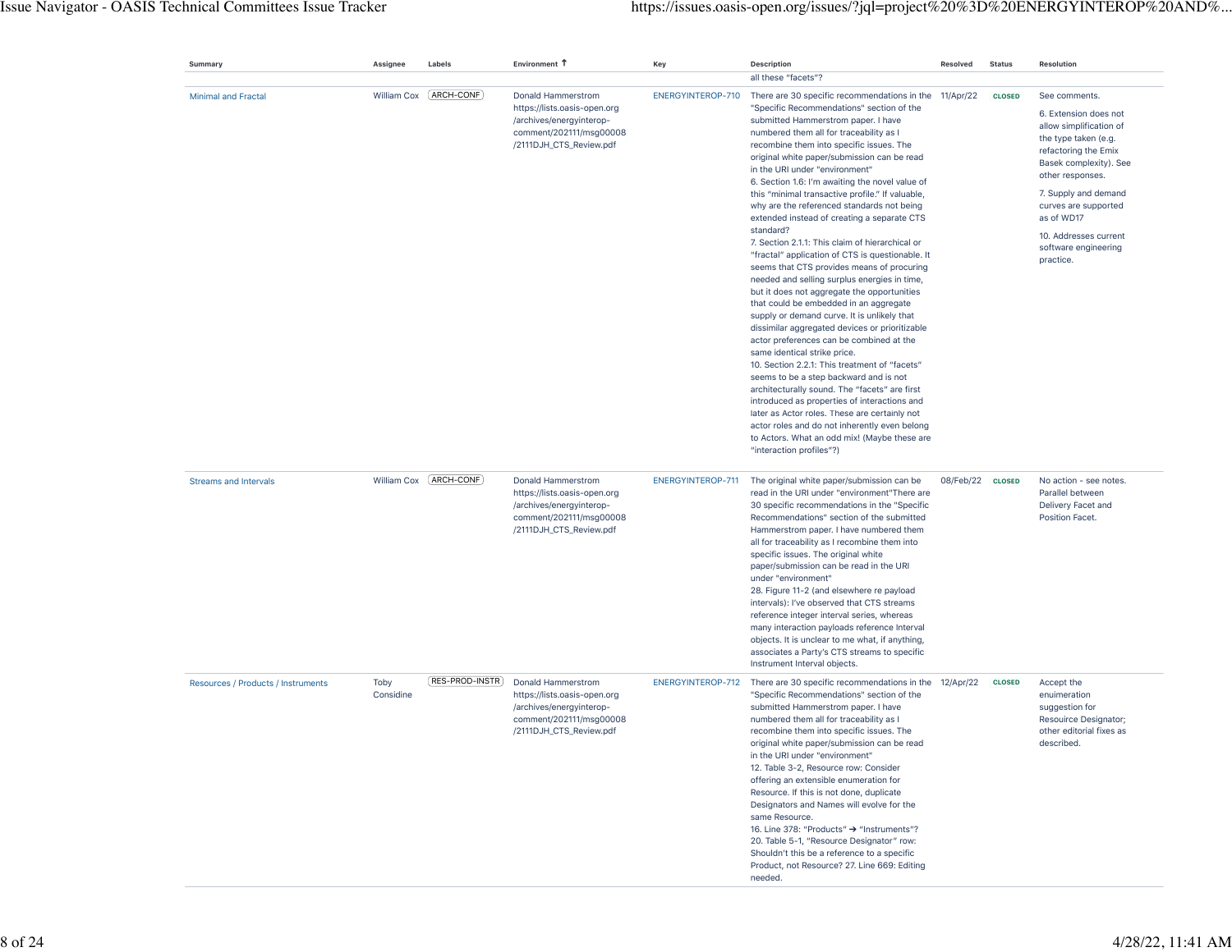| Summary                            | Assignee          | Labels                  | Environment 1                                                                                                                        | Key               | <b>Description</b>                                                                                                                                                                                                                                                                                                                                                                                                                                                                                                                                                                                                                                                                                                                                                                                                                                                                                                                                                                                                                                                                                                                                                                                                                                                                                                                                                             | Resolved         | <b>Status</b> | <b>Resolution</b>                                                                                                                                                                                                                                                                           |
|------------------------------------|-------------------|-------------------------|--------------------------------------------------------------------------------------------------------------------------------------|-------------------|--------------------------------------------------------------------------------------------------------------------------------------------------------------------------------------------------------------------------------------------------------------------------------------------------------------------------------------------------------------------------------------------------------------------------------------------------------------------------------------------------------------------------------------------------------------------------------------------------------------------------------------------------------------------------------------------------------------------------------------------------------------------------------------------------------------------------------------------------------------------------------------------------------------------------------------------------------------------------------------------------------------------------------------------------------------------------------------------------------------------------------------------------------------------------------------------------------------------------------------------------------------------------------------------------------------------------------------------------------------------------------|------------------|---------------|---------------------------------------------------------------------------------------------------------------------------------------------------------------------------------------------------------------------------------------------------------------------------------------------|
|                                    |                   |                         |                                                                                                                                      |                   | all these "facets"?                                                                                                                                                                                                                                                                                                                                                                                                                                                                                                                                                                                                                                                                                                                                                                                                                                                                                                                                                                                                                                                                                                                                                                                                                                                                                                                                                            |                  |               |                                                                                                                                                                                                                                                                                             |
| <b>Minimal and Fractal</b>         | William Cox       | [ARCH-CONF]             | Donald Hammerstrom<br>https://lists.oasis-open.org<br>/archives/energyinterop-<br>comment/202111/msg00008<br>/2111DJH_CTS_Review.pdf | ENERGYINTEROP-710 | There are 30 specific recommendations in the<br>"Specific Recommendations" section of the<br>submitted Hammerstrom paper. I have<br>numbered them all for traceability as I<br>recombine them into specific issues. The<br>original white paper/submission can be read<br>in the URI under "environment"<br>6. Section 1.6: I'm awaiting the novel value of<br>this "minimal transactive profile." If valuable,<br>why are the referenced standards not being<br>extended instead of creating a separate CTS<br>standard?<br>7. Section 2.1.1: This claim of hierarchical or<br>"fractal" application of CTS is questionable. It<br>seems that CTS provides means of procuring<br>needed and selling surplus energies in time,<br>but it does not aggregate the opportunities<br>that could be embedded in an aggregate<br>supply or demand curve. It is unlikely that<br>dissimilar aggregated devices or prioritizable<br>actor preferences can be combined at the<br>same identical strike price.<br>10. Section 2.2.1: This treatment of "facets"<br>seems to be a step backward and is not<br>architecturally sound. The "facets" are first<br>introduced as properties of interactions and<br>later as Actor roles. These are certainly not<br>actor roles and do not inherently even belong<br>to Actors. What an odd mix! (Maybe these are<br>"interaction profiles"?) | 11/Apr/22        | <b>CLOSED</b> | See comments.<br>6. Extension does not<br>allow simplification of<br>the type taken (e.g.<br>refactoring the Emix<br>Basek complexity). See<br>other responses.<br>7. Supply and demand<br>curves are supported<br>as of WD17<br>10. Addresses current<br>software engineering<br>practice. |
| <b>Streams and Intervals</b>       |                   | William Cox [ARCH-CONF] | Donald Hammerstrom<br>https://lists.oasis-open.org<br>/archives/energyinterop-<br>comment/202111/msg00008<br>/2111DJH_CTS_Review.pdf | ENERGYINTEROP-711 | The original white paper/submission can be<br>read in the URI under "environment"There are<br>30 specific recommendations in the "Specific<br>Recommendations" section of the submitted<br>Hammerstrom paper. I have numbered them<br>all for traceability as I recombine them into<br>specific issues. The original white<br>paper/submission can be read in the URI<br>under "environment"<br>28. Figure 11-2 (and elsewhere re payload<br>intervals): I've observed that CTS streams<br>reference integer interval series, whereas<br>many interaction payloads reference Interval<br>objects. It is unclear to me what, if anything,<br>associates a Party's CTS streams to specific<br>Instrument Interval objects.                                                                                                                                                                                                                                                                                                                                                                                                                                                                                                                                                                                                                                                       | 08/Feb/22 CLOSED |               | No action - see notes.<br>Parallel between<br>Delivery Facet and<br>Position Facet.                                                                                                                                                                                                         |
| Resources / Products / Instruments | Toby<br>Considine | [RES-PROD-INSTR]        | Donald Hammerstrom<br>https://lists.oasis-open.org<br>/archives/energyinterop-<br>comment/202111/msq00008<br>/2111DJH_CTS_Review.pdf | ENERGYINTEROP-712 | There are 30 specific recommendations in the<br>"Specific Recommendations" section of the<br>submitted Hammerstrom paper. I have<br>numbered them all for traceability as I<br>recombine them into specific issues. The<br>original white paper/submission can be read<br>in the URI under "environment"<br>12. Table 3-2, Resource row: Consider<br>offering an extensible enumeration for<br>Resource. If this is not done, duplicate<br>Designators and Names will evolve for the<br>same Resource.<br>16. Line 378: "Products" → "Instruments"?<br>20. Table 5-1, "Resource Designator" row:<br>Shouldn't this be a reference to a specific<br>Product, not Resource? 27. Line 669: Editing<br>needed.                                                                                                                                                                                                                                                                                                                                                                                                                                                                                                                                                                                                                                                                     | 12/Apr/22        | <b>CLOSED</b> | Accept the<br>enuimeration<br>suggestion for<br>Resouirce Designator;<br>other editorial fixes as<br>described.                                                                                                                                                                             |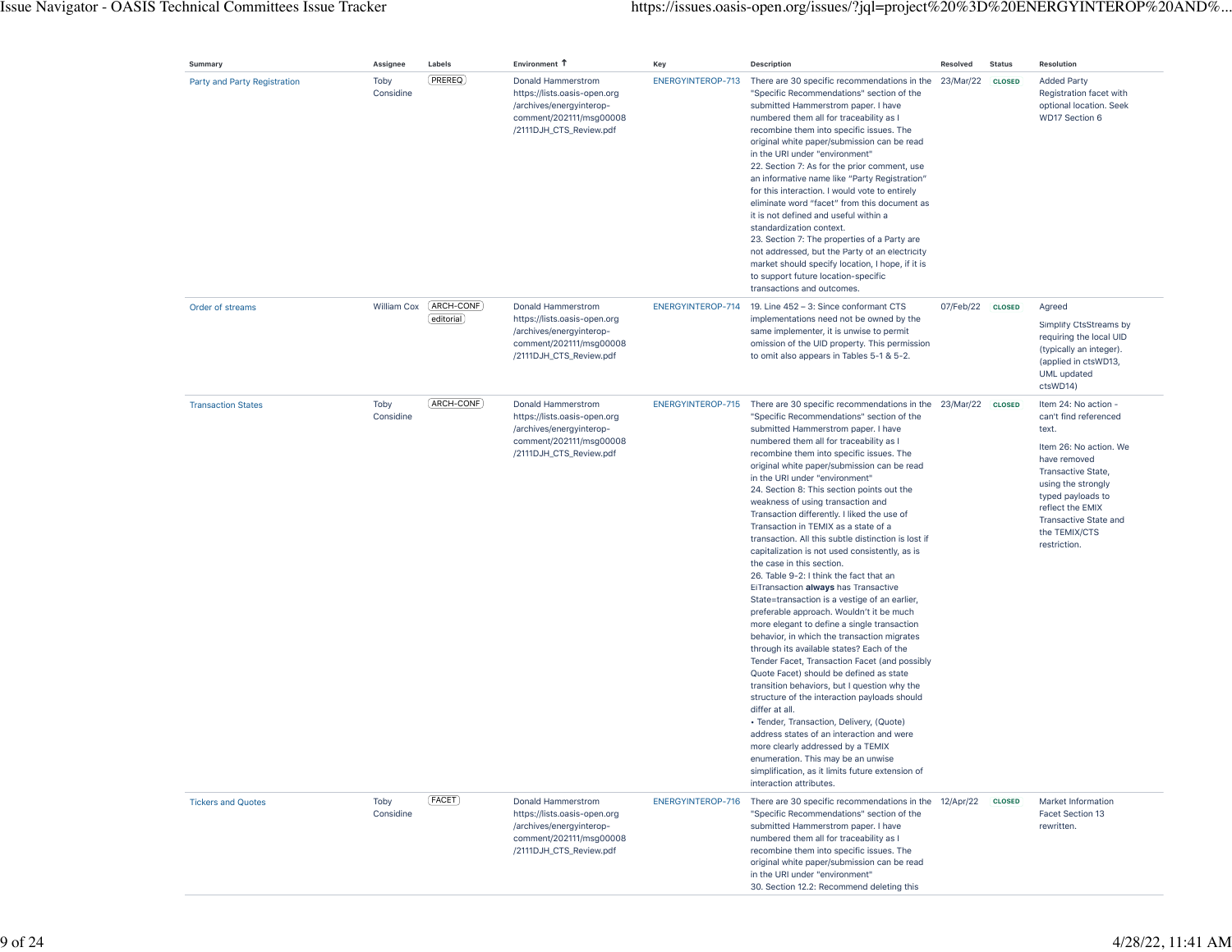| Summary                      | Assignee          | Labels                   | Environment T                                                                                                                        | Key               | <b>Description</b>                                                                                                                                                                                                                                                                                                                                                                                                                                                                                                                                                                                                                                                                                                                                                                                                                                                                                                                                                                                                                                                                                                                                                                                                                                                                                                                                                                                                             | Resolved  | <b>Status</b> | Resolution                                                                                                                                                                                                                                             |
|------------------------------|-------------------|--------------------------|--------------------------------------------------------------------------------------------------------------------------------------|-------------------|--------------------------------------------------------------------------------------------------------------------------------------------------------------------------------------------------------------------------------------------------------------------------------------------------------------------------------------------------------------------------------------------------------------------------------------------------------------------------------------------------------------------------------------------------------------------------------------------------------------------------------------------------------------------------------------------------------------------------------------------------------------------------------------------------------------------------------------------------------------------------------------------------------------------------------------------------------------------------------------------------------------------------------------------------------------------------------------------------------------------------------------------------------------------------------------------------------------------------------------------------------------------------------------------------------------------------------------------------------------------------------------------------------------------------------|-----------|---------------|--------------------------------------------------------------------------------------------------------------------------------------------------------------------------------------------------------------------------------------------------------|
| Party and Party Registration | Toby<br>Considine | PREREQ                   | Donald Hammerstrom<br>https://lists.oasis-open.org<br>/archives/energyinterop-<br>comment/202111/msg00008<br>/2111DJH_CTS_Review.pdf | ENERGYINTEROP-713 | There are 30 specific recommendations in the 23/Mar/22<br>"Specific Recommendations" section of the<br>submitted Hammerstrom paper. I have<br>numbered them all for traceability as I<br>recombine them into specific issues. The<br>original white paper/submission can be read<br>in the URI under "environment"<br>22. Section 7: As for the prior comment, use<br>an informative name like "Party Registration"<br>for this interaction. I would vote to entirely<br>eliminate word "facet" from this document as<br>it is not defined and useful within a<br>standardization context.<br>23. Section 7: The properties of a Party are<br>not addressed, but the Party of an electricity<br>market should specify location, I hope, if it is<br>to support future location-specific<br>transactions and outcomes.                                                                                                                                                                                                                                                                                                                                                                                                                                                                                                                                                                                                          |           | <b>CLOSED</b> | <b>Added Party</b><br>Registration facet with<br>optional location. Seek<br>WD17 Section 6                                                                                                                                                             |
| Order of streams             | William Cox       | (ARCH-CONF)<br>editorial | Donald Hammerstrom<br>https://lists.oasis-open.org<br>/archives/energyinterop-<br>comment/202111/msg00008<br>/2111DJH_CTS_Review.pdf | ENERGYINTEROP-714 | 19. Line 452 - 3: Since conformant CTS<br>implementations need not be owned by the<br>same implementer, it is unwise to permit<br>omission of the UID property. This permission<br>to omit also appears in Tables 5-1 & 5-2.                                                                                                                                                                                                                                                                                                                                                                                                                                                                                                                                                                                                                                                                                                                                                                                                                                                                                                                                                                                                                                                                                                                                                                                                   | 07/Feb/22 | <b>CLOSED</b> | Agreed<br>Simplify CtsStreams by<br>requiring the local UID<br>(typically an integer).<br>(applied in ctsWD13,<br>UML updated<br>ctsWD14)                                                                                                              |
| <b>Transaction States</b>    | Toby<br>Considine | (ARCH-CONF)              | Donald Hammerstrom<br>https://lists.oasis-open.org<br>/archives/energyinterop-<br>comment/202111/msg00008<br>/2111DJH_CTS_Review.pdf | ENERGYINTEROP-715 | There are 30 specific recommendations in the 23/Mar/22<br>"Specific Recommendations" section of the<br>submitted Hammerstrom paper. I have<br>numbered them all for traceability as I<br>recombine them into specific issues. The<br>original white paper/submission can be read<br>in the URI under "environment"<br>24. Section 8: This section points out the<br>weakness of using transaction and<br>Transaction differently. I liked the use of<br>Transaction in TEMIX as a state of a<br>transaction. All this subtle distinction is lost if<br>capitalization is not used consistently, as is<br>the case in this section.<br>26. Table 9-2: I think the fact that an<br>EiTransaction always has Transactive<br>State=transaction is a vestige of an earlier,<br>preferable approach. Wouldn't it be much<br>more elegant to define a single transaction<br>behavior, in which the transaction migrates<br>through its available states? Each of the<br>Tender Facet, Transaction Facet (and possibly<br>Quote Facet) should be defined as state<br>transition behaviors, but I question why the<br>structure of the interaction payloads should<br>differ at all.<br>• Tender, Transaction, Delivery, (Quote)<br>address states of an interaction and were<br>more clearly addressed by a TEMIX<br>enumeration. This may be an unwise<br>simplification, as it limits future extension of<br>interaction attributes. |           | <b>CLOSED</b> | Item 24: No action -<br>can't find referenced<br>text.<br>Item 26: No action. We<br>have removed<br>Transactive State,<br>using the strongly<br>typed payloads to<br>reflect the EMIX<br><b>Transactive State and</b><br>the TEMIX/CTS<br>restriction. |
| <b>Tickers and Quotes</b>    | Toby<br>Considine | (FACET)                  | Donald Hammerstrom<br>https://lists.oasis-open.org<br>/archives/energyinterop-<br>comment/202111/msg00008<br>/2111DJH_CTS_Review.pdf | ENERGYINTEROP-716 | There are 30 specific recommendations in the 12/Apr/22<br>"Specific Recommendations" section of the<br>submitted Hammerstrom paper. I have<br>numbered them all for traceability as I<br>recombine them into specific issues. The<br>original white paper/submission can be read<br>in the URI under "environment"<br>30. Section 12.2: Recommend deleting this                                                                                                                                                                                                                                                                                                                                                                                                                                                                                                                                                                                                                                                                                                                                                                                                                                                                                                                                                                                                                                                                |           | <b>CLOSED</b> | Market Information<br>Facet Section 13<br>rewritten.                                                                                                                                                                                                   |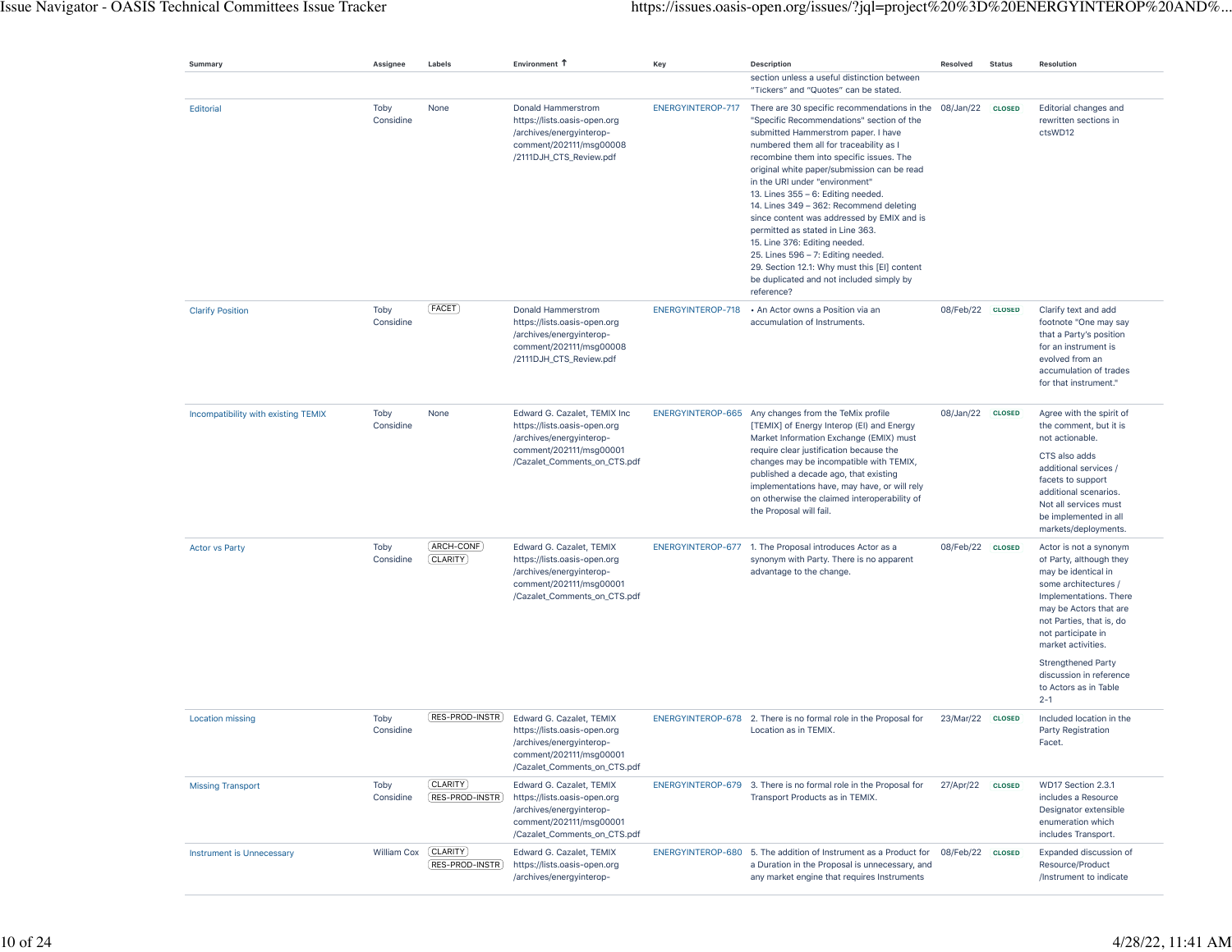| Summary                             | Assignee          | Labels                              | Environment 1                                                                                                                                   | Key               | <b>Description</b>                                                                                                                                                                                                                                                                                                                                                                                                                                                                                                                                                                                                                                                     | Resolved         | <b>Status</b> | <b>Resolution</b>                                                                                                                                                                                                            |
|-------------------------------------|-------------------|-------------------------------------|-------------------------------------------------------------------------------------------------------------------------------------------------|-------------------|------------------------------------------------------------------------------------------------------------------------------------------------------------------------------------------------------------------------------------------------------------------------------------------------------------------------------------------------------------------------------------------------------------------------------------------------------------------------------------------------------------------------------------------------------------------------------------------------------------------------------------------------------------------------|------------------|---------------|------------------------------------------------------------------------------------------------------------------------------------------------------------------------------------------------------------------------------|
|                                     |                   |                                     |                                                                                                                                                 |                   | section unless a useful distinction between<br>"Tickers" and "Quotes" can be stated.                                                                                                                                                                                                                                                                                                                                                                                                                                                                                                                                                                                   |                  |               |                                                                                                                                                                                                                              |
| Editorial                           | Toby<br>Considine | None                                | Donald Hammerstrom<br>https://lists.oasis-open.org<br>/archives/energyinterop-<br>comment/202111/msg00008<br>/2111DJH_CTS_Review.pdf            | ENERGYINTEROP-717 | There are 30 specific recommendations in the 08/Jan/22<br>"Specific Recommendations" section of the<br>submitted Hammerstrom paper. I have<br>numbered them all for traceability as I<br>recombine them into specific issues. The<br>original white paper/submission can be read<br>in the URI under "environment"<br>13. Lines 355 - 6: Editing needed.<br>14. Lines 349 - 362: Recommend deleting<br>since content was addressed by EMIX and is<br>permitted as stated in Line 363.<br>15. Line 376: Editing needed.<br>25. Lines 596 - 7: Editing needed.<br>29. Section 12.1: Why must this [EI] content<br>be duplicated and not included simply by<br>reference? |                  | <b>CLOSED</b> | Editorial changes and<br>rewritten sections in<br>ctsWD12                                                                                                                                                                    |
| <b>Clarify Position</b>             | Toby<br>Considine | [FACET]                             | Donald Hammerstrom<br>https://lists.oasis-open.org<br>/archives/energyinterop-<br>comment/202111/msg00008<br>/2111DJH_CTS_Review.pdf            | ENERGYINTEROP-718 | • An Actor owns a Position via an<br>accumulation of Instruments.                                                                                                                                                                                                                                                                                                                                                                                                                                                                                                                                                                                                      | 08/Feb/22 CLOSED |               | Clarify text and add<br>footnote "One may say<br>that a Party's position<br>for an instrument is<br>evolved from an<br>accumulation of trades<br>for that instrument."                                                       |
| Incompatibility with existing TEMIX | Toby<br>Considine | None                                | Edward G. Cazalet, TEMIX Inc.<br>https://lists.oasis-open.org<br>/archives/energyinterop-<br>comment/202111/msg00001                            |                   | ENERGYINTEROP-665 Any changes from the TeMix profile<br>[TEMIX] of Energy Interop (EI) and Energy<br>Market Information Exchange (EMIX) must                                                                                                                                                                                                                                                                                                                                                                                                                                                                                                                           | 08/Jan/22 CLOSED |               | Agree with the spirit of<br>the comment, but it is<br>not actionable.                                                                                                                                                        |
|                                     |                   |                                     | /Cazalet_Comments_on_CTS.pdf                                                                                                                    |                   | require clear justification because the<br>changes may be incompatible with TEMIX,<br>published a decade ago, that existing<br>implementations have, may have, or will rely<br>on otherwise the claimed interoperability of<br>the Proposal will fail.                                                                                                                                                                                                                                                                                                                                                                                                                 |                  |               | CTS also adds<br>additional services /<br>facets to support<br>additional scenarios.<br>Not all services must<br>be implemented in all<br>markets/deployments.                                                               |
| <b>Actor vs Party</b>               | Toby<br>Considine | [ARCH-CONF]<br>[CLARITY]            | Edward G. Cazalet, TEMIX<br>https://lists.oasis-open.org<br>/archives/energyinterop-<br>comment/202111/msg00001<br>/Cazalet_Comments_on_CTS.pdf |                   | ENERGYINTEROP-677 1. The Proposal introduces Actor as a<br>synonym with Party. There is no apparent<br>advantage to the change.                                                                                                                                                                                                                                                                                                                                                                                                                                                                                                                                        | 08/Feb/22        | <b>CLOSED</b> | Actor is not a synonym<br>of Party, although they<br>may be identical in<br>some architectures /<br>Implementations. There<br>may be Actors that are<br>not Parties, that is, do<br>not participate in<br>market activities. |
|                                     |                   |                                     |                                                                                                                                                 |                   |                                                                                                                                                                                                                                                                                                                                                                                                                                                                                                                                                                                                                                                                        |                  |               | <b>Strengthened Party</b><br>discussion in reference<br>to Actors as in Table<br>$2 - 1$                                                                                                                                     |
| <b>Location missing</b>             | Toby<br>Considine | RES-PROD-INSTR                      | Edward G. Cazalet, TEMIX<br>https://lists.oasis-open.org<br>/archives/energyinterop-<br>comment/202111/msg00001<br>/Cazalet_Comments_on_CTS.pdf |                   | ENERGYINTEROP-678 2. There is no formal role in the Proposal for<br>Location as in TEMIX.                                                                                                                                                                                                                                                                                                                                                                                                                                                                                                                                                                              | 23/Mar/22 CLOSED |               | Included location in the<br>Party Registration<br>Facet.                                                                                                                                                                     |
| <b>Missing Transport</b>            | Toby<br>Considine | (CLARITY)<br>RES-PROD-INSTR         | Edward G. Cazalet, TEMIX<br>https://lists.oasis-open.org<br>/archives/energyinterop-<br>comment/202111/msq00001<br>/Cazalet_Comments_on_CTS.pdf |                   | ENERGYINTEROP-679 3. There is no formal role in the Proposal for<br>Transport Products as in TEMIX.                                                                                                                                                                                                                                                                                                                                                                                                                                                                                                                                                                    | 27/Apr/22        | <b>CLOSED</b> | WD17 Section 2.3.1<br>includes a Resource<br>Designator extensible<br>enumeration which<br>includes Transport.                                                                                                               |
| <b>Instrument is Unnecessary</b>    | William Cox       | [CLARITY]<br>$($ RES-PROD-INSTR $)$ | Edward G. Cazalet, TEMIX<br>https://lists.oasis-open.org<br>/archives/energyinterop-                                                            |                   | ENERGYINTEROP-680 5. The addition of Instrument as a Product for<br>a Duration in the Proposal is unnecessary, and<br>any market engine that requires Instruments                                                                                                                                                                                                                                                                                                                                                                                                                                                                                                      | 08/Feb/22 CLOSED |               | Expanded discussion of<br>Resource/Product<br>/Instrument to indicate                                                                                                                                                        |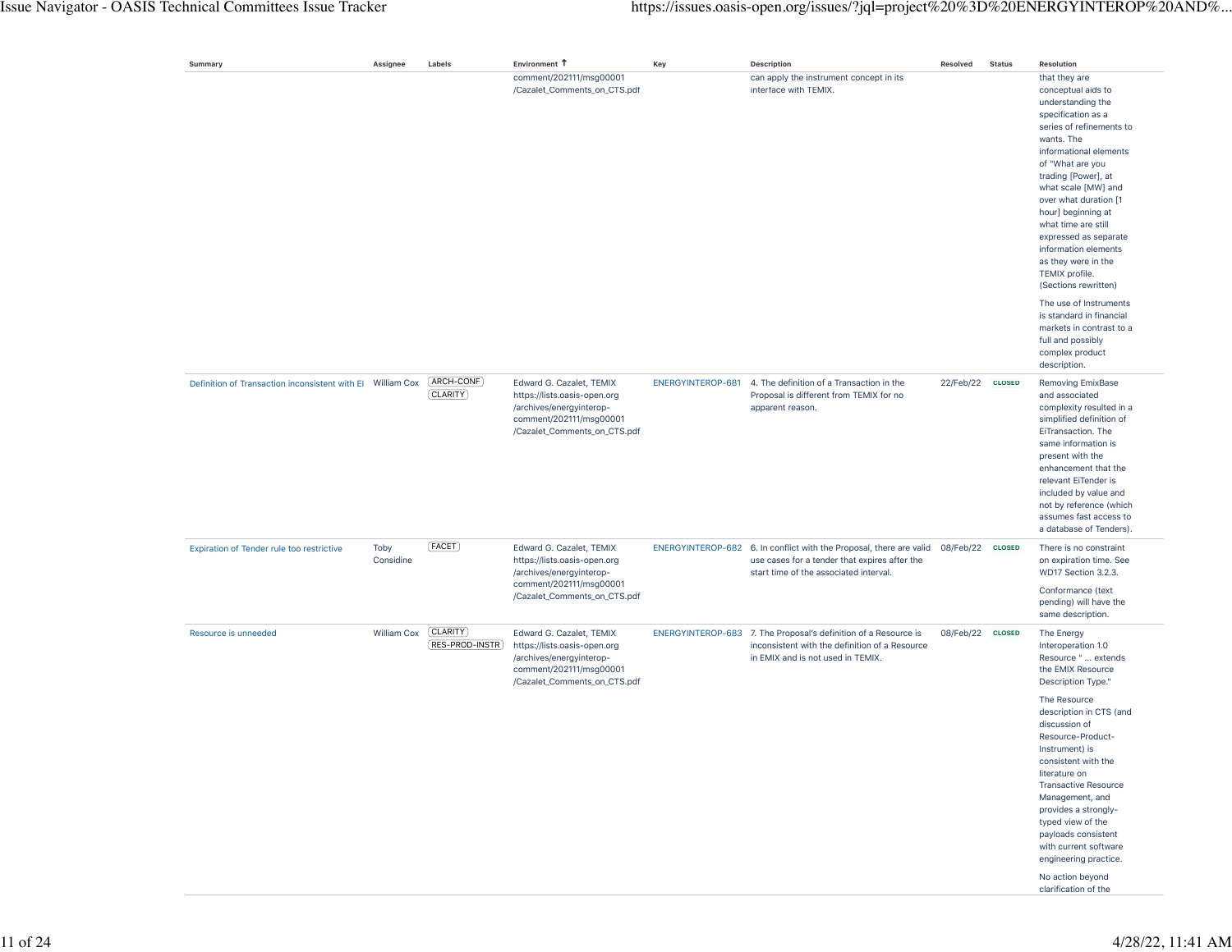| Summary                                                    | Assignee          | Labels                           | Environment 1                                                                                                                                   | Key               | <b>Description</b>                                                                                                                                             | Resolved         | <b>Status</b> | Resolution                                                                                                                                                                                                                                                                                                                                                                                                   |
|------------------------------------------------------------|-------------------|----------------------------------|-------------------------------------------------------------------------------------------------------------------------------------------------|-------------------|----------------------------------------------------------------------------------------------------------------------------------------------------------------|------------------|---------------|--------------------------------------------------------------------------------------------------------------------------------------------------------------------------------------------------------------------------------------------------------------------------------------------------------------------------------------------------------------------------------------------------------------|
|                                                            |                   |                                  | comment/202111/msg00001<br>/Cazalet_Comments_on_CTS.pdf                                                                                         |                   | can apply the instrument concept in its<br>interface with TEMIX.                                                                                               |                  |               | that they are<br>conceptual aids to<br>understanding the<br>specification as a<br>series of refinements to<br>wants. The<br>informational elements<br>of "What are you<br>trading [Power], at<br>what scale [MW] and<br>over what duration [1<br>hour] beginning at<br>what time are still<br>expressed as separate<br>information elements<br>as they were in the<br>TEMIX profile.<br>(Sections rewritten) |
|                                                            |                   |                                  |                                                                                                                                                 |                   |                                                                                                                                                                |                  |               | The use of Instruments<br>is standard in financial<br>markets in contrast to a<br>full and possibly<br>complex product<br>description.                                                                                                                                                                                                                                                                       |
| Definition of Transaction inconsistent with El William Cox |                   | [ARCH-CONF]<br>[CLARITY]         | Edward G. Cazalet, TEMIX<br>https://lists.oasis-open.org<br>/archives/energyinterop-<br>comment/202111/msq00001<br>/Cazalet_Comments_on_CTS.pdf | ENERGYINTEROP-681 | 4. The definition of a Transaction in the<br>Proposal is different from TEMIX for no<br>apparent reason.                                                       | 22/Feb/22 CLOSED |               | Removing EmixBase<br>and associated<br>complexity resulted in a<br>simplified definition of<br>EiTransaction. The<br>same information is<br>present with the<br>enhancement that the<br>relevant EiTender is<br>included by value and<br>not by reference (which<br>assumes fast access to<br>a database of Tenders).                                                                                        |
| Expiration of Tender rule too restrictive                  | Toby<br>Considine | [FACET]                          | Edward G. Cazalet, TEMIX<br>https://lists.oasis-open.org<br>/archives/energyinterop-<br>comment/202111/msg00001                                 |                   | ENERGYINTEROP-682 6. In conflict with the Proposal, there are valid<br>use cases for a tender that expires after the<br>start time of the associated interval. | 08/Feb/22 CLOSED |               | There is no constraint<br>on expiration time. See<br>WD17 Section 3.2.3.<br>Conformance (text                                                                                                                                                                                                                                                                                                                |
|                                                            |                   |                                  | /Cazalet_Comments_on_CTS.pdf                                                                                                                    |                   |                                                                                                                                                                |                  |               | pending) will have the<br>same description.                                                                                                                                                                                                                                                                                                                                                                  |
| Resource is unneeded                                       | William Cox       | <b>CLARITY</b><br>RES-PROD-INSTR | Edward G. Cazalet, TEMIX<br>https://lists.oasis-open.org<br>/archives/energyinterop-<br>comment/202111/msg00001<br>/Cazalet_Comments_on_CTS.pdf |                   | ENERGYINTEROP-683 7. The Proposal's definition of a Resource is<br>inconsistent with the definition of a Resource<br>in EMIX and is not used in TEMIX.         | 08/Feb/22 CLOSED |               | The Energy<br>Interoperation 1.0<br>Resource "  extends<br>the EMIX Resource<br>Description Type."                                                                                                                                                                                                                                                                                                           |
|                                                            |                   |                                  |                                                                                                                                                 |                   |                                                                                                                                                                |                  |               | The Resource<br>description in CTS (and<br>discussion of<br>Resource-Product-<br>Instrument) is<br>consistent with the<br>literature on<br><b>Transactive Resource</b><br>Management, and<br>provides a strongly-<br>typed view of the<br>payloads consistent<br>with current software<br>engineering practice.<br>No action beyond<br>clarification of the                                                  |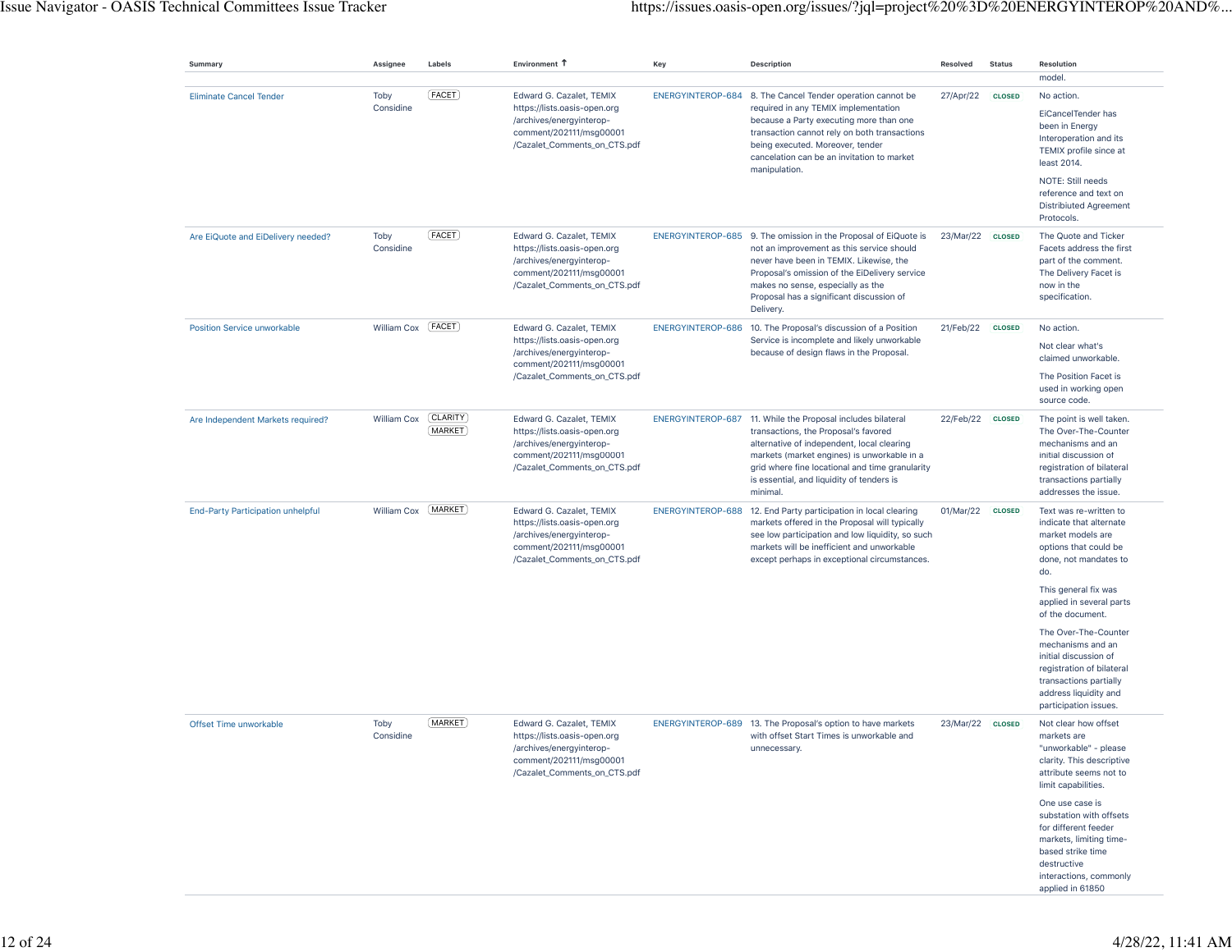| Summary                                  | Assignee            | Labels                | Environment T                                                                                                                                   | Key | Description                                                                                                                                                                                                                                                                                                  | Resolved  | <b>Status</b> | Resolution                                                                                                                                                                      |
|------------------------------------------|---------------------|-----------------------|-------------------------------------------------------------------------------------------------------------------------------------------------|-----|--------------------------------------------------------------------------------------------------------------------------------------------------------------------------------------------------------------------------------------------------------------------------------------------------------------|-----------|---------------|---------------------------------------------------------------------------------------------------------------------------------------------------------------------------------|
| <b>Eliminate Cancel Tender</b>           | Toby<br>Considine   | [FACET]               | Edward G. Cazalet, TEMIX<br>https://lists.oasis-open.org                                                                                        |     | ENERGYINTEROP-684 8. The Cancel Tender operation cannot be<br>required in any TEMIX implementation                                                                                                                                                                                                           | 27/Apr/22 | <b>CLOSED</b> | model.<br>No action.<br>EiCancelTender has                                                                                                                                      |
|                                          |                     |                       | /archives/energyinterop-<br>comment/202111/msg00001<br>/Cazalet_Comments_on_CTS.pdf                                                             |     | because a Party executing more than one<br>transaction cannot rely on both transactions<br>being executed. Moreover, tender<br>cancelation can be an invitation to market<br>manipulation.                                                                                                                   |           |               | been in Energy<br>Interoperation and its<br>TEMIX profile since at<br>least 2014.                                                                                               |
|                                          |                     |                       |                                                                                                                                                 |     |                                                                                                                                                                                                                                                                                                              |           |               | NOTE: Still needs<br>reference and text on<br><b>Distribiuted Agreement</b><br>Protocols.                                                                                       |
| Are EiQuote and EiDelivery needed?       | Toby<br>Considine   | [FACET]               | Edward G. Cazalet, TEMIX<br>https://lists.oasis-open.org<br>/archives/energyinterop-<br>comment/202111/msg00001<br>/Cazalet_Comments_on_CTS.pdf |     | ENERGYINTEROP-685 9. The omission in the Proposal of EiQuote is<br>not an improvement as this service should<br>never have been in TEMIX. Likewise, the<br>Proposal's omission of the EiDelivery service<br>makes no sense, especially as the<br>Proposal has a significant discussion of<br>Delivery.       | 23/Mar/22 | <b>CLOSED</b> | The Quote and Ticker<br>Facets address the first<br>part of the comment.<br>The Delivery Facet is<br>now in the<br>specification.                                               |
| <b>Position Service unworkable</b>       | William Cox [FACET] |                       | Edward G. Cazalet, TEMIX<br>https://lists.oasis-open.org<br>/archives/energyinterop-                                                            |     | ENERGYINTEROP-686 10. The Proposal's discussion of a Position<br>Service is incomplete and likely unworkable<br>because of design flaws in the Proposal.                                                                                                                                                     | 21/Feb/22 | <b>CLOSED</b> | No action.<br>Not clear what's                                                                                                                                                  |
|                                          |                     |                       | comment/202111/msg00001<br>/Cazalet_Comments_on_CTS.pdf                                                                                         |     |                                                                                                                                                                                                                                                                                                              |           |               | claimed unworkable.<br>The Position Facet is<br>used in working open<br>source code.                                                                                            |
| Are Independent Markets required?        | William Cox         | (CLARITY)<br>(MARKET) | Edward G. Cazalet, TEMIX<br>https://lists.oasis-open.org<br>/archives/energyinterop-<br>comment/202111/msg00001<br>/Cazalet_Comments_on_CTS.pdf |     | ENERGYINTEROP-687 11. While the Proposal includes bilateral<br>transactions, the Proposal's favored<br>alternative of independent, local clearing<br>markets (market engines) is unworkable in a<br>grid where fine locational and time granularity<br>is essential, and liquidity of tenders is<br>minimal. | 22/Feb/22 | <b>CLOSED</b> | The point is well taken.<br>The Over-The-Counter<br>mechanisms and an<br>initial discussion of<br>registration of bilateral<br>transactions partially<br>addresses the issue.   |
| <b>End-Party Participation unhelpful</b> | William Cox         | (MARKET)              | Edward G. Cazalet, TEMIX<br>https://lists.oasis-open.org<br>/archives/energyinterop-<br>comment/202111/msg00001<br>/Cazalet_Comments_on_CTS.pdf |     | ENERGYINTEROP-688 12. End Party participation in local clearing<br>markets offered in the Proposal will typically<br>see low participation and low liquidity, so such<br>markets will be inefficient and unworkable<br>except perhaps in exceptional circumstances.                                          | 01/Mar/22 | <b>CLOSED</b> | Text was re-written to<br>indicate that alternate<br>market models are<br>options that could be<br>done, not mandates to<br>do.                                                 |
|                                          |                     |                       |                                                                                                                                                 |     |                                                                                                                                                                                                                                                                                                              |           |               | This general fix was<br>applied in several parts<br>of the document.                                                                                                            |
|                                          |                     |                       |                                                                                                                                                 |     |                                                                                                                                                                                                                                                                                                              |           |               | The Over-The-Counter<br>mechanisms and an<br>initial discussion of<br>registration of bilateral<br>transactions partially<br>address liquidity and<br>participation issues.     |
| Offset Time unworkable                   | Toby<br>Considine   | [MARKET]              | Edward G. Cazalet, TEMIX<br>https://lists.oasis-open.org<br>/archives/energyinterop-<br>comment/202111/msg00001<br>/Cazalet_Comments_on_CTS.pdf |     | ENERGYINTEROP-689 13. The Proposal's option to have markets<br>with offset Start Times is unworkable and<br>unnecessary.                                                                                                                                                                                     | 23/Mar/22 | <b>CLOSED</b> | Not clear how offset<br>markets are<br>"unworkable" - please<br>clarity. This descriptive<br>attribute seems not to<br>limit capabilities.                                      |
|                                          |                     |                       |                                                                                                                                                 |     |                                                                                                                                                                                                                                                                                                              |           |               | One use case is<br>substation with offsets<br>for different feeder<br>markets, limiting time-<br>based strike time<br>destructive<br>interactions, commonly<br>applied in 61850 |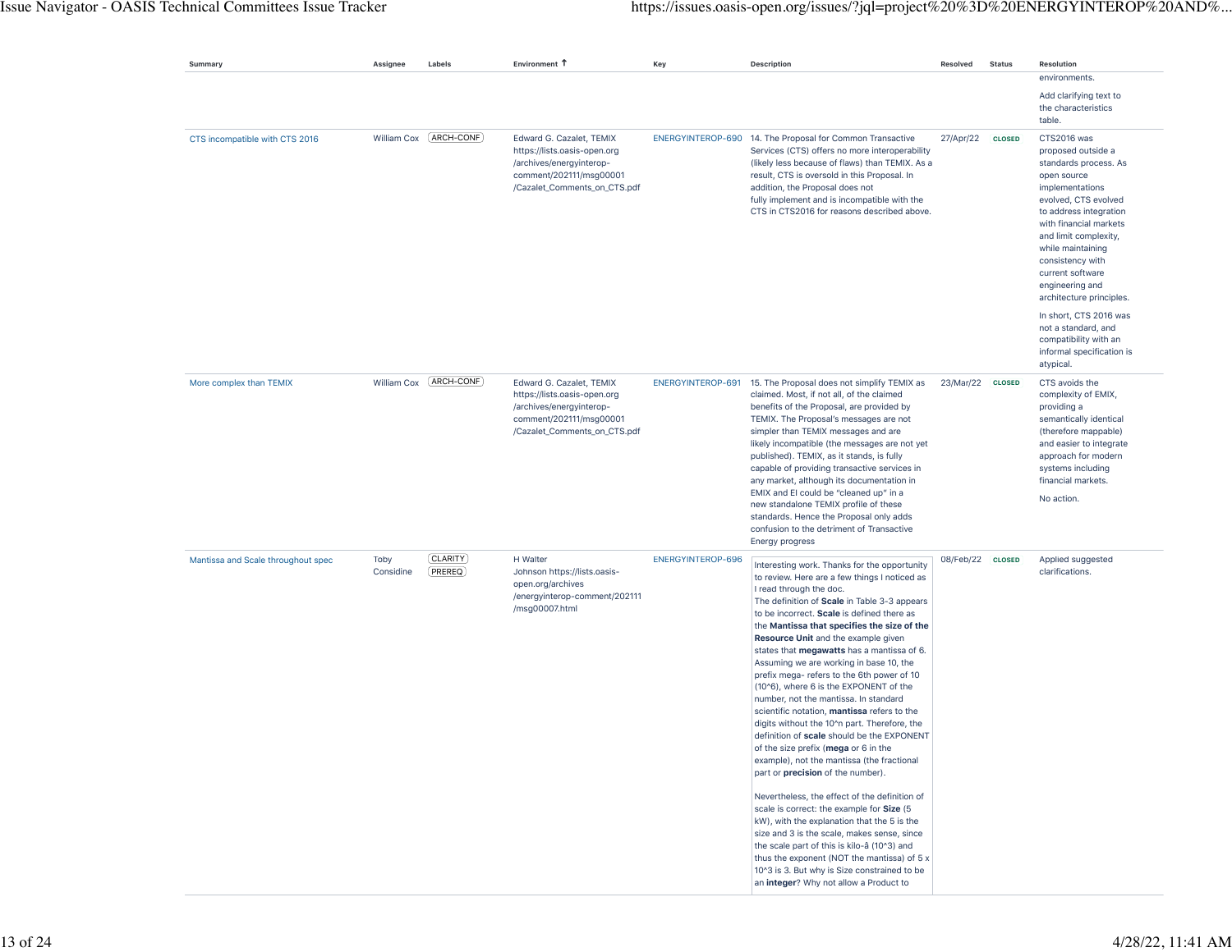| Summary                            | Assignee          | Labels                  | Environment T                                                                                                                                   | Key               | Description                                                                                                                                                                                                                                                                                                                                                                                                                                                                                                                                                                                                                                                                                                                                                                                                                                                     | Resolved  | <b>Status</b> | Resolution<br>environments.                                                                                                                                                                                                                                                                                   |
|------------------------------------|-------------------|-------------------------|-------------------------------------------------------------------------------------------------------------------------------------------------|-------------------|-----------------------------------------------------------------------------------------------------------------------------------------------------------------------------------------------------------------------------------------------------------------------------------------------------------------------------------------------------------------------------------------------------------------------------------------------------------------------------------------------------------------------------------------------------------------------------------------------------------------------------------------------------------------------------------------------------------------------------------------------------------------------------------------------------------------------------------------------------------------|-----------|---------------|---------------------------------------------------------------------------------------------------------------------------------------------------------------------------------------------------------------------------------------------------------------------------------------------------------------|
|                                    |                   |                         |                                                                                                                                                 |                   |                                                                                                                                                                                                                                                                                                                                                                                                                                                                                                                                                                                                                                                                                                                                                                                                                                                                 |           |               | Add clarifying text to<br>the characteristics<br>table.                                                                                                                                                                                                                                                       |
| CTS incompatible with CTS 2016     |                   | William Cox [ARCH-CONF] | Edward G. Cazalet, TEMIX<br>https://lists.oasis-open.org<br>/archives/energyinterop-<br>comment/202111/msg00001<br>/Cazalet_Comments_on_CTS.pdf |                   | ENERGYINTEROP-690 14. The Proposal for Common Transactive<br>Services (CTS) offers no more interoperability<br>(likely less because of flaws) than TEMIX. As a<br>result, CTS is oversold in this Proposal. In<br>addition, the Proposal does not<br>fully implement and is incompatible with the<br>CTS in CTS2016 for reasons described above.                                                                                                                                                                                                                                                                                                                                                                                                                                                                                                                | 27/Apr/22 | <b>CLOSED</b> | CTS2016 was<br>proposed outside a<br>standards process. As<br>open source<br>implementations<br>evolved, CTS evolved<br>to address integration<br>with financial markets<br>and limit complexity,<br>while maintaining<br>consistency with<br>current software<br>engineering and<br>architecture principles. |
|                                    |                   |                         |                                                                                                                                                 |                   |                                                                                                                                                                                                                                                                                                                                                                                                                                                                                                                                                                                                                                                                                                                                                                                                                                                                 |           |               | In short, CTS 2016 was<br>not a standard, and<br>compatibility with an<br>informal specification is<br>atypical.                                                                                                                                                                                              |
| More complex than TEMIX            | William Cox       | ARCH-CONF               | Edward G. Cazalet, TEMIX<br>https://lists.oasis-open.org<br>/archives/energyinterop-<br>comment/202111/msg00001<br>/Cazalet_Comments_on_CTS.pdf | ENERGYINTEROP-691 | 15. The Proposal does not simplify TEMIX as<br>claimed. Most, if not all, of the claimed<br>benefits of the Proposal, are provided by<br>TEMIX. The Proposal's messages are not<br>simpler than TEMIX messages and are<br>likely incompatible (the messages are not yet<br>published). TEMIX, as it stands, is fully<br>capable of providing transactive services in<br>any market, although its documentation in<br>EMIX and EI could be "cleaned up" in a<br>new standalone TEMIX profile of these<br>standards. Hence the Proposal only adds<br>confusion to the detriment of Transactive<br>Energy progress                                                                                                                                                                                                                                                 | 23/Mar/22 | <b>CLOSED</b> | CTS avoids the<br>complexity of EMIX,<br>providing a<br>semantically identical<br>(therefore mappable)<br>and easier to integrate<br>approach for modern<br>systems including<br>financial markets.<br>No action.                                                                                             |
| Mantissa and Scale throughout spec | Toby<br>Considine | (CLARITY)<br>(PREREQ)   | H Walter<br>Johnson https://lists.oasis-<br>open.org/archives<br>/energyinterop-comment/202111<br>/msg00007.html                                | ENERGYINTEROP-696 | Interesting work. Thanks for the opportunity<br>to review. Here are a few things I noticed as<br>I read through the doc.<br>The definition of Scale in Table 3-3 appears<br>to be incorrect. Scale is defined there as<br>the Mantissa that specifies the size of the<br>Resource Unit and the example given<br>states that megawatts has a mantissa of 6.<br>Assuming we are working in base 10, the<br>prefix mega- refers to the 6th power of 10<br>(10^6), where 6 is the EXPONENT of the<br>number, not the mantissa. In standard<br>scientific notation, mantissa refers to the<br>digits without the 10^n part. Therefore, the<br>definition of scale should be the EXPONENT<br>of the size prefix (mega or 6 in the<br>example), not the mantissa (the fractional<br>part or precision of the number).<br>Nevertheless, the effect of the definition of | 08/Feb/22 | <b>CLOSED</b> | Applied suggested<br>clarifications.                                                                                                                                                                                                                                                                          |
|                                    |                   |                         |                                                                                                                                                 |                   | scale is correct: the example for Size (5<br>kW), with the explanation that the 5 is the<br>size and 3 is the scale, makes sense, since<br>the scale part of this is kilo-â (10^3) and<br>thus the exponent (NOT the mantissa) of 5 x<br>10^3 is 3. But why is Size constrained to be<br>an integer? Why not allow a Product to                                                                                                                                                                                                                                                                                                                                                                                                                                                                                                                                 |           |               |                                                                                                                                                                                                                                                                                                               |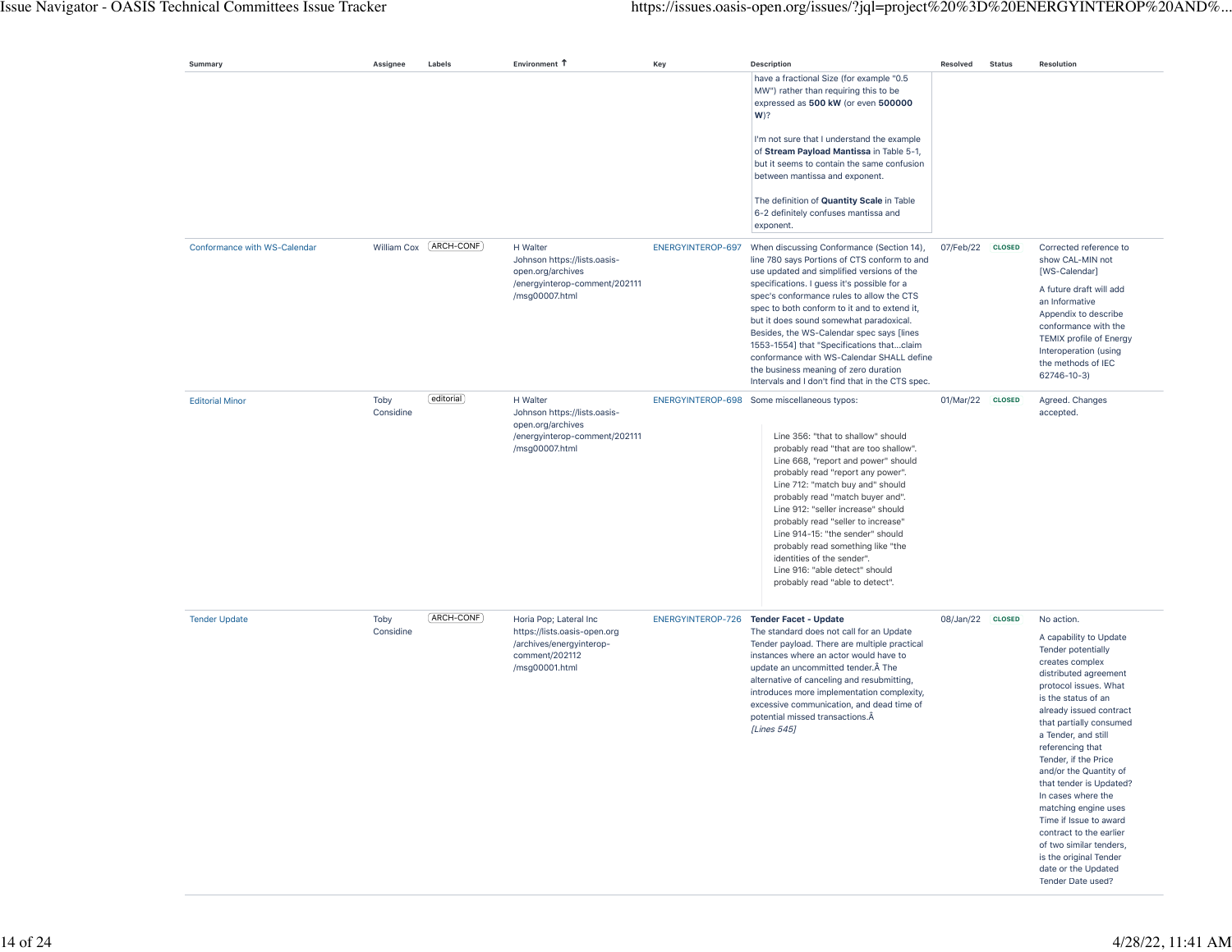| Summary                      | Assignee          | Labels                  | Environment T                                                                                                          | Key               | <b>Description</b>                                                                                                                                                                                                                                                                                                                                                                                                                                                                                                                     | Resolved         | <b>Status</b> | <b>Resolution</b>                                                                                                                                                                                                                                                                                                                                                                                                                                                                                                                        |
|------------------------------|-------------------|-------------------------|------------------------------------------------------------------------------------------------------------------------|-------------------|----------------------------------------------------------------------------------------------------------------------------------------------------------------------------------------------------------------------------------------------------------------------------------------------------------------------------------------------------------------------------------------------------------------------------------------------------------------------------------------------------------------------------------------|------------------|---------------|------------------------------------------------------------------------------------------------------------------------------------------------------------------------------------------------------------------------------------------------------------------------------------------------------------------------------------------------------------------------------------------------------------------------------------------------------------------------------------------------------------------------------------------|
|                              |                   |                         |                                                                                                                        |                   | have a fractional Size (for example "0.5<br>MW") rather than requiring this to be<br>expressed as 500 kW (or even 500000<br>$W$ ?                                                                                                                                                                                                                                                                                                                                                                                                      |                  |               |                                                                                                                                                                                                                                                                                                                                                                                                                                                                                                                                          |
|                              |                   |                         |                                                                                                                        |                   | I'm not sure that I understand the example<br>of Stream Payload Mantissa in Table 5-1,<br>but it seems to contain the same confusion<br>between mantissa and exponent.                                                                                                                                                                                                                                                                                                                                                                 |                  |               |                                                                                                                                                                                                                                                                                                                                                                                                                                                                                                                                          |
|                              |                   |                         |                                                                                                                        |                   | The definition of Quantity Scale in Table<br>6-2 definitely confuses mantissa and<br>exponent.                                                                                                                                                                                                                                                                                                                                                                                                                                         |                  |               |                                                                                                                                                                                                                                                                                                                                                                                                                                                                                                                                          |
| Conformance with WS-Calendar |                   | William Cox (ARCH-CONF) | H Walter<br>Johnson https://lists.oasis-<br>open.org/archives                                                          | ENERGYINTEROP-697 | When discussing Conformance (Section 14),<br>line 780 says Portions of CTS conform to and<br>use updated and simplified versions of the                                                                                                                                                                                                                                                                                                                                                                                                | 07/Feb/22        | <b>CLOSED</b> | Corrected reference to<br>show CAL-MIN not<br>[WS-Calendar]                                                                                                                                                                                                                                                                                                                                                                                                                                                                              |
|                              |                   |                         | /energyinterop-comment/202111<br>/msg00007.html                                                                        |                   | specifications. I guess it's possible for a<br>spec's conformance rules to allow the CTS<br>spec to both conform to it and to extend it,<br>but it does sound somewhat paradoxical.<br>Besides, the WS-Calendar spec says [lines<br>1553-1554] that "Specifications thatclaim<br>conformance with WS-Calendar SHALL define<br>the business meaning of zero duration<br>Intervals and I don't find that in the CTS spec.                                                                                                                |                  |               | A future draft will add<br>an Informative<br>Appendix to describe<br>conformance with the<br><b>TEMIX profile of Energy</b><br>Interoperation (using<br>the methods of IEC<br>62746-10-3)                                                                                                                                                                                                                                                                                                                                                |
| <b>Editorial Minor</b>       | Toby<br>Considine | [editorial]             | H Walter<br>Johnson https://lists.oasis-<br>open.org/archives<br>/energyinterop-comment/202111<br>/msg00007.html       |                   | ENERGYINTEROP-698 Some miscellaneous typos:<br>Line 356: "that to shallow" should<br>probably read "that are too shallow".<br>Line 668, "report and power" should<br>probably read "report any power".<br>Line 712: "match buy and" should<br>probably read "match buyer and".<br>Line 912: "seller increase" should<br>probably read "seller to increase"<br>Line 914-15: "the sender" should<br>probably read something like "the<br>identities of the sender".<br>Line 916: "able detect" should<br>probably read "able to detect". | 01/Mar/22 CLOSED |               | Agreed. Changes<br>accepted.                                                                                                                                                                                                                                                                                                                                                                                                                                                                                                             |
| <b>Tender Update</b>         | Toby<br>Considine | (ARCH-CONF)             | Horia Pop; Lateral Inc<br>https://lists.oasis-open.org<br>/archives/energyinterop-<br>comment/202112<br>/msg00001.html |                   | ENERGYINTEROP-726 Tender Facet - Update<br>The standard does not call for an Update<br>Tender payload. There are multiple practical<br>instances where an actor would have to<br>update an uncommitted tender. A The<br>alternative of canceling and resubmitting,<br>introduces more implementation complexity,<br>excessive communication, and dead time of<br>potential missed transactions.Â<br>[Lines 545]                                                                                                                        | 08/Jan/22        | <b>CLOSED</b> | No action.<br>A capability to Update<br>Tender potentially<br>creates complex<br>distributed agreement<br>protocol issues. What<br>is the status of an<br>already issued contract<br>that partially consumed<br>a Tender, and still<br>referencing that<br>Tender, if the Price<br>and/or the Quantity of<br>that tender is Updated?<br>In cases where the<br>matching engine uses<br>Time if Issue to award<br>contract to the earlier<br>of two similar tenders,<br>is the original Tender<br>date or the Updated<br>Tender Date used? |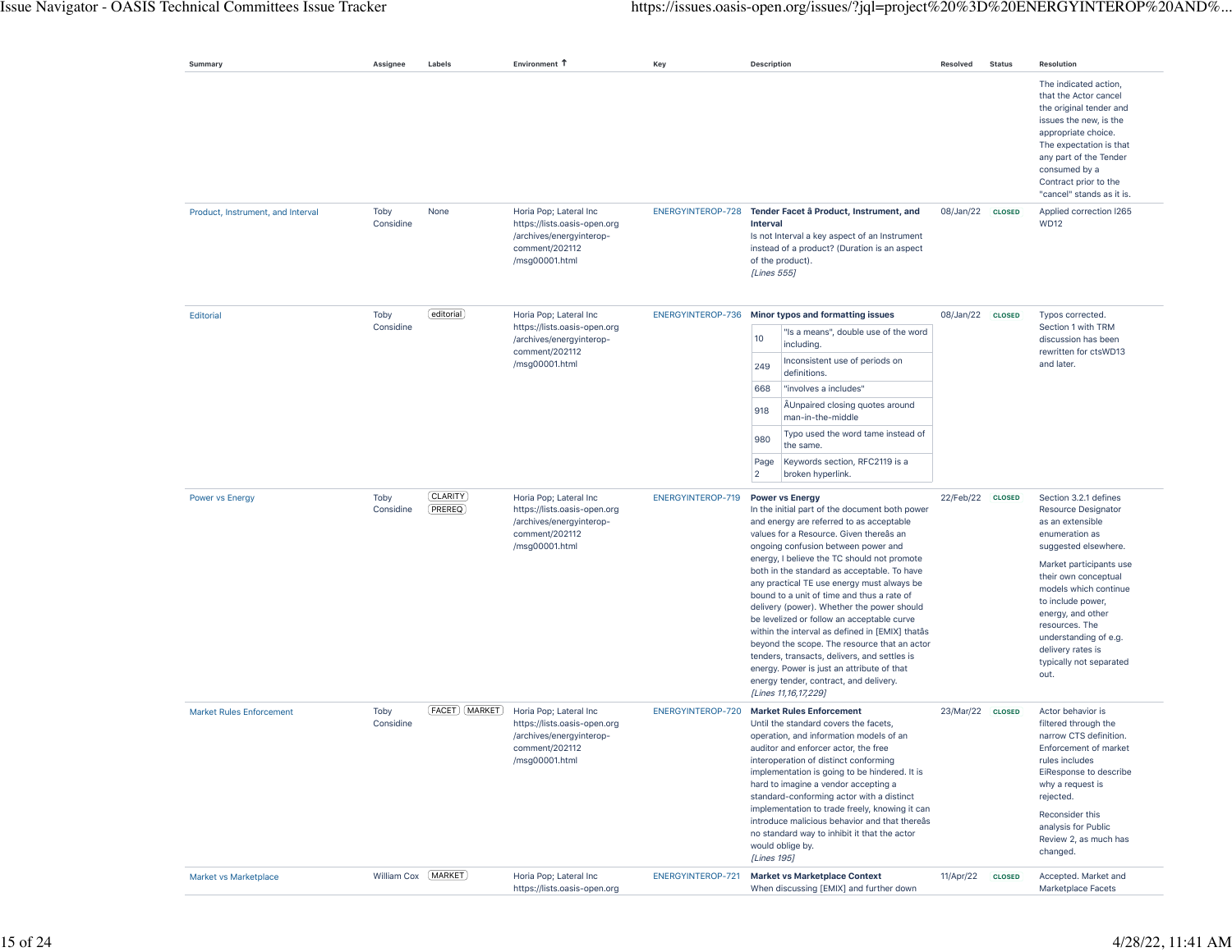| Summary                           | Assignee             | Labels                | Environment T                                                                                                          | Key               | <b>Description</b>                                                                                                                                                                                                                                                                                                                                                                                                                                                                                                                                                                                                                                                                                                                                              | Resolved         | <b>Status</b> | <b>Resolution</b>                                                                                                                                                                                                                                                                                                                          |
|-----------------------------------|----------------------|-----------------------|------------------------------------------------------------------------------------------------------------------------|-------------------|-----------------------------------------------------------------------------------------------------------------------------------------------------------------------------------------------------------------------------------------------------------------------------------------------------------------------------------------------------------------------------------------------------------------------------------------------------------------------------------------------------------------------------------------------------------------------------------------------------------------------------------------------------------------------------------------------------------------------------------------------------------------|------------------|---------------|--------------------------------------------------------------------------------------------------------------------------------------------------------------------------------------------------------------------------------------------------------------------------------------------------------------------------------------------|
|                                   |                      |                       |                                                                                                                        |                   |                                                                                                                                                                                                                                                                                                                                                                                                                                                                                                                                                                                                                                                                                                                                                                 |                  |               | The indicated action,<br>that the Actor cancel<br>the original tender and<br>issues the new, is the<br>appropriate choice.<br>The expectation is that<br>any part of the Tender<br>consumed by a<br>Contract prior to the<br>"cancel" stands as it is.                                                                                     |
| Product, Instrument, and Interval | Toby<br>Considine    | None                  | Horia Pop; Lateral Inc<br>https://lists.oasis-open.org<br>/archives/energyinterop-<br>comment/202112<br>/msg00001.html |                   | ENERGYINTEROP-728 Tender Facet â Product, Instrument, and<br><b>Interval</b><br>Is not Interval a key aspect of an Instrument<br>instead of a product? (Duration is an aspect<br>of the product).<br>[Lines 555]                                                                                                                                                                                                                                                                                                                                                                                                                                                                                                                                                | 08/Jan/22        | <b>CLOSED</b> | Applied correction I265<br><b>WD12</b>                                                                                                                                                                                                                                                                                                     |
| <b>Editorial</b>                  | Toby<br>Considine    | editorial             | Horia Pop; Lateral Inc<br>https://lists.oasis-open.org<br>/archives/energyinterop-<br>comment/202112<br>/msg00001.html | ENERGYINTEROP-736 | Minor typos and formatting issues<br>"Is a means", double use of the word<br>10<br>including.<br>Inconsistent use of periods on<br>249<br>definitions.<br>"involves a includes"<br>668<br>ÄUnpaired closing quotes around<br>918<br>man-in-the-middle<br>Typo used the word tame instead of<br>980<br>the same.<br>Keywords section, RFC2119 is a<br>Page<br>$\overline{2}$<br>broken hyperlink.                                                                                                                                                                                                                                                                                                                                                                | 08/Jan/22        | <b>CLOSED</b> | Typos corrected.<br>Section 1 with TRM<br>discussion has been<br>rewritten for ctsWD13<br>and later.                                                                                                                                                                                                                                       |
| <b>Power vs Energy</b>            | Toby<br>Considine    | [CLARITY]<br>(PREREQ) | Horia Pop; Lateral Inc<br>https://lists.oasis-open.org<br>/archives/energyinterop-<br>comment/202112<br>/msg00001.html | ENERGYINTEROP-719 | <b>Power vs Energy</b><br>In the initial part of the document both power<br>and energy are referred to as acceptable<br>values for a Resource. Given thereas an<br>ongoing confusion between power and<br>energy, I believe the TC should not promote<br>both in the standard as acceptable. To have<br>any practical TE use energy must always be<br>bound to a unit of time and thus a rate of<br>delivery (power). Whether the power should<br>be levelized or follow an acceptable curve<br>within the interval as defined in [EMIX] thatâs<br>beyond the scope. The resource that an actor<br>tenders, transacts, delivers, and settles is<br>energy. Power is just an attribute of that<br>energy tender, contract, and delivery.<br>[Lines 11,16,17,229] | 22/Feb/22        | <b>CLOSED</b> | Section 3.2.1 defines<br><b>Resource Designator</b><br>as an extensible<br>enumeration as<br>suggested elsewhere.<br>Market participants use<br>their own conceptual<br>models which continue<br>to include power,<br>energy, and other<br>resources. The<br>understanding of e.g.<br>delivery rates is<br>typically not separated<br>out. |
| <b>Market Rules Enforcement</b>   | Toby<br>Considine    | [FACET] [MARKET]      | Horia Pop; Lateral Inc<br>https://lists.oasis-open.org<br>/archives/energyinterop-<br>comment/202112<br>/msg00001.html | ENERGYINTEROP-720 | <b>Market Rules Enforcement</b><br>Until the standard covers the facets,<br>operation, and information models of an<br>auditor and enforcer actor, the free<br>interoperation of distinct conforming<br>implementation is going to be hindered. It is<br>hard to imagine a vendor accepting a<br>standard-conforming actor with a distinct<br>implementation to trade freely, knowing it can<br>introduce malicious behavior and that thereâs<br>no standard way to inhibit it that the actor<br>would oblige by.<br>[Lines 195]                                                                                                                                                                                                                                | 23/Mar/22 CLOSED |               | Actor behavior is<br>filtered through the<br>narrow CTS definition.<br>Enforcement of market<br>rules includes<br>EiResponse to describe<br>why a request is<br>rejected.<br>Reconsider this<br>analysis for Public<br>Review 2, as much has<br>changed.                                                                                   |
| Market vs Marketplace             | William Cox [MARKET] |                       | Horia Pop; Lateral Inc<br>https://lists.oasis-open.org                                                                 | ENERGYINTEROP-721 | <b>Market vs Marketplace Context</b><br>When discussing [EMIX] and further down                                                                                                                                                                                                                                                                                                                                                                                                                                                                                                                                                                                                                                                                                 | 11/Apr/22        | <b>CLOSED</b> | Accepted. Market and<br>Marketplace Facets                                                                                                                                                                                                                                                                                                 |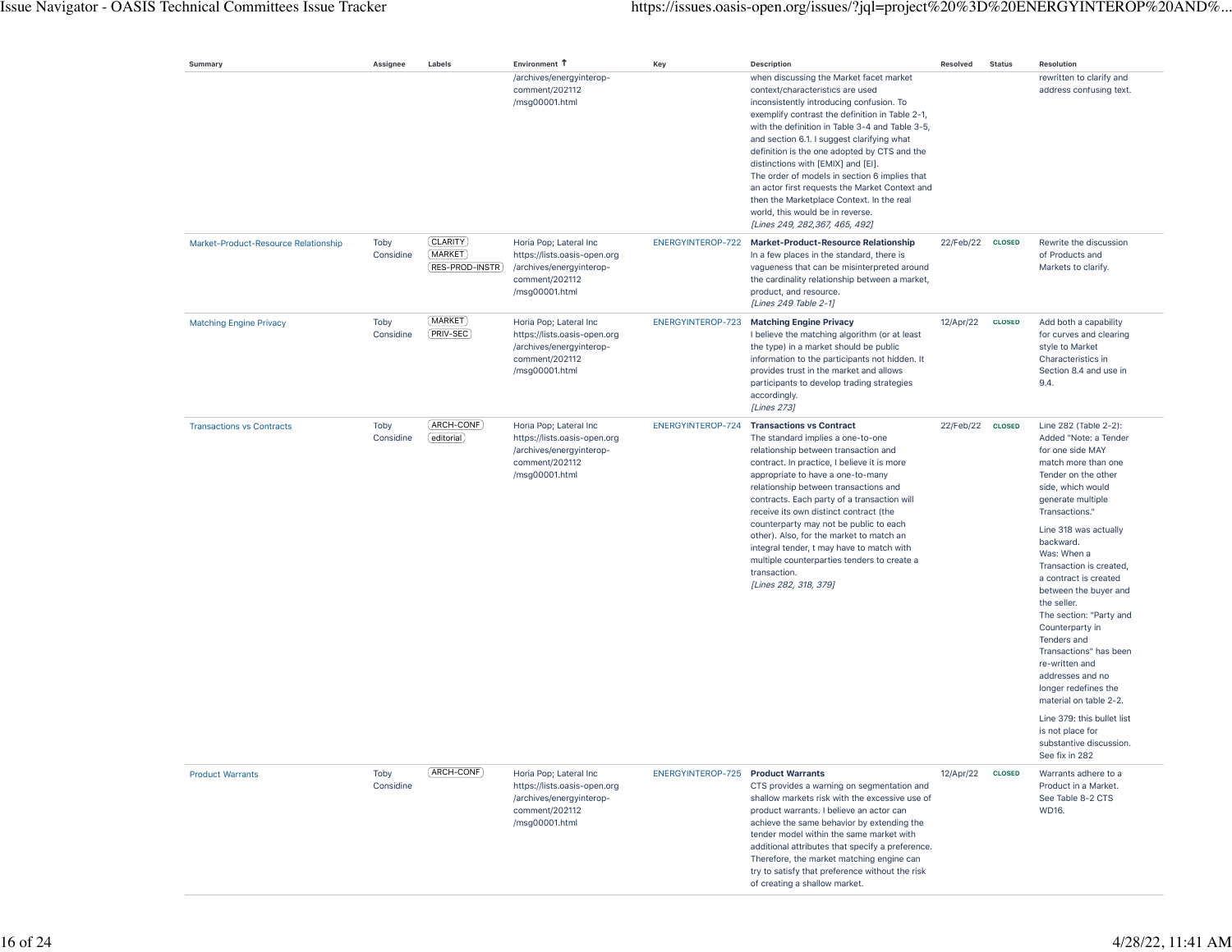| Summary                              | Assignee          | Labels                                | Environment T                                                                                                          | Key                                       | <b>Description</b>                                                                                                                                                                                                                                                                                                                                                                                                                                                                                                                                                                      | <b>Resolved</b>  | <b>Status</b> | Resolution                                                                                                                                                                                                                                                                                                                                                                                                                                                                                                                                                                                                  |
|--------------------------------------|-------------------|---------------------------------------|------------------------------------------------------------------------------------------------------------------------|-------------------------------------------|-----------------------------------------------------------------------------------------------------------------------------------------------------------------------------------------------------------------------------------------------------------------------------------------------------------------------------------------------------------------------------------------------------------------------------------------------------------------------------------------------------------------------------------------------------------------------------------------|------------------|---------------|-------------------------------------------------------------------------------------------------------------------------------------------------------------------------------------------------------------------------------------------------------------------------------------------------------------------------------------------------------------------------------------------------------------------------------------------------------------------------------------------------------------------------------------------------------------------------------------------------------------|
|                                      |                   |                                       | /archives/energyinterop-<br>comment/202112<br>/msg00001.html                                                           |                                           | when discussing the Market facet market<br>context/characteristics are used<br>inconsistently introducing confusion. To<br>exemplify contrast the definition in Table 2-1,<br>with the definition in Table 3-4 and Table 3-5,<br>and section 6.1. I suggest clarifying what<br>definition is the one adopted by CTS and the<br>distinctions with [EMIX] and [EI].<br>The order of models in section 6 implies that<br>an actor first requests the Market Context and<br>then the Marketplace Context. In the real<br>world, this would be in reverse.<br>[Lines 249, 282,367, 465, 492] |                  |               | rewritten to clarify and<br>address confusing text.                                                                                                                                                                                                                                                                                                                                                                                                                                                                                                                                                         |
| Market-Product-Resource Relationship | Toby<br>Considine | CLARITY<br>(MARKET)<br>RES-PROD-INSTR | Horia Pop; Lateral Inc<br>https://lists.oasis-open.org<br>/archives/energyinterop-<br>comment/202112<br>/msg00001.html | ENERGYINTEROP-722                         | <b>Market-Product-Resource Relationship</b><br>In a few places in the standard, there is<br>vagueness that can be misinterpreted around<br>the cardinality relationship between a market,<br>product, and resource.<br>[Lines 249 Table 2-1]                                                                                                                                                                                                                                                                                                                                            | 22/Feb/22 CLOSED |               | Rewrite the discussion<br>of Products and<br>Markets to clarify.                                                                                                                                                                                                                                                                                                                                                                                                                                                                                                                                            |
| <b>Matching Engine Privacy</b>       | Toby<br>Considine | (MARKET)<br>PRIV-SEC                  | Horia Pop; Lateral Inc<br>https://lists.oasis-open.org<br>/archives/energyinterop-<br>comment/202112<br>/msg00001.html |                                           | ENERGYINTEROP-723 Matching Engine Privacy<br>I believe the matching algorithm (or at least<br>the type) in a market should be public<br>information to the participants not hidden. It<br>provides trust in the market and allows<br>participants to develop trading strategies<br>accordingly.<br>[Lines 273]                                                                                                                                                                                                                                                                          | 12/Apr/22        | <b>CLOSED</b> | Add both a capability<br>for curves and clearing<br>style to Market<br>Characteristics in<br>Section 8.4 and use in<br>9.4.                                                                                                                                                                                                                                                                                                                                                                                                                                                                                 |
| <b>Transactions vs Contracts</b>     | Toby<br>Considine | [ARCH-CONF]<br>[editorial]            | Horia Pop; Lateral Inc<br>https://lists.oasis-open.org<br>/archives/energyinterop-<br>comment/202112<br>/msg00001.html | ENERGYINTEROP-724                         | <b>Transactions vs Contract</b><br>The standard implies a one-to-one<br>relationship between transaction and<br>contract. In practice, I believe it is more<br>appropriate to have a one-to-many<br>relationship between transactions and<br>contracts. Each party of a transaction will<br>receive its own distinct contract (the<br>counterparty may not be public to each<br>other). Also, for the market to match an<br>integral tender, t may have to match with<br>multiple counterparties tenders to create a<br>transaction.<br>[Lines 282, 318, 379]                           | 22/Feb/22 CLOSED |               | Line 282 (Table 2-2):<br>Added "Note: a Tender<br>for one side MAY<br>match more than one<br>Tender on the other<br>side, which would<br>generate multiple<br>Transactions."<br>Line 318 was actually<br>backward.<br>Was: When a<br>Transaction is created,<br>a contract is created<br>between the buyer and<br>the seller.<br>The section: "Party and<br>Counterparty in<br>Tenders and<br>Transactions" has been<br>re-written and<br>addresses and no<br>longer redefines the<br>material on table 2-2.<br>Line 379: this bullet list<br>is not place for<br>substantive discussion.<br>See fix in 282 |
| <b>Product Warrants</b>              | Toby<br>Considine | ARCH-CONF                             | Horia Pop; Lateral Inc<br>https://lists.oasis-open.org<br>/archives/energyinterop-<br>comment/202112<br>/msg00001.html | <b>ENERGYINTEROP-725 Product Warrants</b> | CTS provides a warning on segmentation and<br>shallow markets risk with the excessive use of<br>product warrants. I believe an actor can<br>achieve the same behavior by extending the<br>tender model within the same market with<br>additional attributes that specify a preference.<br>Therefore, the market matching engine can<br>try to satisfy that preference without the risk<br>of creating a shallow market.                                                                                                                                                                 | 12/Apr/22        | <b>CLOSED</b> | Warrants adhere to a<br>Product in a Market.<br>See Table 8-2 CTS<br>WD16.                                                                                                                                                                                                                                                                                                                                                                                                                                                                                                                                  |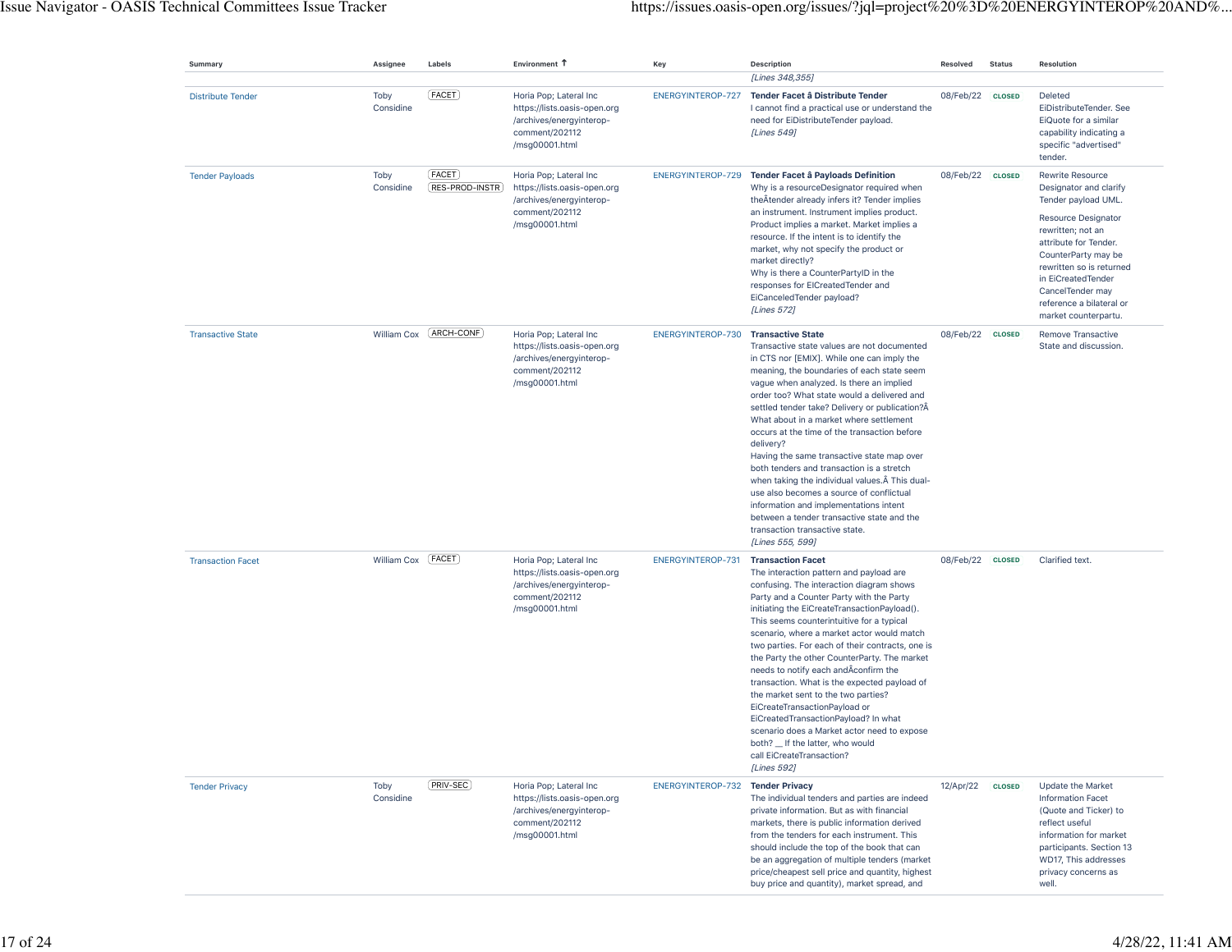| Summary                  | Assignee          | Labels                      | Environment T                                                                                                          | Key                      | <b>Description</b>                                                                                                                                                                                                                                                                                                                                                                                                                                                                                                                                                                                                                                                                                                                                               | <b>Resolved</b>  | <b>Status</b> | Resolution                                                                                                                                                                                                                                                                                     |
|--------------------------|-------------------|-----------------------------|------------------------------------------------------------------------------------------------------------------------|--------------------------|------------------------------------------------------------------------------------------------------------------------------------------------------------------------------------------------------------------------------------------------------------------------------------------------------------------------------------------------------------------------------------------------------------------------------------------------------------------------------------------------------------------------------------------------------------------------------------------------------------------------------------------------------------------------------------------------------------------------------------------------------------------|------------------|---------------|------------------------------------------------------------------------------------------------------------------------------------------------------------------------------------------------------------------------------------------------------------------------------------------------|
| <b>Distribute Tender</b> | Toby<br>Considine | (FACET)                     | Horia Pop; Lateral Inc<br>https://lists.oasis-open.org<br>/archives/energyinterop-<br>comment/202112<br>/msg00001.html | ENERGYINTEROP-727        | [Lines 348,355]<br>Tender Facet â Distribute Tender<br>I cannot find a practical use or understand the<br>need for EiDistributeTender payload.<br>[Lines 549]                                                                                                                                                                                                                                                                                                                                                                                                                                                                                                                                                                                                    | 08/Feb/22        | <b>CLOSED</b> | Deleted<br>EiDistributeTender. See<br>EiQuote for a similar<br>capability indicating a<br>specific "advertised"<br>tender.                                                                                                                                                                     |
| <b>Tender Payloads</b>   | Toby<br>Considine | (FACET)<br>(RES-PROD-INSTR) | Horia Pop; Lateral Inc<br>https://lists.oasis-open.org<br>/archives/energyinterop-<br>comment/202112<br>/msg00001.html |                          | ENERGYINTEROP-729 Tender Facet â Payloads Definition<br>Why is a resourceDesignator required when<br>the Atender already infers it? Tender implies<br>an instrument. Instrument implies product.<br>Product implies a market. Market implies a<br>resource. If the intent is to identify the<br>market, why not specify the product or<br>market directly?<br>Why is there a CounterPartyID in the<br>responses for EICreatedTender and<br>EiCanceledTender payload?<br>[Lines 572]                                                                                                                                                                                                                                                                              | 08/Feb/22 CLOSED |               | Rewrite Resource<br>Designator and clarify<br>Tender payload UML.<br><b>Resource Designator</b><br>rewritten; not an<br>attribute for Tender.<br>CounterParty may be<br>rewritten so is returned<br>in EiCreatedTender<br>CancelTender may<br>reference a bilateral or<br>market counterpartu. |
| <b>Transactive State</b> | William Cox       | [ARCH-CONF]                 | Horia Pop; Lateral Inc<br>https://lists.oasis-open.org<br>/archives/energyinterop-<br>comment/202112<br>/msg00001.html | ENERGYINTEROP-730        | <b>Transactive State</b><br>Transactive state values are not documented<br>in CTS nor [EMIX]. While one can imply the<br>meaning, the boundaries of each state seem<br>vague when analyzed. Is there an implied<br>order too? What state would a delivered and<br>settled tender take? Delivery or publication?Ä<br>What about in a market where settlement<br>occurs at the time of the transaction before<br>delivery?<br>Having the same transactive state map over<br>both tenders and transaction is a stretch<br>when taking the individual values. A This dual-<br>use also becomes a source of conflictual<br>information and implementations intent<br>between a tender transactive state and the<br>transaction transactive state.<br>[Lines 555, 599] | 08/Feb/22 CLOSED |               | Remove Transactive<br>State and discussion.                                                                                                                                                                                                                                                    |
| <b>Transaction Facet</b> | William Cox       | [FACET]                     | Horia Pop; Lateral Inc<br>https://lists.oasis-open.org<br>/archives/energyinterop-<br>comment/202112<br>/msg00001.html | <b>ENERGYINTEROP-731</b> | <b>Transaction Facet</b><br>The interaction pattern and payload are<br>confusing. The interaction diagram shows<br>Party and a Counter Party with the Party<br>initiating the EiCreateTransactionPayload().<br>This seems counterintuitive for a typical<br>scenario, where a market actor would match<br>two parties. For each of their contracts, one is<br>the Party the other CounterParty. The market<br>needs to notify each and Aconfirm the<br>transaction. What is the expected payload of<br>the market sent to the two parties?<br>EiCreateTransactionPayload or<br>EiCreatedTransactionPayload? In what<br>scenario does a Market actor need to expose<br>both? _ If the latter, who would<br>call EiCreateTransaction?<br>[Lines 592]               | 08/Feb/22 CLOSED |               | Clarified text.                                                                                                                                                                                                                                                                                |
| <b>Tender Privacy</b>    | Toby<br>Considine | [PRIV-SEC]                  | Horia Pop; Lateral Inc<br>https://lists.oasis-open.org<br>/archives/energyinterop-<br>comment/202112<br>/msq00001.html | ENERGYINTEROP-732        | <b>Tender Privacy</b><br>The individual tenders and parties are indeed<br>private information. But as with financial<br>markets, there is public information derived<br>from the tenders for each instrument. This<br>should include the top of the book that can<br>be an aggregation of multiple tenders (market<br>price/cheapest sell price and quantity, highest<br>buy price and quantity), market spread, and                                                                                                                                                                                                                                                                                                                                             | 12/Apr/22        | <b>CLOSED</b> | Update the Market<br><b>Information Facet</b><br>(Quote and Ticker) to<br>reflect useful<br>information for market<br>participants. Section 13<br>WD17, This addresses<br>privacy concerns as<br>well.                                                                                         |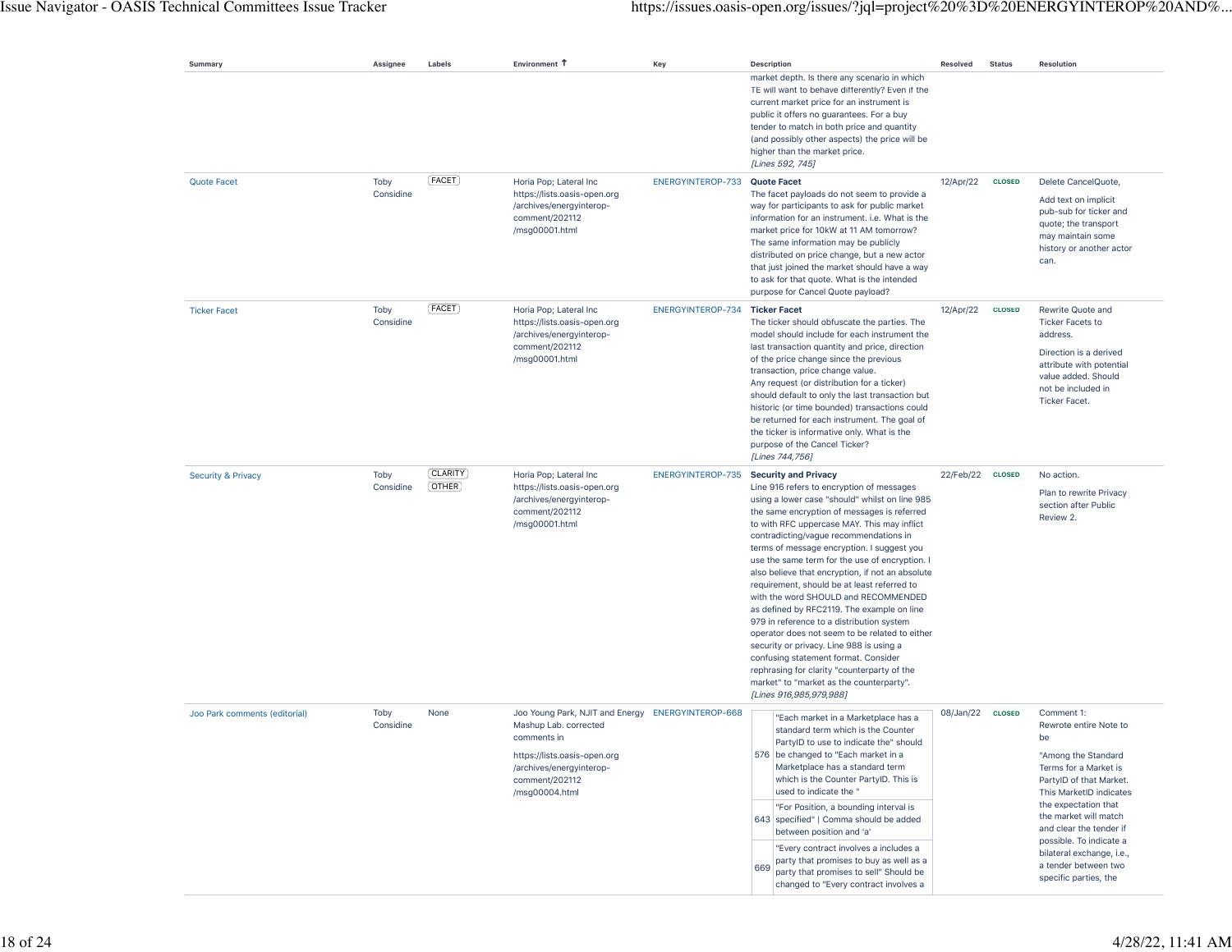| Summary                       | Assignee          | Labels                     | Environment 1                                                                                                                                                                             | Key                                    | <b>Description</b> |                                                                                                                                                                                                                                                                                                                                                                                                                                                                                                                                                                                                                                                                                                                                                                                                                                       | Resolved  | <b>Status</b> | <b>Resolution</b>                                                                                                                                                                                                                                                                                                                     |
|-------------------------------|-------------------|----------------------------|-------------------------------------------------------------------------------------------------------------------------------------------------------------------------------------------|----------------------------------------|--------------------|---------------------------------------------------------------------------------------------------------------------------------------------------------------------------------------------------------------------------------------------------------------------------------------------------------------------------------------------------------------------------------------------------------------------------------------------------------------------------------------------------------------------------------------------------------------------------------------------------------------------------------------------------------------------------------------------------------------------------------------------------------------------------------------------------------------------------------------|-----------|---------------|---------------------------------------------------------------------------------------------------------------------------------------------------------------------------------------------------------------------------------------------------------------------------------------------------------------------------------------|
|                               |                   |                            |                                                                                                                                                                                           |                                        |                    | market depth. Is there any scenario in which<br>TE will want to behave differently? Even if the<br>current market price for an instrument is<br>public it offers no guarantees. For a buy<br>tender to match in both price and quantity<br>(and possibly other aspects) the price will be<br>higher than the market price.<br>[Lines 592, 745]                                                                                                                                                                                                                                                                                                                                                                                                                                                                                        |           |               |                                                                                                                                                                                                                                                                                                                                       |
| <b>Quote Facet</b>            | Toby<br>Considine | (FACET)                    | Horia Pop; Lateral Inc<br>https://lists.oasis-open.org<br>/archives/energyinterop-<br>comment/202112<br>/msg00001.html                                                                    | ENERGYINTEROP-733 Quote Facet          |                    | The facet payloads do not seem to provide a<br>way for participants to ask for public market<br>information for an instrument. i.e. What is the<br>market price for 10kW at 11 AM tomorrow?<br>The same information may be publicly<br>distributed on price change, but a new actor<br>that just joined the market should have a way<br>to ask for that quote. What is the intended<br>purpose for Cancel Quote payload?                                                                                                                                                                                                                                                                                                                                                                                                              | 12/Apr/22 | <b>CLOSED</b> | Delete CancelQuote,<br>Add text on implicit<br>pub-sub for ticker and<br>quote; the transport<br>may maintain some<br>history or another actor<br>can.                                                                                                                                                                                |
| <b>Ticker Facet</b>           | Toby<br>Considine | (FACET)                    | Horia Pop; Lateral Inc<br>https://lists.oasis-open.org<br>/archives/energyinterop-<br>comment/202112<br>/msg00001.html                                                                    | ENERGYINTEROP-734 Ticker Facet         |                    | The ticker should obfuscate the parties. The<br>model should include for each instrument the<br>last transaction quantity and price, direction<br>of the price change since the previous<br>transaction, price change value.<br>Any request (or distribution for a ticker)<br>should default to only the last transaction but<br>historic (or time bounded) transactions could<br>be returned for each instrument. The goal of<br>the ticker is informative only. What is the<br>purpose of the Cancel Ticker?<br>[Lines 744,756]                                                                                                                                                                                                                                                                                                     | 12/Apr/22 | <b>CLOSED</b> | Rewrite Quote and<br><b>Ticker Facets to</b><br>address.<br>Direction is a derived<br>attribute with potential<br>value added. Should<br>not be included in<br><b>Ticker Facet.</b>                                                                                                                                                   |
| <b>Security &amp; Privacy</b> | Toby<br>Considine | [CLARITY]<br>$($ OTHER $)$ | Horia Pop; Lateral Inc<br>https://lists.oasis-open.org<br>/archives/energyinterop-<br>comment/202112<br>/msg00001.html                                                                    | ENERGYINTEROP-735 Security and Privacy |                    | Line 916 refers to encryption of messages<br>using a lower case "should" whilst on line 985<br>the same encryption of messages is referred<br>to with RFC uppercase MAY. This may inflict<br>contradicting/vague recommendations in<br>terms of message encryption. I suggest you<br>use the same term for the use of encryption. I<br>also believe that encryption, if not an absolute<br>requirement, should be at least referred to<br>with the word SHOULD and RECOMMENDED<br>as defined by RFC2119. The example on line<br>979 in reference to a distribution system<br>operator does not seem to be related to either<br>security or privacy. Line 988 is using a<br>confusing statement format. Consider<br>rephrasing for clarity "counterparty of the<br>market" to "market as the counterparty".<br>[Lines 916,985,979,988] | 22/Feb/22 | <b>CLOSED</b> | No action.<br>Plan to rewrite Privacy<br>section after Public<br>Review 2.                                                                                                                                                                                                                                                            |
| Joo Park comments (editorial) | Toby<br>Considine | None                       | Joo Young Park, NJIT and Energy ENERGYINTEROP-668<br>Mashup Lab. corrected<br>comments in<br>https://lists.oasis-open.org<br>/archives/energyinterop-<br>comment/202112<br>/msg00004.html |                                        | 669                | "Each market in a Marketplace has a<br>standard term which is the Counter<br>PartylD to use to indicate the" should<br>576 be changed to "Each market in a<br>Marketplace has a standard term<br>which is the Counter PartyID. This is<br>used to indicate the "<br>"For Position, a bounding interval is<br>643 specified"   Comma should be added<br>between position and 'a'<br>"Every contract involves a includes a<br>party that promises to buy as well as a<br>party that promises to sell" Should be<br>changed to "Every contract involves a                                                                                                                                                                                                                                                                                | 08/Jan/22 | <b>CLOSED</b> | Comment 1:<br>Rewrote entire Note to<br>be<br>"Among the Standard<br>Terms for a Market is<br>PartylD of that Market.<br>This MarketID indicates<br>the expectation that<br>the market will match<br>and clear the tender if<br>possible. To indicate a<br>bilateral exchange, i.e.,<br>a tender between two<br>specific parties, the |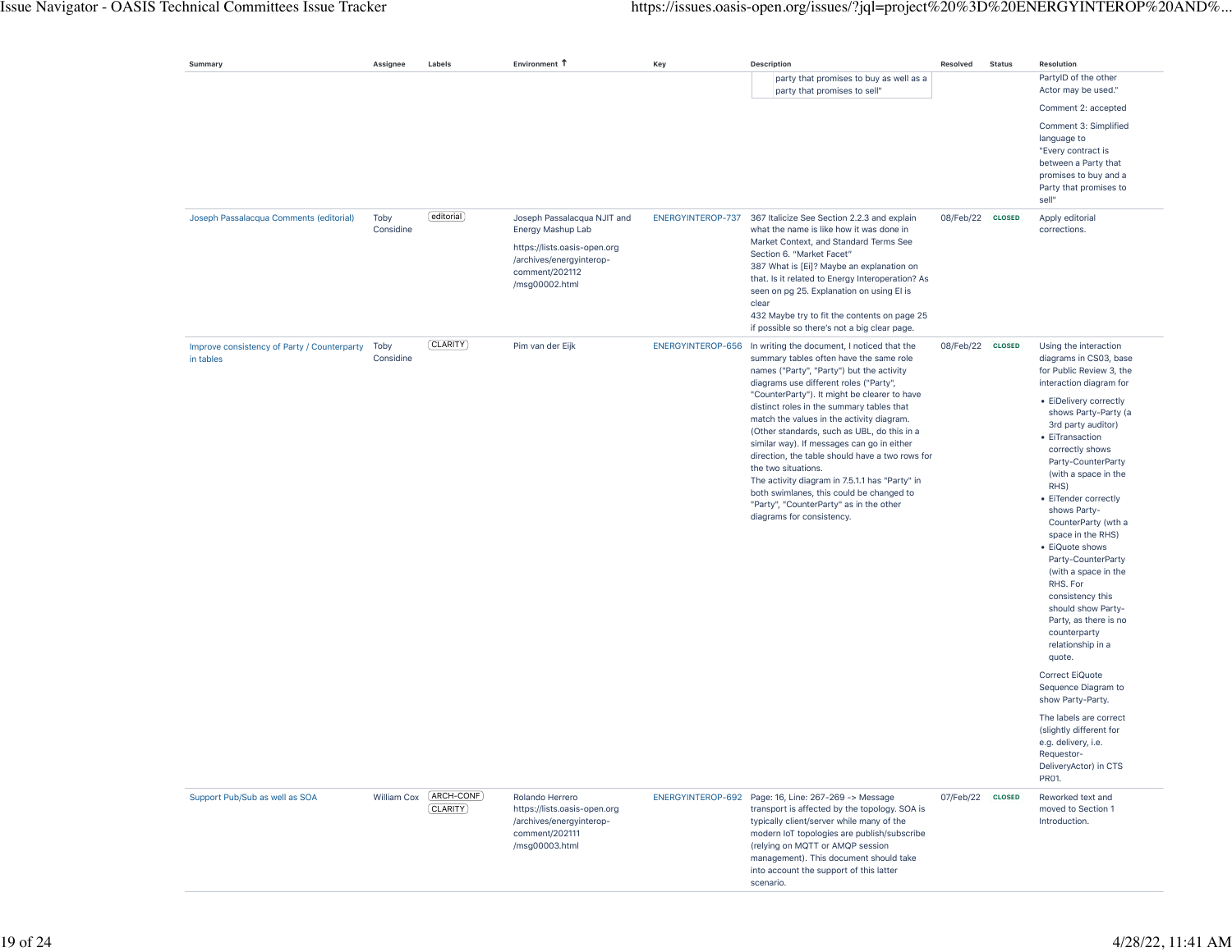| Summary                                                  | Assignee          | Labels                  | Environment 1                                                                                                                                    | Key               | <b>Description</b>                                                                                                                                                                                                                                                                                                                                                                                                                                                                                                                                                                                                                                                                     | Resolved         | <b>Status</b> | Resolution                                                                                                                                                                                                                                                                                                                                                                                                                                                                                                                                                                                              |
|----------------------------------------------------------|-------------------|-------------------------|--------------------------------------------------------------------------------------------------------------------------------------------------|-------------------|----------------------------------------------------------------------------------------------------------------------------------------------------------------------------------------------------------------------------------------------------------------------------------------------------------------------------------------------------------------------------------------------------------------------------------------------------------------------------------------------------------------------------------------------------------------------------------------------------------------------------------------------------------------------------------------|------------------|---------------|---------------------------------------------------------------------------------------------------------------------------------------------------------------------------------------------------------------------------------------------------------------------------------------------------------------------------------------------------------------------------------------------------------------------------------------------------------------------------------------------------------------------------------------------------------------------------------------------------------|
|                                                          |                   |                         |                                                                                                                                                  |                   | party that promises to buy as well as a<br>party that promises to sell"                                                                                                                                                                                                                                                                                                                                                                                                                                                                                                                                                                                                                |                  |               | PartyID of the other<br>Actor may be used."<br>Comment 2: accepted<br>Comment 3: Simplified<br>language to<br>"Every contract is<br>between a Party that<br>promises to buy and a<br>Party that promises to<br>sell"                                                                                                                                                                                                                                                                                                                                                                                    |
| Joseph Passalacqua Comments (editorial)                  | Toby<br>Considine | editorial               | Joseph Passalacqua NJIT and<br>Energy Mashup Lab<br>https://lists.oasis-open.org<br>/archives/energyinterop-<br>comment/202112<br>/msg00002.html | ENERGYINTEROP-737 | 367 Italicize See Section 2.2.3 and explain<br>what the name is like how it was done in<br>Market Context, and Standard Terms See<br>Section 6. "Market Facet"<br>387 What is [Ei]? Maybe an explanation on<br>that. Is it related to Energy Interoperation? As<br>seen on pg 25. Explanation on using El is<br>clear<br>432 Maybe try to fit the contents on page 25<br>if possible so there's not a big clear page.                                                                                                                                                                                                                                                                  | 08/Feb/22 CLOSED |               | Apply editorial<br>corrections.                                                                                                                                                                                                                                                                                                                                                                                                                                                                                                                                                                         |
| Improve consistency of Party / Counterparty<br>in tables | Toby<br>Considine | [CLARITY]               | Pim van der Eijk                                                                                                                                 |                   | ENERGYINTEROP-656 In writing the document, I noticed that the<br>summary tables often have the same role<br>names ("Party", "Party") but the activity<br>diagrams use different roles ("Party",<br>"CounterParty"). It might be clearer to have<br>distinct roles in the summary tables that<br>match the values in the activity diagram.<br>(Other standards, such as UBL, do this in a<br>similar way). If messages can go in either<br>direction, the table should have a two rows for<br>the two situations.<br>The activity diagram in 7.5.1.1 has "Party" in<br>both swimlanes, this could be changed to<br>"Party", "CounterParty" as in the other<br>diagrams for consistency. | 08/Feb/22 CLOSED |               | Using the interaction<br>diagrams in CS03, base<br>for Public Review 3, the<br>interaction diagram for<br>• EiDelivery correctly<br>shows Party-Party (a<br>3rd party auditor)<br>• EiTransaction<br>correctly shows<br>Party-CounterParty<br>(with a space in the<br>RHS)<br>• EiTender correctly<br>shows Party-<br>CounterParty (wth a<br>space in the RHS)<br>• EiQuote shows<br>Party-CounterParty<br>(with a space in the<br>RHS. For<br>consistency this<br>should show Party-<br>Party, as there is no<br>counterparty<br>relationship in a<br>quote.<br>Correct EiQuote<br>Sequence Diagram to |
|                                                          |                   |                         |                                                                                                                                                  |                   |                                                                                                                                                                                                                                                                                                                                                                                                                                                                                                                                                                                                                                                                                        |                  |               | show Party-Party.<br>The labels are correct<br>(slightly different for<br>e.g. delivery, i.e.<br>Requestor-<br>DeliveryActor) in CTS<br>PR01.                                                                                                                                                                                                                                                                                                                                                                                                                                                           |
| Support Pub/Sub as well as SOA                           | William Cox       | (ARCH-CONF)<br>CLARITY) | Rolando Herrero<br>https://lists.oasis-open.org<br>/archives/energyinterop-<br>comment/202111<br>/msq00003.html                                  |                   | ENERGYINTEROP-692 Page: 16, Line: 267-269 -> Message<br>transport is affected by the topology. SOA is<br>typically client/server while many of the<br>modern IoT topologies are publish/subscribe<br>(relying on MQTT or AMQP session<br>management). This document should take<br>into account the support of this latter<br>scenario.                                                                                                                                                                                                                                                                                                                                                | 07/Feb/22 CLOSED |               | Reworked text and<br>moved to Section 1<br>Introduction.                                                                                                                                                                                                                                                                                                                                                                                                                                                                                                                                                |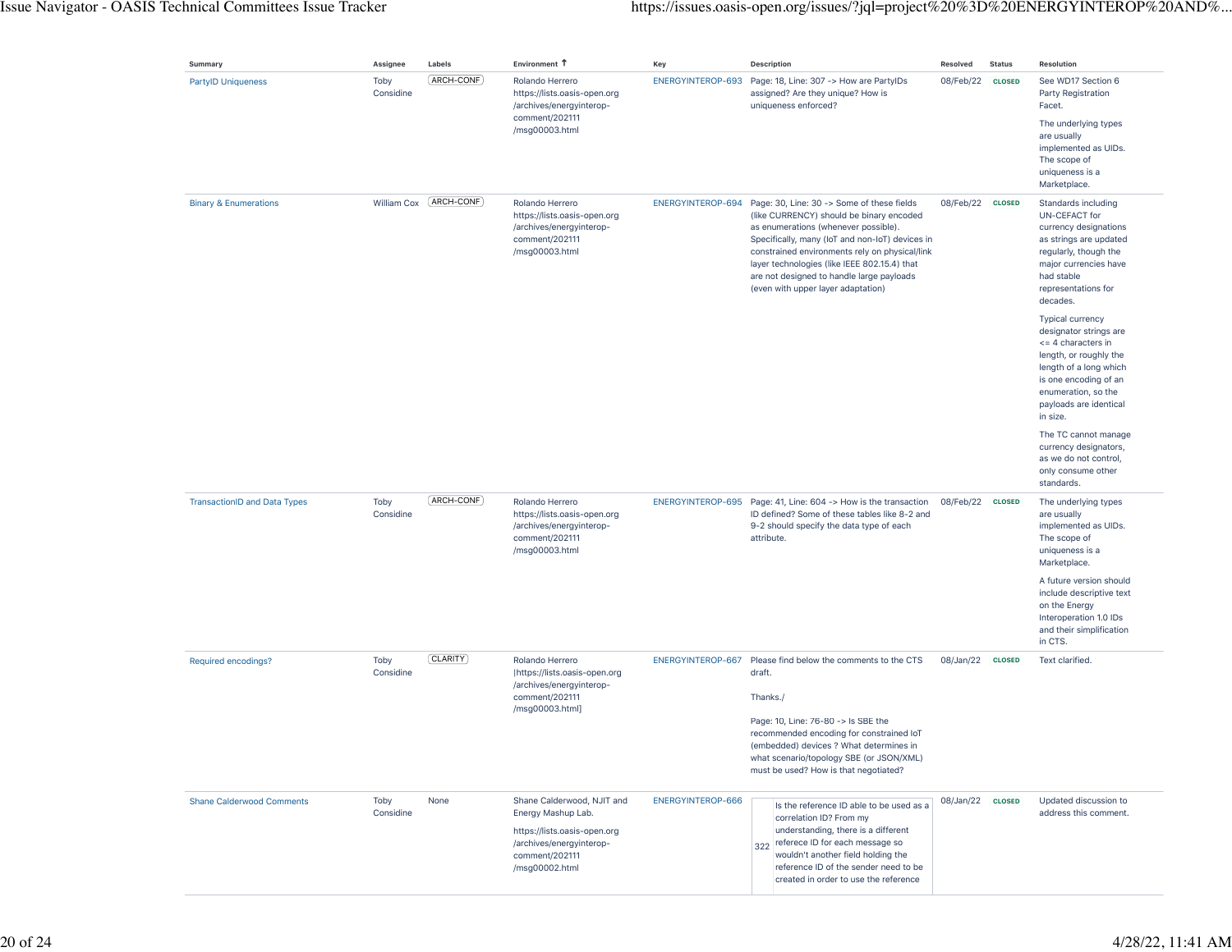| Summary                             | Assignee          | Labels      | Environment 1                                                                                                                                    | Key                      | <b>Description</b>                                                                                                                                                                                                                                                                                                                                                                       | Resolved         | <b>Status</b> | Resolution                                                                                                                                                                                                                                                                                                                                                                                                      |
|-------------------------------------|-------------------|-------------|--------------------------------------------------------------------------------------------------------------------------------------------------|--------------------------|------------------------------------------------------------------------------------------------------------------------------------------------------------------------------------------------------------------------------------------------------------------------------------------------------------------------------------------------------------------------------------------|------------------|---------------|-----------------------------------------------------------------------------------------------------------------------------------------------------------------------------------------------------------------------------------------------------------------------------------------------------------------------------------------------------------------------------------------------------------------|
| <b>PartyID Uniqueness</b>           | Toby<br>Considine | ARCH-CONF   | Rolando Herrero<br>https://lists.oasis-open.org<br>/archives/energyinterop-<br>comment/202111<br>/msg00003.html                                  |                          | ENERGYINTEROP-693 Page: 18, Line: 307 -> How are PartyIDs<br>assigned? Are they unique? How is<br>uniqueness enforced?                                                                                                                                                                                                                                                                   | 08/Feb/22        | <b>CLOSED</b> | See WD17 Section 6<br>Party Registration<br>Facet.<br>The underlying types<br>are usually<br>implemented as UIDs.<br>The scope of<br>uniqueness is a<br>Marketplace.                                                                                                                                                                                                                                            |
| <b>Binary &amp; Enumerations</b>    | William Cox       | ARCH-CONF   | Rolando Herrero<br>https://lists.oasis-open.org<br>/archives/energyinterop-<br>comment/202111<br>/msg00003.html                                  |                          | ENERGYINTEROP-694 Page: 30, Line: 30 -> Some of these fields<br>(like CURRENCY) should be binary encoded<br>as enumerations (whenever possible).<br>Specifically, many (IoT and non-IoT) devices in<br>constrained environments rely on physical/link<br>layer technologies (like IEEE 802.15.4) that<br>are not designed to handle large payloads<br>(even with upper layer adaptation) | 08/Feb/22 CLOSED |               | Standards including<br>UN-CEFACT for<br>currency designations<br>as strings are updated<br>regularly, though the<br>major currencies have<br>had stable<br>representations for<br>decades.<br><b>Typical currency</b><br>designator strings are<br><= 4 characters in<br>length, or roughly the<br>length of a long which<br>is one encoding of an<br>enumeration, so the<br>payloads are identical<br>in size. |
|                                     |                   |             |                                                                                                                                                  |                          |                                                                                                                                                                                                                                                                                                                                                                                          |                  |               | The TC cannot manage<br>currency designators,<br>as we do not control,<br>only consume other<br>standards.                                                                                                                                                                                                                                                                                                      |
| <b>TransactionID and Data Types</b> | Toby<br>Considine | (ARCH-CONF) | Rolando Herrero<br>https://lists.oasis-open.org<br>/archives/energyinterop-<br>comment/202111<br>/msg00003.html                                  |                          | ENERGYINTEROP-695 Page: 41, Line: 604 -> How is the transaction<br>ID defined? Some of these tables like 8-2 and<br>9-2 should specify the data type of each<br>attribute.                                                                                                                                                                                                               | 08/Feb/22 CLOSED |               | The underlying types<br>are usually<br>implemented as UIDs.<br>The scope of<br>uniqueness is a<br>Marketplace.<br>A future version should<br>include descriptive text<br>on the Energy<br>Interoperation 1.0 IDs<br>and their simplification                                                                                                                                                                    |
| Required encodings?                 | Toby<br>Considine | [CLARITY]   | Rolando Herrero<br> https://lists.oasis-open.org<br>/archives/energyinterop-<br>comment/202111<br>/msg00003.html]                                | ENERGYINTEROP-667        | Please find below the comments to the CTS<br>draft.<br>Thanks./<br>Page: 10, Line: 76-80 -> Is SBE the<br>recommended encoding for constrained IoT<br>(embedded) devices ? What determines in<br>what scenario/topology SBE (or JSON/XML)<br>must be used? How is that negotiated?                                                                                                       | 08/Jan/22        | <b>CLOSED</b> | in CTS.<br>Text clarified.                                                                                                                                                                                                                                                                                                                                                                                      |
| <b>Shane Calderwood Comments</b>    | Toby<br>Considine | None        | Shane Calderwood, NJIT and<br>Energy Mashup Lab.<br>https://lists.oasis-open.org<br>/archives/energyinterop-<br>comment/202111<br>/msg00002.html | <b>ENERGYINTEROP-666</b> | Is the reference ID able to be used as a<br>correlation ID? From my<br>understanding, there is a different<br>322 referece ID for each message so<br>wouldn't another field holding the<br>reference ID of the sender need to be<br>created in order to use the reference                                                                                                                | 08/Jan/22 CLOSED |               | Updated discussion to<br>address this comment.                                                                                                                                                                                                                                                                                                                                                                  |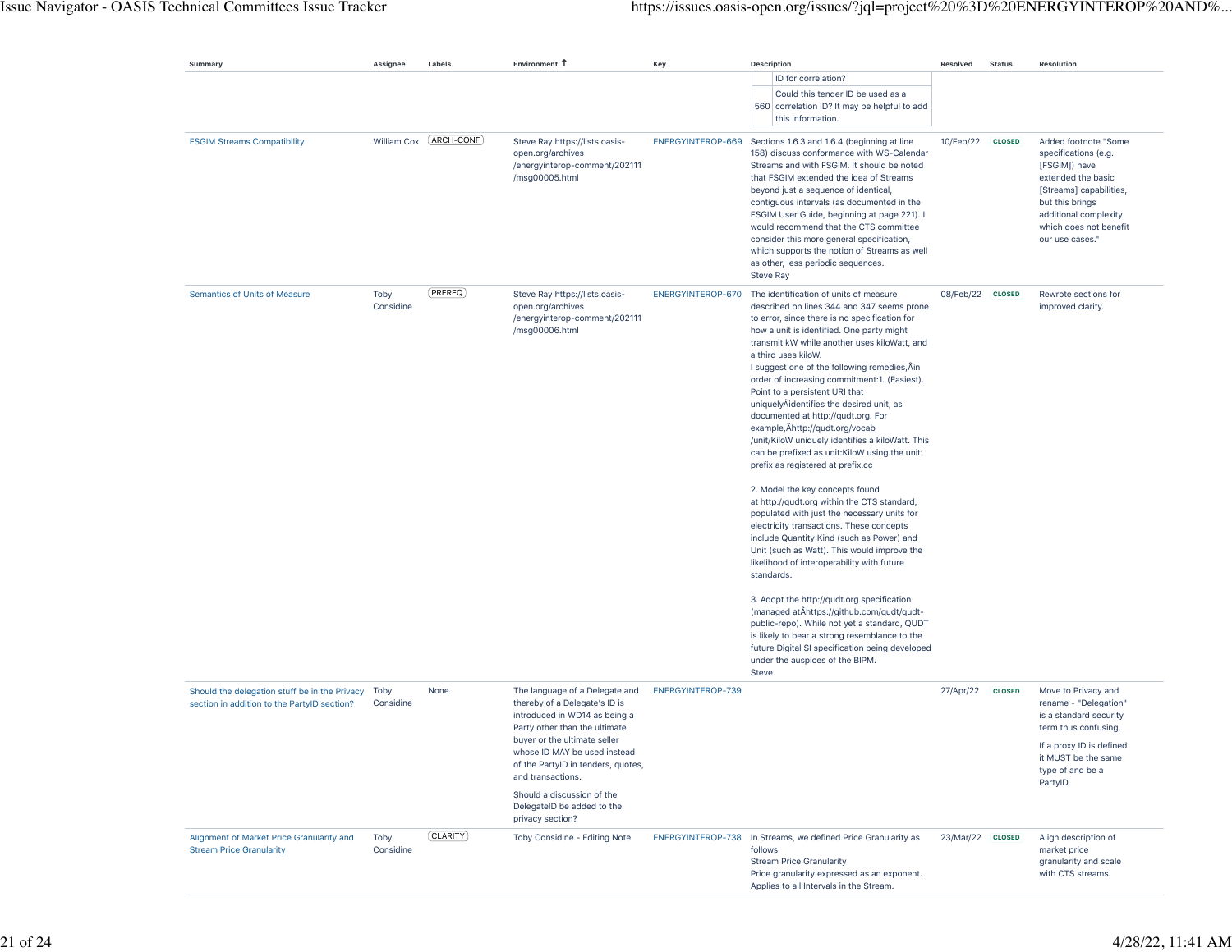| Summary                                                                                      | Assignee          | Labels                  | Environment 1                                                                                                                                                                                                                                                                                                                                | Key               | <b>Description</b>                                                                                                                                                                                                                                                                                                                                                                                                                                                                                                                                                                                                                                                                                                                                                                                                                                                                                                                                                                                                                                                                                                                                                                                                                                                                                  | Resolved         | <b>Status</b> | <b>Resolution</b>                                                                                                                                                                                       |
|----------------------------------------------------------------------------------------------|-------------------|-------------------------|----------------------------------------------------------------------------------------------------------------------------------------------------------------------------------------------------------------------------------------------------------------------------------------------------------------------------------------------|-------------------|-----------------------------------------------------------------------------------------------------------------------------------------------------------------------------------------------------------------------------------------------------------------------------------------------------------------------------------------------------------------------------------------------------------------------------------------------------------------------------------------------------------------------------------------------------------------------------------------------------------------------------------------------------------------------------------------------------------------------------------------------------------------------------------------------------------------------------------------------------------------------------------------------------------------------------------------------------------------------------------------------------------------------------------------------------------------------------------------------------------------------------------------------------------------------------------------------------------------------------------------------------------------------------------------------------|------------------|---------------|---------------------------------------------------------------------------------------------------------------------------------------------------------------------------------------------------------|
|                                                                                              |                   |                         |                                                                                                                                                                                                                                                                                                                                              |                   | ID for correlation?<br>Could this tender ID be used as a<br>560 correlation ID? It may be helpful to add<br>this information.                                                                                                                                                                                                                                                                                                                                                                                                                                                                                                                                                                                                                                                                                                                                                                                                                                                                                                                                                                                                                                                                                                                                                                       |                  |               |                                                                                                                                                                                                         |
| <b>FSGIM Streams Compatibility</b>                                                           |                   | William Cox (ARCH-CONF) | Steve Ray https://lists.oasis-<br>open.org/archives<br>/energyinterop-comment/202111<br>/msg00005.html                                                                                                                                                                                                                                       |                   | ENERGYINTEROP-669 Sections 1.6.3 and 1.6.4 (beginning at line<br>158) discuss conformance with WS-Calendar<br>Streams and with FSGIM. It should be noted<br>that FSGIM extended the idea of Streams<br>beyond just a sequence of identical,<br>contiguous intervals (as documented in the<br>FSGIM User Guide, beginning at page 221). I<br>would recommend that the CTS committee<br>consider this more general specification,<br>which supports the notion of Streams as well<br>as other, less periodic sequences.<br><b>Steve Ray</b>                                                                                                                                                                                                                                                                                                                                                                                                                                                                                                                                                                                                                                                                                                                                                           | 10/Feb/22        | <b>CLOSED</b> | Added footnote "Some<br>specifications (e.g.<br>[FSGIM]) have<br>extended the basic<br>[Streams] capabilities,<br>but this brings<br>additional complexity<br>which does not benefit<br>our use cases." |
| Semantics of Units of Measure                                                                | Toby<br>Considine | (PREREQ)                | Steve Ray https://lists.oasis-<br>open.org/archives<br>/energyinterop-comment/202111<br>/msg00006.html                                                                                                                                                                                                                                       | ENERGYINTEROP-670 | The identification of units of measure<br>described on lines 344 and 347 seems prone<br>to error, since there is no specification for<br>how a unit is identified. One party might<br>transmit kW while another uses kiloWatt, and<br>a third uses kiloW.<br>I suggest one of the following remedies, Ain<br>order of increasing commitment:1. (Easiest).<br>Point to a persistent URI that<br>uniquelyÂidentifies the desired unit, as<br>documented at http://qudt.org. For<br>example, Âhttp://qudt.org/vocab<br>/unit/KiloW uniquely identifies a kiloWatt. This<br>can be prefixed as unit: KiloW using the unit:<br>prefix as registered at prefix.cc<br>2. Model the key concepts found<br>at http://qudt.org within the CTS standard,<br>populated with just the necessary units for<br>electricity transactions. These concepts<br>include Quantity Kind (such as Power) and<br>Unit (such as Watt). This would improve the<br>likelihood of interoperability with future<br>standards.<br>3. Adopt the http://qudt.org specification<br>(managed at Ahttps://github.com/qudt/qudt-<br>public-repo). While not yet a standard, QUDT<br>is likely to bear a strong resemblance to the<br>future Digital SI specification being developed<br>under the auspices of the BIPM.<br><b>Steve</b> | 08/Feb/22 CLOSED |               | Rewrote sections for<br>improved clarity.                                                                                                                                                               |
| Should the delegation stuff be in the Privacy<br>section in addition to the PartylD section? | Toby<br>Considine | None                    | The language of a Delegate and<br>thereby of a Delegate's ID is<br>introduced in WD14 as being a<br>Party other than the ultimate<br>buyer or the ultimate seller<br>whose ID MAY be used instead<br>of the PartyID in tenders, quotes,<br>and transactions.<br>Should a discussion of the<br>DelegateID be added to the<br>privacy section? | ENERGYINTEROP-739 |                                                                                                                                                                                                                                                                                                                                                                                                                                                                                                                                                                                                                                                                                                                                                                                                                                                                                                                                                                                                                                                                                                                                                                                                                                                                                                     | 27/Apr/22        | <b>CLOSED</b> | Move to Privacy and<br>rename - "Delegation"<br>is a standard security<br>term thus confusing.<br>If a proxy ID is defined<br>it MUST be the same<br>type of and be a<br>PartyID.                       |
| Alignment of Market Price Granularity and<br><b>Stream Price Granularity</b>                 | Toby<br>Considine | (CLARITY)               | Toby Considine - Editing Note                                                                                                                                                                                                                                                                                                                |                   | ENERGYINTEROP-738 In Streams, we defined Price Granularity as<br>follows<br><b>Stream Price Granularity</b><br>Price granularity expressed as an exponent.<br>Applies to all Intervals in the Stream.                                                                                                                                                                                                                                                                                                                                                                                                                                                                                                                                                                                                                                                                                                                                                                                                                                                                                                                                                                                                                                                                                               | 23/Mar/22 CLOSED |               | Align description of<br>market price<br>granularity and scale<br>with CTS streams.                                                                                                                      |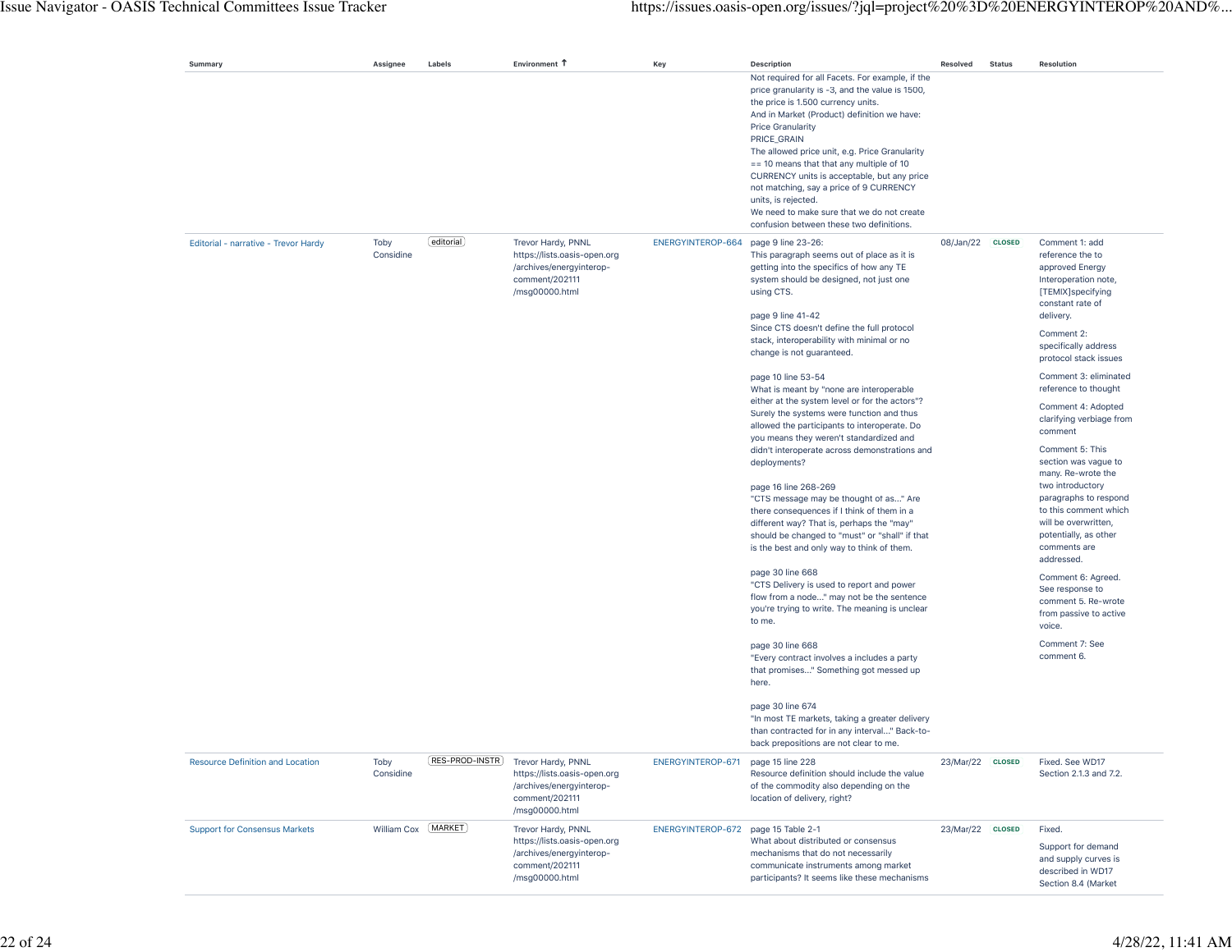| Summary                                 | Assignee          | Labels         | Environment T                                                                                                      | Key               | <b>Description</b>                                                                                                                                                                                                                                                                                                                                                                                                                                                                                                                                                                                                                                                                                                                                                                                                                                                                                                                                                                                                                                                                                                                                                                                                                                                                                                                   | Resolved         | <b>Status</b> | Resolution                                                                                                                                                                                                                                                                                                                                                                                                                                                                                                                                                                                                                                                                 |
|-----------------------------------------|-------------------|----------------|--------------------------------------------------------------------------------------------------------------------|-------------------|--------------------------------------------------------------------------------------------------------------------------------------------------------------------------------------------------------------------------------------------------------------------------------------------------------------------------------------------------------------------------------------------------------------------------------------------------------------------------------------------------------------------------------------------------------------------------------------------------------------------------------------------------------------------------------------------------------------------------------------------------------------------------------------------------------------------------------------------------------------------------------------------------------------------------------------------------------------------------------------------------------------------------------------------------------------------------------------------------------------------------------------------------------------------------------------------------------------------------------------------------------------------------------------------------------------------------------------|------------------|---------------|----------------------------------------------------------------------------------------------------------------------------------------------------------------------------------------------------------------------------------------------------------------------------------------------------------------------------------------------------------------------------------------------------------------------------------------------------------------------------------------------------------------------------------------------------------------------------------------------------------------------------------------------------------------------------|
|                                         |                   |                |                                                                                                                    |                   | Not required for all Facets. For example, if the<br>price granularity is -3, and the value is 1500,<br>the price is 1.500 currency units.<br>And in Market (Product) definition we have:<br><b>Price Granularity</b><br>PRICE_GRAIN<br>The allowed price unit, e.g. Price Granularity<br>$== 10$ means that that any multiple of 10<br>CURRENCY units is acceptable, but any price<br>not matching, say a price of 9 CURRENCY<br>units, is rejected.<br>We need to make sure that we do not create<br>confusion between these two definitions.                                                                                                                                                                                                                                                                                                                                                                                                                                                                                                                                                                                                                                                                                                                                                                                       |                  |               |                                                                                                                                                                                                                                                                                                                                                                                                                                                                                                                                                                                                                                                                            |
| Editorial - narrative - Trevor Hardy    | Toby<br>Considine | [editorial]    | Trevor Hardy, PNNL<br>https://lists.oasis-open.org<br>/archives/energyinterop-<br>comment/202111<br>/msg00000.html | ENERGYINTEROP-664 | page 9 line 23-26:<br>This paragraph seems out of place as it is<br>getting into the specifics of how any TE<br>system should be designed, not just one<br>using CTS.<br>page 9 line 41-42<br>Since CTS doesn't define the full protocol<br>stack, interoperability with minimal or no<br>change is not guaranteed.<br>page 10 line 53-54<br>What is meant by "none are interoperable<br>either at the system level or for the actors"?<br>Surely the systems were function and thus<br>allowed the participants to interoperate. Do<br>you means they weren't standardized and<br>didn't interoperate across demonstrations and<br>deployments?<br>page 16 line 268-269<br>"CTS message may be thought of as" Are<br>there consequences if I think of them in a<br>different way? That is, perhaps the "may"<br>should be changed to "must" or "shall" if that<br>is the best and only way to think of them.<br>page 30 line 668<br>"CTS Delivery is used to report and power<br>flow from a node" may not be the sentence<br>you're trying to write. The meaning is unclear<br>to me.<br>page 30 line 668<br>"Every contract involves a includes a party<br>that promises" Something got messed up<br>here.<br>page 30 line 674<br>"In most TE markets, taking a greater delivery<br>than contracted for in any interval" Back-to- | 08/Jan/22 CLOSED |               | Comment 1: add<br>reference the to<br>approved Energy<br>Interoperation note,<br>[TEMIX]specifying<br>constant rate of<br>delivery.<br>Comment 2:<br>specifically address<br>protocol stack issues<br>Comment 3: eliminated<br>reference to thought<br>Comment 4: Adopted<br>clarifying verbiage from<br>comment<br>Comment 5: This<br>section was vague to<br>many. Re-wrote the<br>two introductory<br>paragraphs to respond<br>to this comment which<br>will be overwritten,<br>potentially, as other<br>comments are<br>addressed.<br>Comment 6: Agreed.<br>See response to<br>comment 5. Re-wrote<br>from passive to active<br>voice.<br>Comment 7: See<br>comment 6. |
| <b>Resource Definition and Location</b> | Toby<br>Considine | RES-PROD-INSTR | Trevor Hardy, PNNL<br>https://lists.oasis-open.org<br>/archives/energyinterop-<br>comment/202111<br>/msg00000.html | ENERGYINTEROP-671 | back prepositions are not clear to me.<br>page 15 line 228<br>Resource definition should include the value<br>of the commodity also depending on the<br>location of delivery, right?                                                                                                                                                                                                                                                                                                                                                                                                                                                                                                                                                                                                                                                                                                                                                                                                                                                                                                                                                                                                                                                                                                                                                 | 23/Mar/22 CLOSED |               | Fixed. See WD17<br>Section 2.1.3 and 7.2.                                                                                                                                                                                                                                                                                                                                                                                                                                                                                                                                                                                                                                  |
| <b>Support for Consensus Markets</b>    | William Cox       | (MARKET)       | Trevor Hardy, PNNL<br>https://lists.oasis-open.org<br>/archives/energyinterop-<br>comment/202111<br>/msg00000.html | ENERGYINTEROP-672 | page 15 Table 2-1<br>What about distributed or consensus<br>mechanisms that do not necessarily<br>communicate instruments among market<br>participants? It seems like these mechanisms                                                                                                                                                                                                                                                                                                                                                                                                                                                                                                                                                                                                                                                                                                                                                                                                                                                                                                                                                                                                                                                                                                                                               | 23/Mar/22 CLOSED |               | Fixed.<br>Support for demand<br>and supply curves is<br>described in WD17<br>Section 8.4 (Market                                                                                                                                                                                                                                                                                                                                                                                                                                                                                                                                                                           |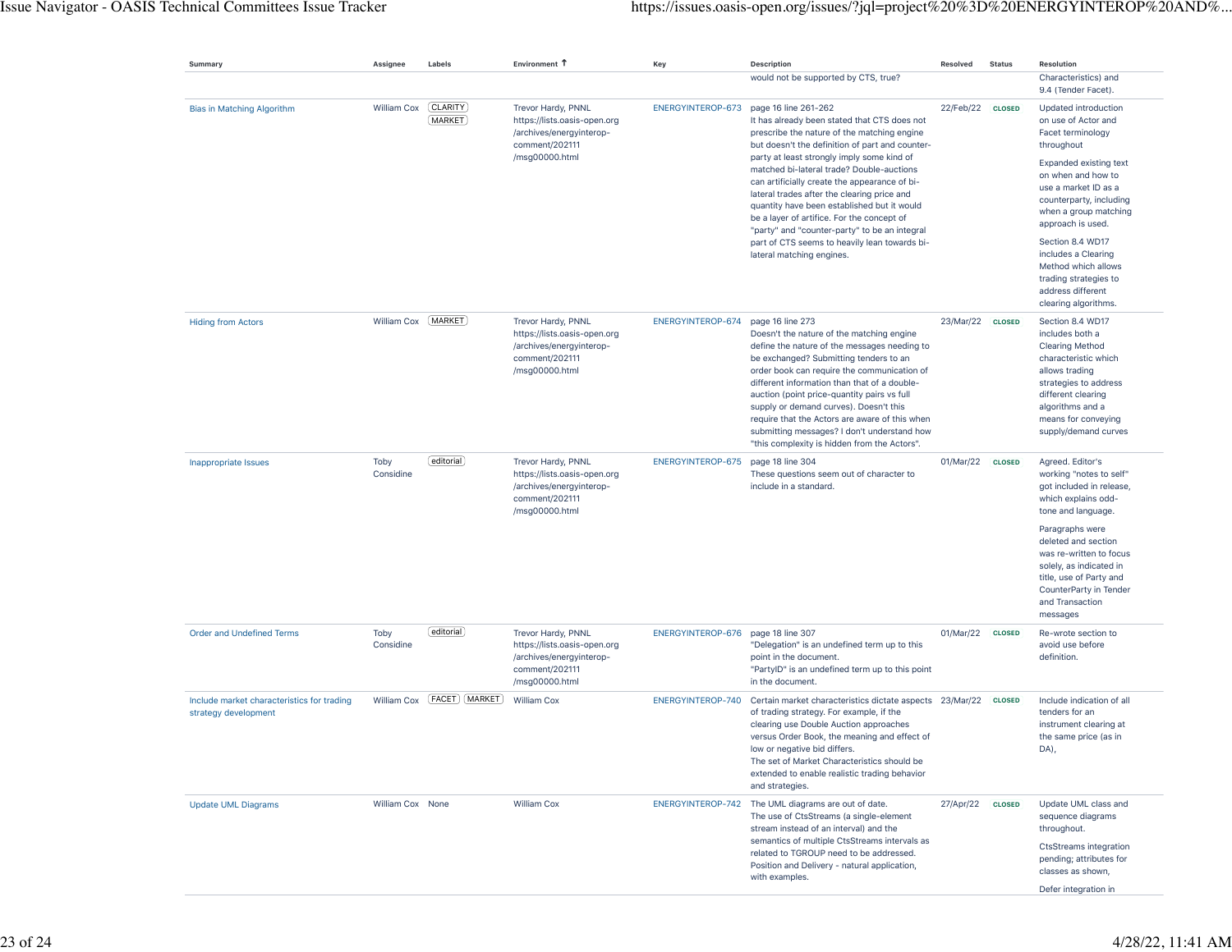| Summary                                                            | Assignee          | Labels                       | Environment 1                                                                                                      | Key                                | Description                                                                                                                                                                                                                                                                                                                                                                                                                                                                                                                                                                                   | Resolved         | <b>Status</b> | Resolution                                                                                                                                                                                                                                                                                                                                                                     |
|--------------------------------------------------------------------|-------------------|------------------------------|--------------------------------------------------------------------------------------------------------------------|------------------------------------|-----------------------------------------------------------------------------------------------------------------------------------------------------------------------------------------------------------------------------------------------------------------------------------------------------------------------------------------------------------------------------------------------------------------------------------------------------------------------------------------------------------------------------------------------------------------------------------------------|------------------|---------------|--------------------------------------------------------------------------------------------------------------------------------------------------------------------------------------------------------------------------------------------------------------------------------------------------------------------------------------------------------------------------------|
|                                                                    |                   |                              |                                                                                                                    |                                    | would not be supported by CTS, true?                                                                                                                                                                                                                                                                                                                                                                                                                                                                                                                                                          |                  |               | Characteristics) and<br>9.4 (Tender Facet).                                                                                                                                                                                                                                                                                                                                    |
| Bias in Matching Algorithm                                         | William Cox       | <b>CLARITY</b><br>MARKET     | Trevor Hardy, PNNL<br>https://lists.oasis-open.org<br>/archives/energyinterop-<br>comment/202111<br>/msg00000.html | ENERGYINTEROP-673                  | page 16 line 261-262<br>It has already been stated that CTS does not<br>prescribe the nature of the matching engine<br>but doesn't the definition of part and counter-<br>party at least strongly imply some kind of<br>matched bi-lateral trade? Double-auctions<br>can artificially create the appearance of bi-<br>lateral trades after the clearing price and<br>quantity have been established but it would<br>be a layer of artifice. For the concept of<br>"party" and "counter-party" to be an integral<br>part of CTS seems to heavily lean towards bi-<br>lateral matching engines. | 22/Feb/22 CLOSED |               | Updated introduction<br>on use of Actor and<br>Facet terminology<br>throughout<br><b>Expanded existing text</b><br>on when and how to<br>use a market ID as a<br>counterparty, including<br>when a group matching<br>approach is used.<br>Section 8.4 WD17<br>includes a Clearing<br>Method which allows<br>trading strategies to<br>address different<br>clearing algorithms. |
| <b>Hiding from Actors</b>                                          | William Cox       | [MARKET]                     | Trevor Hardy, PNNL<br>https://lists.oasis-open.org<br>/archives/energyinterop-<br>comment/202111<br>/msg00000.html | ENERGYINTEROP-674                  | page 16 line 273<br>Doesn't the nature of the matching engine<br>define the nature of the messages needing to<br>be exchanged? Submitting tenders to an<br>order book can require the communication of<br>different information than that of a double-<br>auction (point price-quantity pairs vs full<br>supply or demand curves). Doesn't this<br>require that the Actors are aware of this when<br>submitting messages? I don't understand how<br>"this complexity is hidden from the Actors".                                                                                              | 23/Mar/22        | <b>CLOSED</b> | Section 8.4 WD17<br>includes both a<br><b>Clearing Method</b><br>characteristic which<br>allows trading<br>strategies to address<br>different clearing<br>algorithms and a<br>means for conveying<br>supply/demand curves                                                                                                                                                      |
| Inappropriate Issues                                               | Toby<br>Considine | editorial                    | Trevor Hardy, PNNL<br>https://lists.oasis-open.org<br>/archives/energyinterop-<br>comment/202111<br>/msg00000.html | ENERGYINTEROP-675                  | page 18 line 304<br>These questions seem out of character to<br>include in a standard.                                                                                                                                                                                                                                                                                                                                                                                                                                                                                                        | 01/Mar/22        | <b>CLOSED</b> | Agreed. Editor's<br>working "notes to self"<br>got included in release,<br>which explains odd-<br>tone and language.<br>Paragraphs were<br>deleted and section<br>was re-written to focus<br>solely, as indicated in<br>title, use of Party and<br>CounterParty in Tender<br>and Transaction<br>messages                                                                       |
| <b>Order and Undefined Terms</b>                                   | Toby<br>Considine | editorial                    | Trevor Hardy, PNNL<br>https://lists.oasis-open.org<br>/archives/energyinterop-<br>comment/202111<br>/msg00000.html | ENERGYINTEROP-676 page 18 line 307 | "Delegation" is an undefined term up to this<br>point in the document.<br>"PartyID" is an undefined term up to this point<br>in the document.                                                                                                                                                                                                                                                                                                                                                                                                                                                 | 01/Mar/22        | <b>CLOSED</b> | Re-wrote section to<br>avoid use before<br>definition.                                                                                                                                                                                                                                                                                                                         |
| Include market characteristics for trading<br>strategy development |                   | William Cox [FACET] (MARKET) | William Cox                                                                                                        | ENERGYINTEROP-740                  | Certain market characteristics dictate aspects 23/Mar/22<br>of trading strategy. For example, if the<br>clearing use Double Auction approaches<br>versus Order Book, the meaning and effect of<br>low or negative bid differs.<br>The set of Market Characteristics should be<br>extended to enable realistic trading behavior<br>and strategies.                                                                                                                                                                                                                                             |                  | <b>CLOSED</b> | Include indication of all<br>tenders for an<br>instrument clearing at<br>the same price (as in<br>DA),                                                                                                                                                                                                                                                                         |
| <b>Update UML Diagrams</b>                                         | William Cox None  |                              | William Cox                                                                                                        | ENERGYINTEROP-742                  | The UML diagrams are out of date.<br>The use of CtsStreams (a single-element<br>stream instead of an interval) and the<br>semantics of multiple CtsStreams intervals as<br>related to TGROUP need to be addressed.<br>Position and Delivery - natural application,<br>with examples.                                                                                                                                                                                                                                                                                                          | 27/Apr/22        | <b>CLOSED</b> | Update UML class and<br>sequence diagrams<br>throughout.<br><b>CtsStreams integration</b><br>pending; attributes for<br>classes as shown,<br>Defer integration in                                                                                                                                                                                                              |